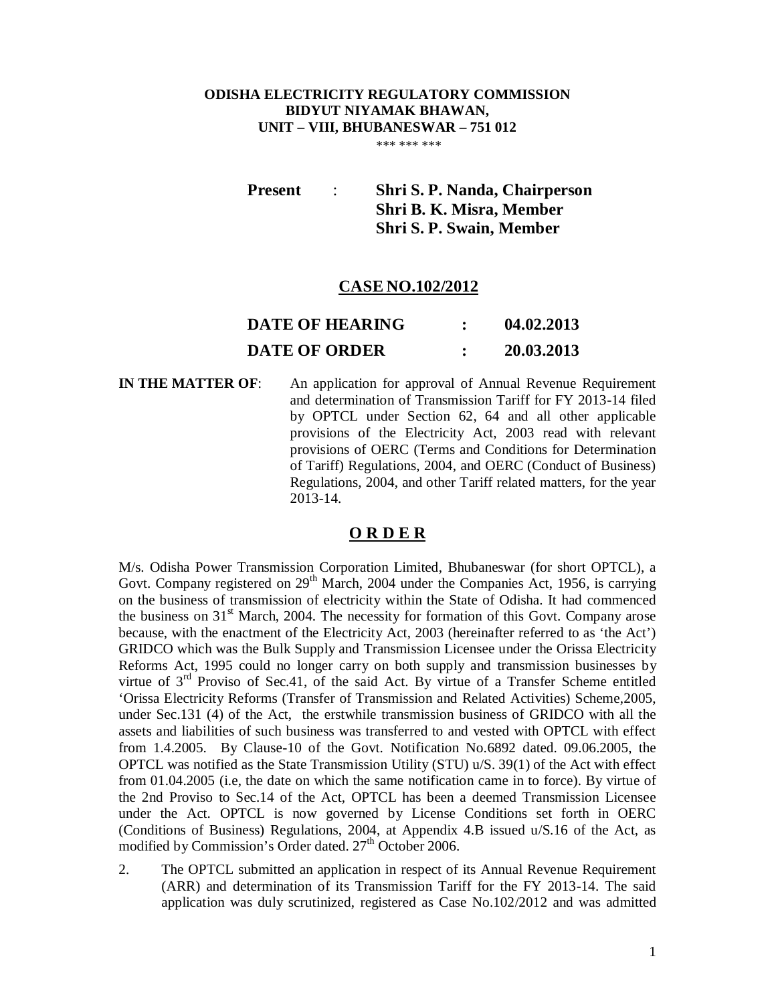# **ODISHA ELECTRICITY REGULATORY COMMISSION BIDYUT NIYAMAK BHAWAN, UNIT – VIII, BHUBANESWAR – 751 012**

\*\*\* \*\*\* \*\*\* \*\*\*

**Present** : **Shri S. P. Nanda, Chairperson Shri B. K. Misra, Member Shri S. P. Swain, Member**

# **CASE NO.102/2012**

| <b>DATE OF HEARING</b> | 04.02.2013 |
|------------------------|------------|
| <b>DATE OF ORDER</b>   | 20.03.2013 |

**IN THE MATTER OF:** An application for approval of Annual Revenue Requirement and determination of Transmission Tariff for FY 2013-14 filed by OPTCL under Section 62, 64 and all other applicable provisions of the Electricity Act, 2003 read with relevant provisions of OERC (Terms and Conditions for Determination of Tariff) Regulations, 2004, and OERC (Conduct of Business) Regulations, 2004, and other Tariff related matters, for the year 2013-14.

# **O R D E R**

M/s. Odisha Power Transmission Corporation Limited, Bhubaneswar (for short OPTCL), a Govt. Company registered on  $29<sup>th</sup>$  March, 2004 under the Companies Act, 1956, is carrying on the business of transmission of electricity within the State of Odisha. It had commenced the business on  $31<sup>st</sup>$  March, 2004. The necessity for formation of this Govt. Company arose because, with the enactment of the Electricity Act, 2003 (hereinafter referred to as 'the Act') GRIDCO which was the Bulk Supply and Transmission Licensee under the Orissa Electricity Reforms Act, 1995 could no longer carry on both supply and transmission businesses by virtue of  $3<sup>rd</sup>$  Proviso of Sec.41, of the said Act. By virtue of a Transfer Scheme entitled 'Orissa Electricity Reforms (Transfer of Transmission and Related Activities) Scheme,2005, under Sec.131 (4) of the Act, the erstwhile transmission business of GRIDCO with all the assets and liabilities of such business was transferred to and vested with OPTCL with effect from 1.4.2005. By Clause-10 of the Govt. Notification No.6892 dated. 09.06.2005, the OPTCL was notified as the State Transmission Utility (STU) u/S. 39(1) of the Act with effect from 01.04.2005 (i.e, the date on which the same notification came in to force). By virtue of the 2nd Proviso to Sec.14 of the Act, OPTCL has been a deemed Transmission Licensee under the Act. OPTCL is now governed by License Conditions set forth in OERC (Conditions of Business) Regulations, 2004, at Appendix 4.B issued u/S.16 of the Act, as modified by Commission's Order dated. 27<sup>th</sup> October 2006.

2. The OPTCL submitted an application in respect of its Annual Revenue Requirement (ARR) and determination of its Transmission Tariff for the FY 2013-14. The said application was duly scrutinized, registered as Case No.102/2012 and was admitted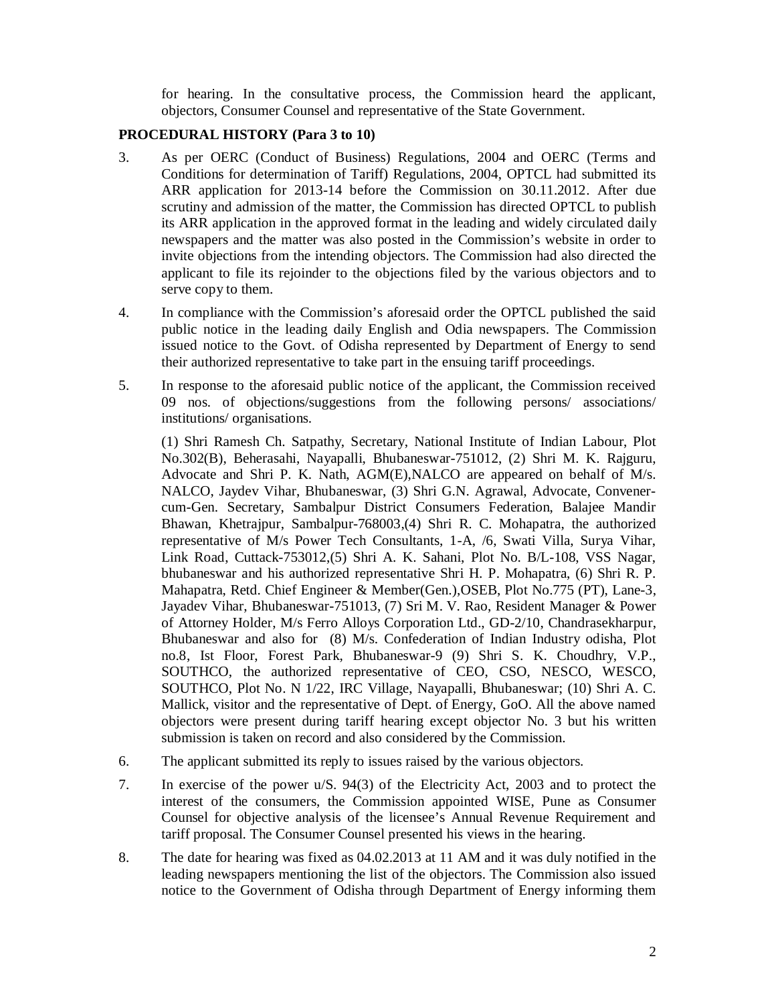for hearing. In the consultative process, the Commission heard the applicant, objectors, Consumer Counsel and representative of the State Government.

# **PROCEDURAL HISTORY (Para 3 to 10)**

- 3. As per OERC (Conduct of Business) Regulations, 2004 and OERC (Terms and Conditions for determination of Tariff) Regulations, 2004, OPTCL had submitted its ARR application for 2013-14 before the Commission on 30.11.2012. After due scrutiny and admission of the matter, the Commission has directed OPTCL to publish its ARR application in the approved format in the leading and widely circulated daily newspapers and the matter was also posted in the Commission's website in order to invite objections from the intending objectors. The Commission had also directed the applicant to file its rejoinder to the objections filed by the various objectors and to serve copy to them.
- 4. In compliance with the Commission's aforesaid order the OPTCL published the said public notice in the leading daily English and Odia newspapers. The Commission issued notice to the Govt. of Odisha represented by Department of Energy to send their authorized representative to take part in the ensuing tariff proceedings.
- 5. In response to the aforesaid public notice of the applicant, the Commission received 09 nos. of objections/suggestions from the following persons/ associations/ institutions/ organisations.

(1) Shri Ramesh Ch. Satpathy, Secretary, National Institute of Indian Labour, Plot No.302(B), Beherasahi, Nayapalli, Bhubaneswar-751012, (2) Shri M. K. Rajguru, Advocate and Shri P. K. Nath, AGM(E),NALCO are appeared on behalf of M/s. NALCO, Jaydev Vihar, Bhubaneswar, (3) Shri G.N. Agrawal, Advocate, Convenercum-Gen. Secretary, Sambalpur District Consumers Federation, Balajee Mandir Bhawan, Khetrajpur, Sambalpur-768003,(4) Shri R. C. Mohapatra, the authorized representative of M/s Power Tech Consultants, 1-A, /6, Swati Villa, Surya Vihar, Link Road, Cuttack-753012,(5) Shri A. K. Sahani, Plot No. B/L-108, VSS Nagar, bhubaneswar and his authorized representative Shri H. P. Mohapatra, (6) Shri R. P. Mahapatra, Retd. Chief Engineer & Member(Gen.),OSEB, Plot No.775 (PT), Lane-3, Jayadev Vihar, Bhubaneswar-751013, (7) Sri M. V. Rao, Resident Manager & Power of Attorney Holder, M/s Ferro Alloys Corporation Ltd., GD-2/10, Chandrasekharpur, Bhubaneswar and also for (8) M/s. Confederation of Indian Industry odisha, Plot no.8, Ist Floor, Forest Park, Bhubaneswar-9 (9) Shri S. K. Choudhry, V.P., SOUTHCO, the authorized representative of CEO, CSO, NESCO, WESCO, SOUTHCO, Plot No. N 1/22, IRC Village, Nayapalli, Bhubaneswar; (10) Shri A. C. Mallick, visitor and the representative of Dept. of Energy, GoO. All the above named objectors were present during tariff hearing except objector No. 3 but his written submission is taken on record and also considered by the Commission.

- 6. The applicant submitted its reply to issues raised by the various objectors.
- 7. In exercise of the power u/S. 94(3) of the Electricity Act, 2003 and to protect the interest of the consumers, the Commission appointed WISE, Pune as Consumer Counsel for objective analysis of the licensee's Annual Revenue Requirement and tariff proposal. The Consumer Counsel presented his views in the hearing.
- 8. The date for hearing was fixed as 04.02.2013 at 11 AM and it was duly notified in the leading newspapers mentioning the list of the objectors. The Commission also issued notice to the Government of Odisha through Department of Energy informing them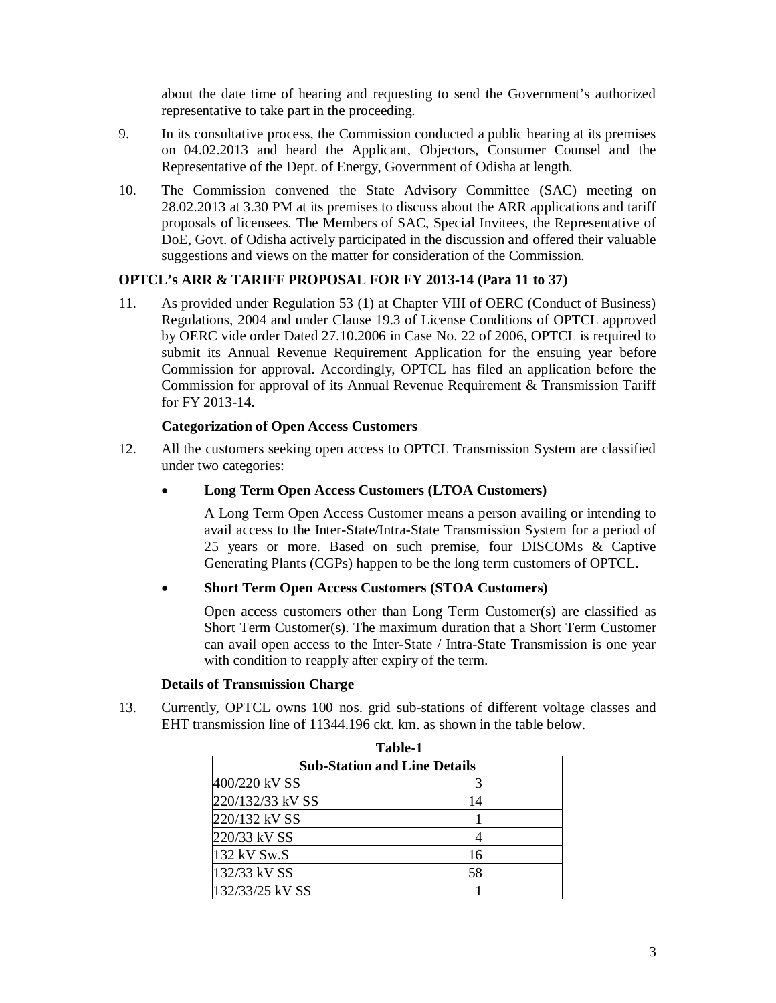about the date time of hearing and requesting to send the Government's authorized representative to take part in the proceeding.

- 9. In its consultative process, the Commission conducted a public hearing at its premises on 04.02.2013 and heard the Applicant, Objectors, Consumer Counsel and the Representative of the Dept. of Energy, Government of Odisha at length.
- 10. The Commission convened the State Advisory Committee (SAC) meeting on 28.02.2013 at 3.30 PM at its premises to discuss about the ARR applications and tariff proposals of licensees. The Members of SAC, Special Invitees, the Representative of DoE, Govt. of Odisha actively participated in the discussion and offered their valuable suggestions and views on the matter for consideration of the Commission.

# **OPTCL's ARR & TARIFF PROPOSAL FOR FY 2013-14 (Para 11 to 37)**

11. As provided under Regulation 53 (1) at Chapter VIII of OERC (Conduct of Business) Regulations, 2004 and under Clause 19.3 of License Conditions of OPTCL approved by OERC vide order Dated 27.10.2006 in Case No. 22 of 2006, OPTCL is required to submit its Annual Revenue Requirement Application for the ensuing year before Commission for approval. Accordingly, OPTCL has filed an application before the Commission for approval of its Annual Revenue Requirement & Transmission Tariff for FY 2013-14.

# **Categorization of Open Access Customers**

- 12. All the customers seeking open access to OPTCL Transmission System are classified under two categories:
	- **Long Term Open Access Customers (LTOA Customers)**

A Long Term Open Access Customer means a person availing or intending to avail access to the Inter-State/Intra-State Transmission System for a period of 25 years or more. Based on such premise, four DISCOMs & Captive Generating Plants (CGPs) happen to be the long term customers of OPTCL.

# **Short Term Open Access Customers (STOA Customers)**

Open access customers other than Long Term Customer(s) are classified as Short Term Customer(s). The maximum duration that a Short Term Customer can avail open access to the Inter-State / Intra-State Transmission is one year with condition to reapply after expiry of the term.

# **Details of Transmission Charge**

13. Currently, OPTCL owns 100 nos. grid sub-stations of different voltage classes and EHT transmission line of 11344.196 ckt. km. as shown in the table below.

| Table-1          |                                     |  |  |  |  |
|------------------|-------------------------------------|--|--|--|--|
|                  | <b>Sub-Station and Line Details</b> |  |  |  |  |
| 400/220 kV SS    |                                     |  |  |  |  |
| 220/132/33 kV SS | 14                                  |  |  |  |  |
| 220/132 kV SS    |                                     |  |  |  |  |
| 220/33 kV SS     |                                     |  |  |  |  |
| 132 kV Sw.S      | 16                                  |  |  |  |  |
| 132/33 kV SS     | 58                                  |  |  |  |  |
| 132/33/25 kV SS  |                                     |  |  |  |  |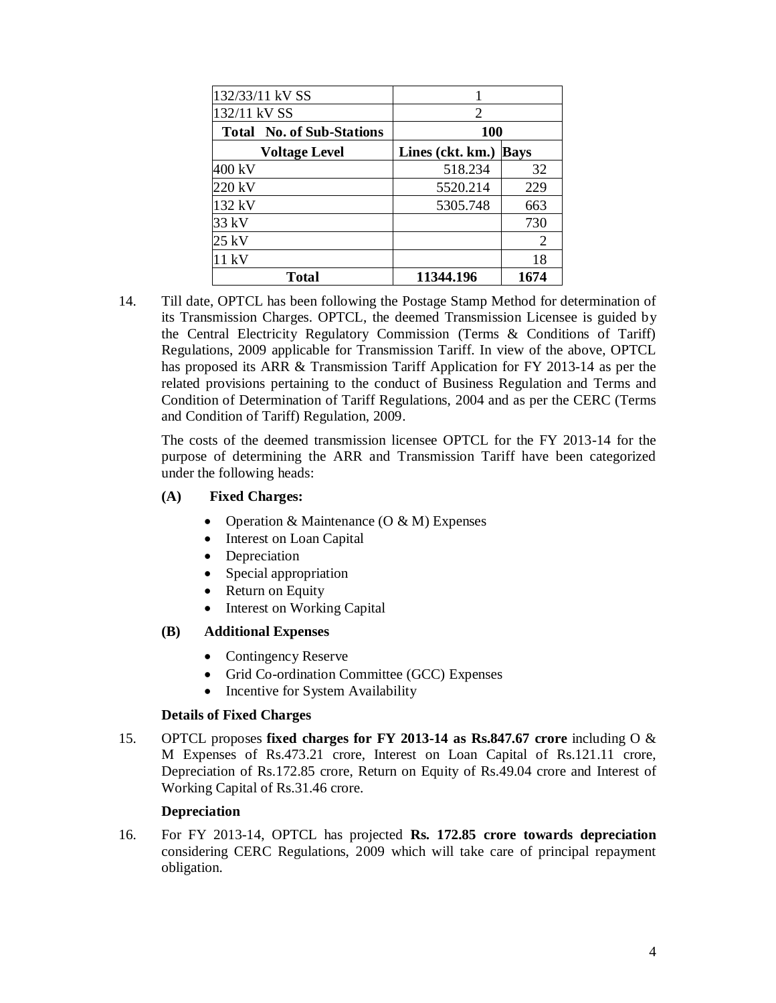| 132/33/11 kV SS                  |                  |             |  |
|----------------------------------|------------------|-------------|--|
| 132/11 kV SS                     | $\mathfrak{D}$   |             |  |
| <b>Total No. of Sub-Stations</b> | 100              |             |  |
| <b>Voltage Level</b>             | Lines (ckt. km.) | <b>Bays</b> |  |
| 400 kV                           | 518.234          | 32          |  |
| 220 kV                           | 5520.214         | 229         |  |
| 132 kV                           | 5305.748         | 663         |  |
| 33 kV                            |                  | 730         |  |
| 25 kV                            |                  | 2           |  |
| 11 kV                            |                  | 18          |  |
| <b>Total</b>                     | 11344.196        | 1674        |  |

14. Till date, OPTCL has been following the Postage Stamp Method for determination of its Transmission Charges. OPTCL, the deemed Transmission Licensee is guided by the Central Electricity Regulatory Commission (Terms & Conditions of Tariff) Regulations, 2009 applicable for Transmission Tariff. In view of the above, OPTCL has proposed its ARR & Transmission Tariff Application for FY 2013-14 as per the related provisions pertaining to the conduct of Business Regulation and Terms and Condition of Determination of Tariff Regulations, 2004 and as per the CERC (Terms and Condition of Tariff) Regulation, 2009.

The costs of the deemed transmission licensee OPTCL for the FY 2013-14 for the purpose of determining the ARR and Transmission Tariff have been categorized under the following heads:

# **(A) Fixed Charges:**

- Operation & Maintenance  $(O & M)$  Expenses
- Interest on Loan Capital
- Depreciation
- Special appropriation
- Return on Equity
- Interest on Working Capital

# **(B) Additional Expenses**

- Contingency Reserve
- Grid Co-ordination Committee (GCC) Expenses
- Incentive for System Availability

# **Details of Fixed Charges**

15. OPTCL proposes **fixed charges for FY 2013-14 as Rs.847.67 crore** including O & M Expenses of Rs.473.21 crore, Interest on Loan Capital of Rs.121.11 crore, Depreciation of Rs.172.85 crore, Return on Equity of Rs.49.04 crore and Interest of Working Capital of Rs.31.46 crore.

# **Depreciation**

16. For FY 2013-14, OPTCL has projected **Rs. 172.85 crore towards depreciation**  considering CERC Regulations, 2009 which will take care of principal repayment obligation.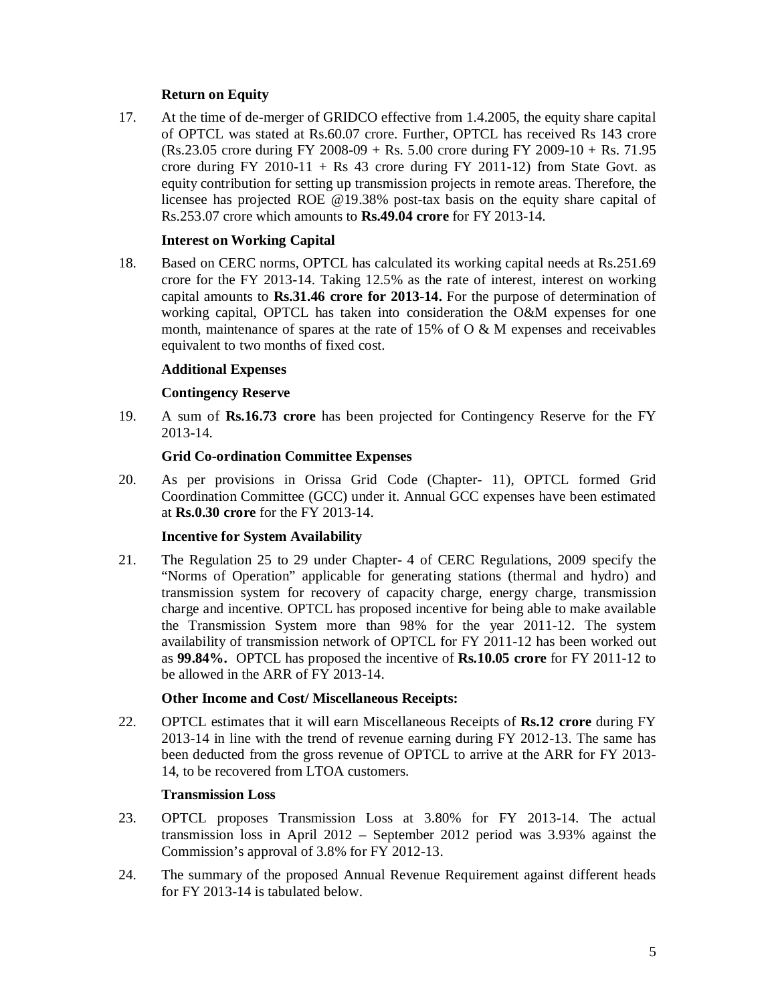# **Return on Equity**

17. At the time of de-merger of GRIDCO effective from 1.4.2005, the equity share capital of OPTCL was stated at Rs.60.07 crore. Further, OPTCL has received Rs 143 crore (Rs.23.05 crore during FY 2008-09 + Rs. 5.00 crore during FY 2009-10 + Rs. 71.95 crore during FY 2010-11 + Rs 43 crore during FY 2011-12) from State Govt. as equity contribution for setting up transmission projects in remote areas. Therefore, the licensee has projected ROE @19.38% post-tax basis on the equity share capital of Rs.253.07 crore which amounts to **Rs.49.04 crore** for FY 2013-14.

# **Interest on Working Capital**

18. Based on CERC norms, OPTCL has calculated its working capital needs at Rs.251.69 crore for the FY 2013-14. Taking 12.5% as the rate of interest, interest on working capital amounts to **Rs.31.46 crore for 2013-14.** For the purpose of determination of working capital, OPTCL has taken into consideration the O&M expenses for one month, maintenance of spares at the rate of  $15\%$  of O & M expenses and receivables equivalent to two months of fixed cost.

# **Additional Expenses**

# **Contingency Reserve**

19. A sum of **Rs.16.73 crore** has been projected for Contingency Reserve for the FY 2013-14.

# **Grid Co-ordination Committee Expenses**

20. As per provisions in Orissa Grid Code (Chapter- 11), OPTCL formed Grid Coordination Committee (GCC) under it. Annual GCC expenses have been estimated at **Rs.0.30 crore** for the FY 2013-14.

# **Incentive for System Availability**

21. The Regulation 25 to 29 under Chapter- 4 of CERC Regulations, 2009 specify the "Norms of Operation" applicable for generating stations (thermal and hydro) and transmission system for recovery of capacity charge, energy charge, transmission charge and incentive. OPTCL has proposed incentive for being able to make available the Transmission System more than 98% for the year 2011-12. The system availability of transmission network of OPTCL for FY 2011-12 has been worked out as **99.84%.** OPTCL has proposed the incentive of **Rs.10.05 crore** for FY 2011-12 to be allowed in the ARR of FY 2013-14.

# **Other Income and Cost/ Miscellaneous Receipts:**

22. OPTCL estimates that it will earn Miscellaneous Receipts of **Rs.12 crore** during FY 2013-14 in line with the trend of revenue earning during FY 2012-13. The same has been deducted from the gross revenue of OPTCL to arrive at the ARR for FY 2013- 14, to be recovered from LTOA customers.

# **Transmission Loss**

- 23. OPTCL proposes Transmission Loss at 3.80% for FY 2013-14. The actual transmission loss in April 2012 – September 2012 period was 3.93% against the Commission's approval of 3.8% for FY 2012-13.
- 24. The summary of the proposed Annual Revenue Requirement against different heads for FY 2013-14 is tabulated below.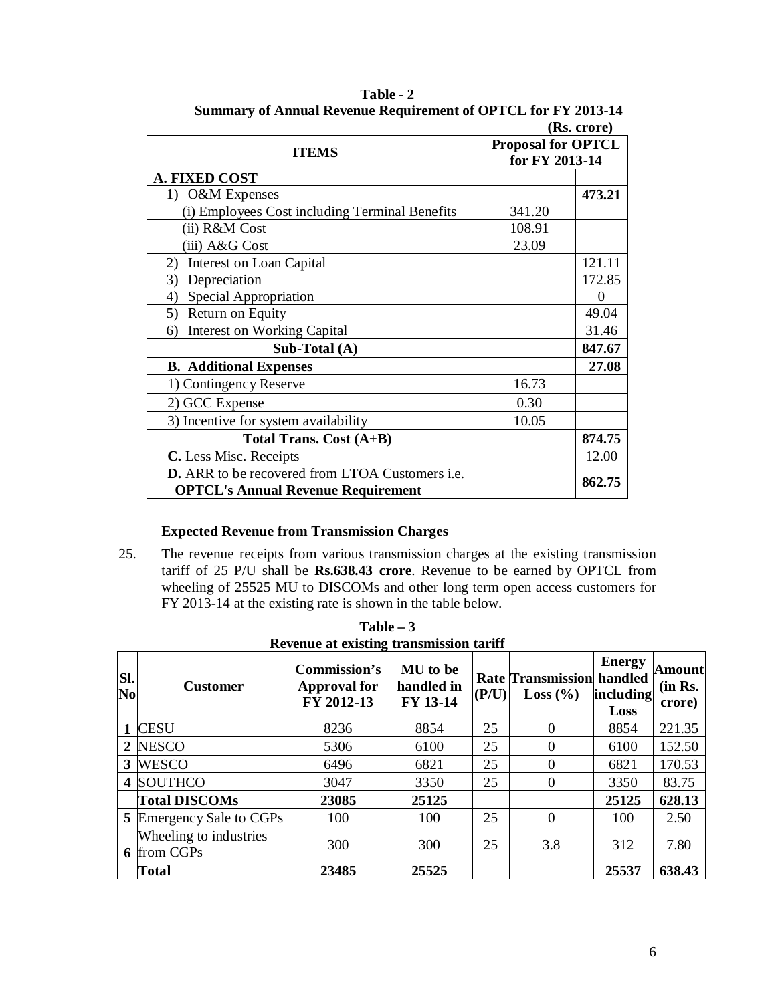| (Rs. crore)                                                   |                                             |          |  |  |
|---------------------------------------------------------------|---------------------------------------------|----------|--|--|
| <b>ITEMS</b>                                                  | <b>Proposal for OPTCL</b><br>for FY 2013-14 |          |  |  |
| <b>A. FIXED COST</b>                                          |                                             |          |  |  |
| O&M Expenses<br>1)                                            |                                             | 473.21   |  |  |
| (i) Employees Cost including Terminal Benefits                | 341.20                                      |          |  |  |
| (ii) R&M Cost                                                 | 108.91                                      |          |  |  |
| (iii) A&G Cost                                                | 23.09                                       |          |  |  |
| <b>Interest on Loan Capital</b><br>2)                         |                                             | 121.11   |  |  |
| 3)<br>Depreciation                                            |                                             | 172.85   |  |  |
| Special Appropriation<br>4)                                   |                                             | $\theta$ |  |  |
| Return on Equity<br>5)                                        |                                             | 49.04    |  |  |
| <b>Interest on Working Capital</b><br>6)                      |                                             | 31.46    |  |  |
| Sub-Total (A)                                                 |                                             | 847.67   |  |  |
| <b>B.</b> Additional Expenses                                 |                                             | 27.08    |  |  |
| 1) Contingency Reserve                                        | 16.73                                       |          |  |  |
| 2) GCC Expense                                                | 0.30                                        |          |  |  |
| 3) Incentive for system availability                          | 10.05                                       |          |  |  |
| Total Trans. Cost (A+B)                                       |                                             | 874.75   |  |  |
| C. Less Misc. Receipts                                        |                                             | 12.00    |  |  |
| <b>D.</b> ARR to be recovered from LTOA Customers <i>i.e.</i> |                                             | 862.75   |  |  |
| <b>OPTCL's Annual Revenue Requirement</b>                     |                                             |          |  |  |

**Table - 2 Summary of Annual Revenue Requirement of OPTCL for FY 2013-14**

# **Expected Revenue from Transmission Charges**

25. The revenue receipts from various transmission charges at the existing transmission tariff of 25 P/U shall be **Rs.638.43 crore**. Revenue to be earned by OPTCL from wheeling of 25525 MU to DISCOMs and other long term open access customers for FY 2013-14 at the existing rate is shown in the table below.

| SI.<br>N <sub>0</sub> | <b>Customer</b>                              | Commission's<br><b>Approval for</b><br>FY 2012-13 | <b>MU</b> to be<br>handled in<br>FY 13-14 | (P/U) | <b>Rate Transmission handled</b><br>Loss $(\% )$ | <b>Energy</b><br>including<br>Loss | Amountl<br>(in Rs.<br>crore) |
|-----------------------|----------------------------------------------|---------------------------------------------------|-------------------------------------------|-------|--------------------------------------------------|------------------------------------|------------------------------|
|                       | <b>CESU</b>                                  | 8236                                              | 8854                                      | 25    |                                                  | 8854                               | 221.35                       |
|                       | 2 NESCO                                      | 5306                                              | 6100                                      | 25    |                                                  | 6100                               | 152.50                       |
|                       | 3 WESCO                                      | 6496                                              | 6821                                      | 25    |                                                  | 6821                               | 170.53                       |
|                       | 4 SOUTHCO                                    | 3047                                              | 3350                                      | 25    |                                                  | 3350                               | 83.75                        |
|                       | <b>Total DISCOMs</b>                         | 23085                                             | 25125                                     |       |                                                  | 25125                              | 628.13                       |
|                       | <b>5</b> Emergency Sale to CGPs              | 100                                               | 100                                       | 25    |                                                  | 100                                | 2.50                         |
|                       | Wheeling to industries<br><b>6</b> from CGPs | 300                                               | 300                                       | 25    | 3.8                                              | 312                                | 7.80                         |
|                       | Total                                        | 23485                                             | 25525                                     |       |                                                  | 25537                              | 638.43                       |

**Table – 3 Revenue at existing transmission tariff**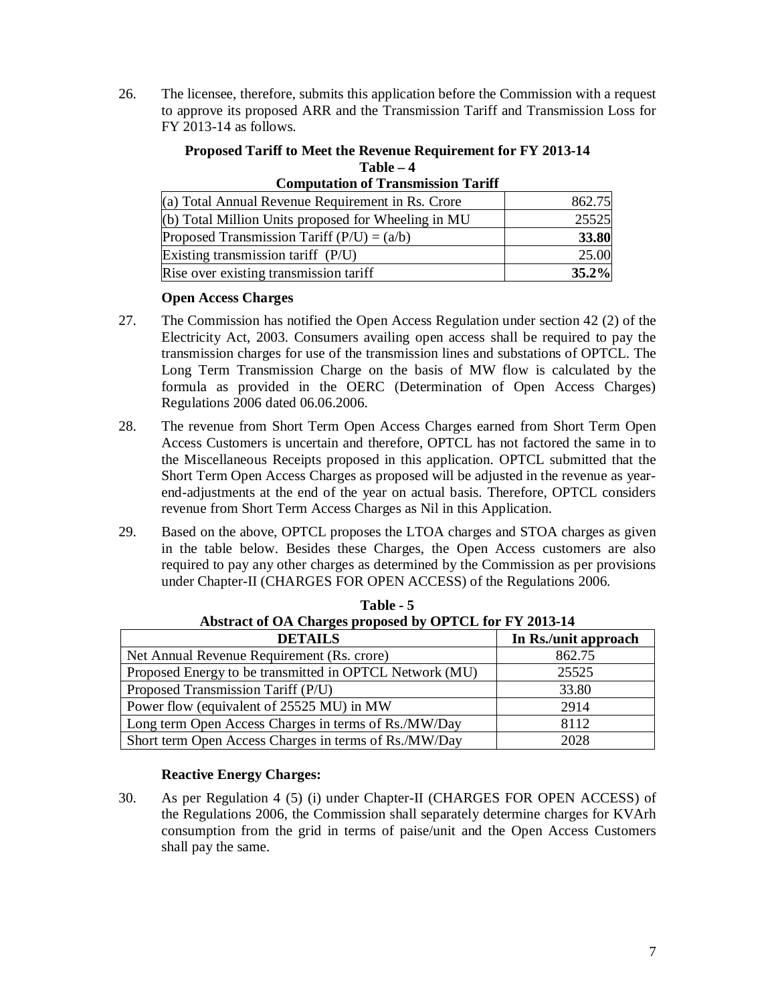26. The licensee, therefore, submits this application before the Commission with a request to approve its proposed ARR and the Transmission Tariff and Transmission Loss for FY 2013-14 as follows.

#### **Proposed Tariff to Meet the Revenue Requirement for FY 2013-14 Table – 4**

| Computation of Transmission Tarin                     |        |
|-------------------------------------------------------|--------|
| (a) Total Annual Revenue Requirement in Rs. Crore     | 862.75 |
| (b) Total Million Units proposed for Wheeling in $MU$ | 25525  |
| Proposed Transmission Tariff $(P/U) = (a/b)$          | 33.80  |
| Existing transmission tariff (P/U)                    | 25.00  |
| Rise over existing transmission tariff                | 35.2%  |

# **Computation of Transmission Tariff**

# **Open Access Charges**

- 27. The Commission has notified the Open Access Regulation under section 42 (2) of the Electricity Act, 2003. Consumers availing open access shall be required to pay the transmission charges for use of the transmission lines and substations of OPTCL. The Long Term Transmission Charge on the basis of MW flow is calculated by the formula as provided in the OERC (Determination of Open Access Charges) Regulations 2006 dated 06.06.2006.
- 28. The revenue from Short Term Open Access Charges earned from Short Term Open Access Customers is uncertain and therefore, OPTCL has not factored the same in to the Miscellaneous Receipts proposed in this application. OPTCL submitted that the Short Term Open Access Charges as proposed will be adjusted in the revenue as yearend-adjustments at the end of the year on actual basis. Therefore, OPTCL considers revenue from Short Term Access Charges as Nil in this Application.
- 29. Based on the above, OPTCL proposes the LTOA charges and STOA charges as given in the table below. Besides these Charges, the Open Access customers are also required to pay any other charges as determined by the Commission as per provisions under Chapter-II (CHARGES FOR OPEN ACCESS) of the Regulations 2006.

| Abstract of OA Charges proposed by OPTCL for FY 2013-14 |                      |  |  |  |  |
|---------------------------------------------------------|----------------------|--|--|--|--|
| <b>DETAILS</b>                                          | In Rs./unit approach |  |  |  |  |
| Net Annual Revenue Requirement (Rs. crore)              | 862.75               |  |  |  |  |
| Proposed Energy to be transmitted in OPTCL Network (MU) | 25525                |  |  |  |  |
| Proposed Transmission Tariff (P/U)                      | 33.80                |  |  |  |  |
| Power flow (equivalent of 25525 MU) in MW               | 2914                 |  |  |  |  |
| Long term Open Access Charges in terms of Rs./MW/Day    | 8112                 |  |  |  |  |
| Short term Open Access Charges in terms of Rs./MW/Day   | 2028                 |  |  |  |  |

**Table - 5 Abstract of OA Charges proposed by OPTCL for FY 2013-14**

# **Reactive Energy Charges:**

30. As per Regulation 4 (5) (i) under Chapter-II (CHARGES FOR OPEN ACCESS) of the Regulations 2006, the Commission shall separately determine charges for KVArh consumption from the grid in terms of paise/unit and the Open Access Customers shall pay the same.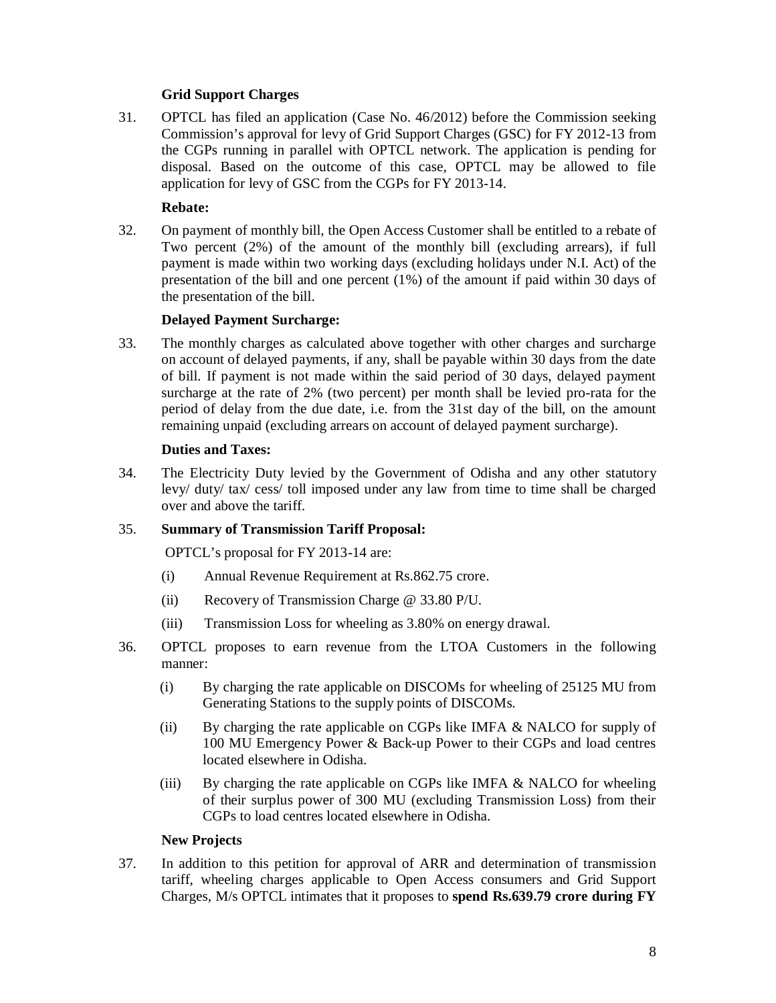# **Grid Support Charges**

31. OPTCL has filed an application (Case No. 46/2012) before the Commission seeking Commission's approval for levy of Grid Support Charges (GSC) for FY 2012-13 from the CGPs running in parallel with OPTCL network. The application is pending for disposal. Based on the outcome of this case, OPTCL may be allowed to file application for levy of GSC from the CGPs for FY 2013-14.

# **Rebate:**

32. On payment of monthly bill, the Open Access Customer shall be entitled to a rebate of Two percent (2%) of the amount of the monthly bill (excluding arrears), if full payment is made within two working days (excluding holidays under N.I. Act) of the presentation of the bill and one percent (1%) of the amount if paid within 30 days of the presentation of the bill.

# **Delayed Payment Surcharge:**

33. The monthly charges as calculated above together with other charges and surcharge on account of delayed payments, if any, shall be payable within 30 days from the date of bill. If payment is not made within the said period of 30 days, delayed payment surcharge at the rate of 2% (two percent) per month shall be levied pro-rata for the period of delay from the due date, i.e. from the 31st day of the bill, on the amount remaining unpaid (excluding arrears on account of delayed payment surcharge).

# **Duties and Taxes:**

34. The Electricity Duty levied by the Government of Odisha and any other statutory levy/ duty/ tax/ cess/ toll imposed under any law from time to time shall be charged over and above the tariff.

# 35. **Summary of Transmission Tariff Proposal:**

OPTCL's proposal for FY 2013-14 are:

- (i) Annual Revenue Requirement at Rs.862.75 crore.
- (ii) Recovery of Transmission Charge @ 33.80 P/U.
- (iii) Transmission Loss for wheeling as 3.80% on energy drawal.
- 36. OPTCL proposes to earn revenue from the LTOA Customers in the following manner:
	- (i) By charging the rate applicable on DISCOMs for wheeling of 25125 MU from Generating Stations to the supply points of DISCOMs.
	- (ii) By charging the rate applicable on CGPs like IMFA & NALCO for supply of 100 MU Emergency Power & Back-up Power to their CGPs and load centres located elsewhere in Odisha.
	- (iii) By charging the rate applicable on CGPs like IMFA  $&$  NALCO for wheeling of their surplus power of 300 MU (excluding Transmission Loss) from their CGPs to load centres located elsewhere in Odisha.

# **New Projects**

37. In addition to this petition for approval of ARR and determination of transmission tariff, wheeling charges applicable to Open Access consumers and Grid Support Charges, M/s OPTCL intimates that it proposes to **spend Rs.639.79 crore during FY**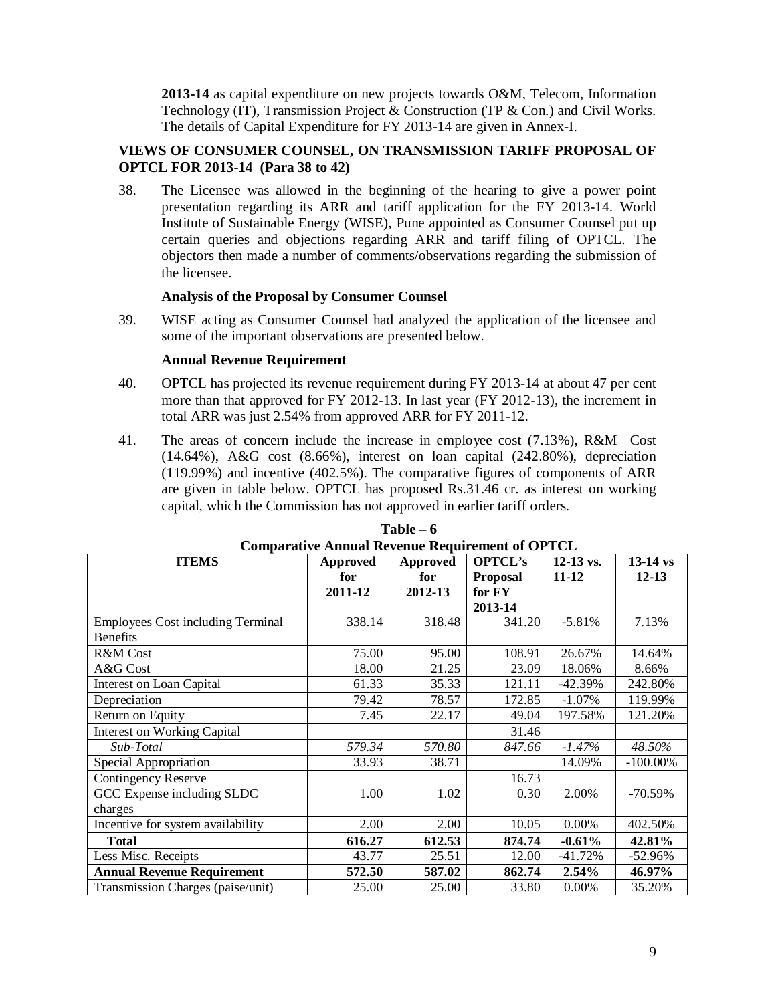**2013-14** as capital expenditure on new projects towards O&M, Telecom, Information Technology (IT), Transmission Project & Construction (TP & Con.) and Civil Works. The details of Capital Expenditure for FY 2013-14 are given in Annex-I.

# **VIEWS OF CONSUMER COUNSEL, ON TRANSMISSION TARIFF PROPOSAL OF OPTCL FOR 2013-14 (Para 38 to 42)**

38. The Licensee was allowed in the beginning of the hearing to give a power point presentation regarding its ARR and tariff application for the FY 2013-14. World Institute of Sustainable Energy (WISE), Pune appointed as Consumer Counsel put up certain queries and objections regarding ARR and tariff filing of OPTCL. The objectors then made a number of comments/observations regarding the submission of the licensee.

# **Analysis of the Proposal by Consumer Counsel**

39. WISE acting as Consumer Counsel had analyzed the application of the licensee and some of the important observations are presented below.

#### **Annual Revenue Requirement**

- 40. OPTCL has projected its revenue requirement during FY 2013-14 at about 47 per cent more than that approved for FY 2012-13. In last year (FY 2012-13), the increment in total ARR was just 2.54% from approved ARR for FY 2011-12.
- 41. The areas of concern include the increase in employee cost (7.13%), R&M Cost (14.64%), A&G cost (8.66%), interest on loan capital (242.80%), depreciation (119.99%) and incentive (402.5%). The comparative figures of components of ARR are given in table below. OPTCL has proposed Rs.31.46 cr. as interest on working capital, which the Commission has not approved in earlier tariff orders.

| Comparative Annual Revenue Requirement of Or FCL |         |         |                 |             |             |  |  |
|--------------------------------------------------|---------|---------|-----------------|-------------|-------------|--|--|
| <b>ITEMS</b><br><b>Approved</b><br>Approved      |         |         | <b>OPTCL's</b>  | $12-13$ vs. | $13-14$ vs  |  |  |
|                                                  | for     | for     | <b>Proposal</b> | $11 - 12$   | $12 - 13$   |  |  |
|                                                  | 2011-12 | 2012-13 | for FY          |             |             |  |  |
|                                                  |         |         | 2013-14         |             |             |  |  |
| <b>Employees Cost including Terminal</b>         | 338.14  | 318.48  | 341.20          | $-5.81%$    | 7.13%       |  |  |
| <b>Benefits</b>                                  |         |         |                 |             |             |  |  |
| <b>R&amp;M</b> Cost                              | 75.00   | 95.00   | 108.91          | 26.67%      | 14.64%      |  |  |
| A&G Cost                                         | 18.00   | 21.25   | 23.09           | 18.06%      | 8.66%       |  |  |
| Interest on Loan Capital                         | 61.33   | 35.33   | 121.11          | $-42.39%$   | 242.80%     |  |  |
| Depreciation                                     | 79.42   | 78.57   | 172.85          | $-1.07\%$   | 119.99%     |  |  |
| Return on Equity                                 | 7.45    | 22.17   | 49.04           | 197.58%     | 121.20%     |  |  |
| <b>Interest on Working Capital</b>               |         |         | 31.46           |             |             |  |  |
| Sub-Total                                        | 579.34  | 570.80  | 847.66          | $-1.47%$    | 48.50%      |  |  |
| Special Appropriation                            | 33.93   | 38.71   |                 | 14.09%      | $-100.00\%$ |  |  |
| <b>Contingency Reserve</b>                       |         |         | 16.73           |             |             |  |  |
| GCC Expense including SLDC                       | 1.00    | 1.02    | 0.30            | 2.00%       | $-70.59%$   |  |  |
| charges                                          |         |         |                 |             |             |  |  |
| Incentive for system availability                | 2.00    | 2.00    | 10.05           | 0.00%       | 402.50%     |  |  |
| <b>T</b> otal                                    | 616.27  | 612.53  | 874.74          | $-0.61%$    | 42.81%      |  |  |
| Less Misc. Receipts                              | 43.77   | 25.51   | 12.00           | $-41.72%$   | $-52.96%$   |  |  |
| <b>Annual Revenue Requirement</b>                | 572.50  | 587.02  | 862.74          | 2.54%       | 46.97%      |  |  |
| Transmission Charges (paise/unit)                | 25.00   | 25.00   | 33.80           | 0.00%       | 35.20%      |  |  |

# **Table – 6 Comparative Annual Revenue Requirement of OPTCL**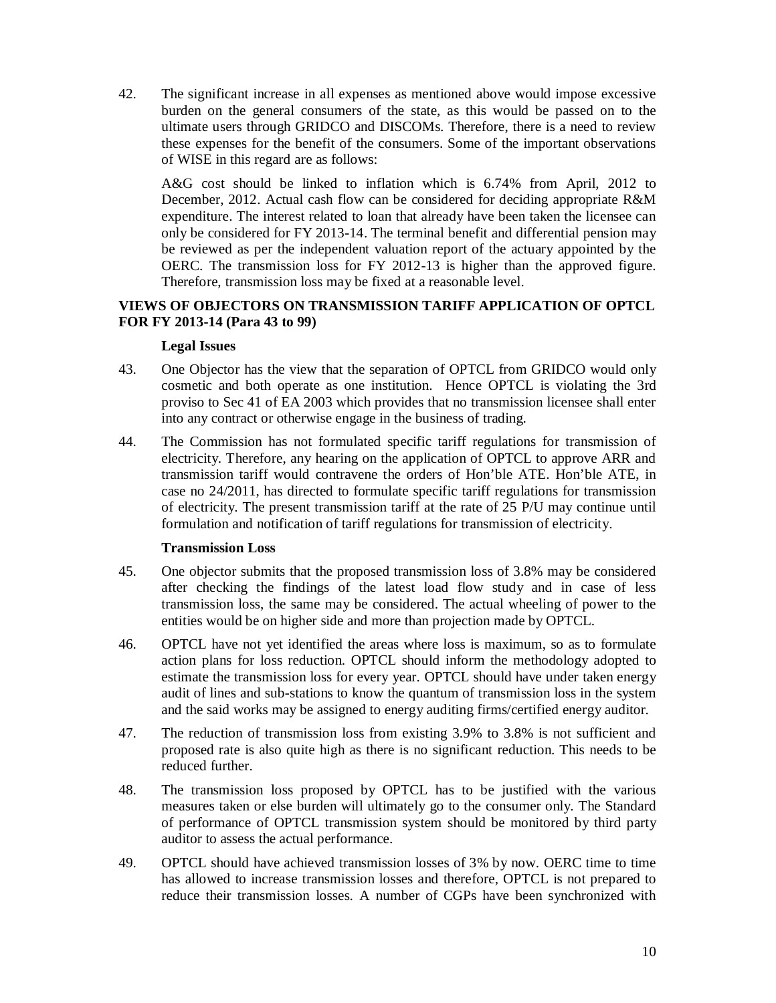42. The significant increase in all expenses as mentioned above would impose excessive burden on the general consumers of the state, as this would be passed on to the ultimate users through GRIDCO and DISCOMs. Therefore, there is a need to review these expenses for the benefit of the consumers. Some of the important observations of WISE in this regard are as follows:

A&G cost should be linked to inflation which is 6.74% from April, 2012 to December, 2012. Actual cash flow can be considered for deciding appropriate R&M expenditure. The interest related to loan that already have been taken the licensee can only be considered for FY 2013-14. The terminal benefit and differential pension may be reviewed as per the independent valuation report of the actuary appointed by the OERC. The transmission loss for FY 2012-13 is higher than the approved figure. Therefore, transmission loss may be fixed at a reasonable level.

# **VIEWS OF OBJECTORS ON TRANSMISSION TARIFF APPLICATION OF OPTCL FOR FY 2013-14 (Para 43 to 99)**

# **Legal Issues**

- 43. One Objector has the view that the separation of OPTCL from GRIDCO would only cosmetic and both operate as one institution. Hence OPTCL is violating the 3rd proviso to Sec 41 of EA 2003 which provides that no transmission licensee shall enter into any contract or otherwise engage in the business of trading.
- 44. The Commission has not formulated specific tariff regulations for transmission of electricity. Therefore, any hearing on the application of OPTCL to approve ARR and transmission tariff would contravene the orders of Hon'ble ATE. Hon'ble ATE, in case no 24/2011, has directed to formulate specific tariff regulations for transmission of electricity. The present transmission tariff at the rate of 25 P/U may continue until formulation and notification of tariff regulations for transmission of electricity.

# **Transmission Loss**

- 45. One objector submits that the proposed transmission loss of 3.8% may be considered after checking the findings of the latest load flow study and in case of less transmission loss, the same may be considered. The actual wheeling of power to the entities would be on higher side and more than projection made by OPTCL.
- 46. OPTCL have not yet identified the areas where loss is maximum, so as to formulate action plans for loss reduction. OPTCL should inform the methodology adopted to estimate the transmission loss for every year. OPTCL should have under taken energy audit of lines and sub-stations to know the quantum of transmission loss in the system and the said works may be assigned to energy auditing firms/certified energy auditor.
- 47. The reduction of transmission loss from existing 3.9% to 3.8% is not sufficient and proposed rate is also quite high as there is no significant reduction. This needs to be reduced further.
- 48. The transmission loss proposed by OPTCL has to be justified with the various measures taken or else burden will ultimately go to the consumer only. The Standard of performance of OPTCL transmission system should be monitored by third party auditor to assess the actual performance.
- 49. OPTCL should have achieved transmission losses of 3% by now. OERC time to time has allowed to increase transmission losses and therefore, OPTCL is not prepared to reduce their transmission losses. A number of CGPs have been synchronized with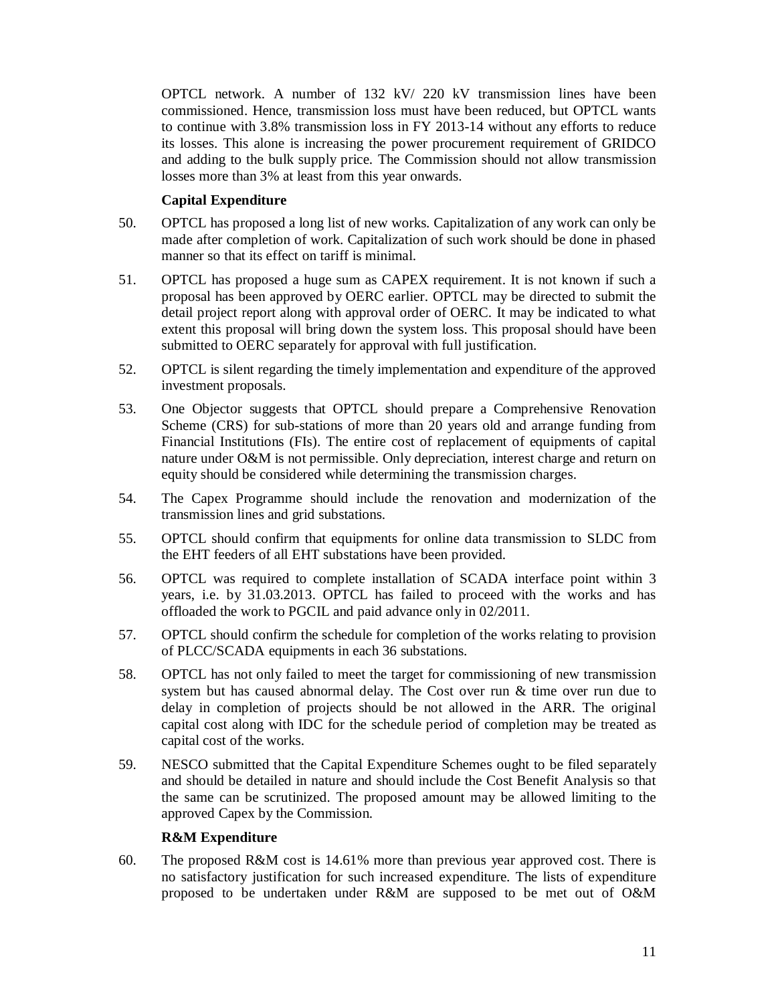OPTCL network. A number of 132 kV/ 220 kV transmission lines have been commissioned. Hence, transmission loss must have been reduced, but OPTCL wants to continue with 3.8% transmission loss in FY 2013-14 without any efforts to reduce its losses. This alone is increasing the power procurement requirement of GRIDCO and adding to the bulk supply price. The Commission should not allow transmission losses more than 3% at least from this year onwards.

# **Capital Expenditure**

- 50. OPTCL has proposed a long list of new works. Capitalization of any work can only be made after completion of work. Capitalization of such work should be done in phased manner so that its effect on tariff is minimal.
- 51. OPTCL has proposed a huge sum as CAPEX requirement. It is not known if such a proposal has been approved by OERC earlier. OPTCL may be directed to submit the detail project report along with approval order of OERC. It may be indicated to what extent this proposal will bring down the system loss. This proposal should have been submitted to OERC separately for approval with full justification.
- 52. OPTCL is silent regarding the timely implementation and expenditure of the approved investment proposals.
- 53. One Objector suggests that OPTCL should prepare a Comprehensive Renovation Scheme (CRS) for sub-stations of more than 20 years old and arrange funding from Financial Institutions (FIs). The entire cost of replacement of equipments of capital nature under O&M is not permissible. Only depreciation, interest charge and return on equity should be considered while determining the transmission charges.
- 54. The Capex Programme should include the renovation and modernization of the transmission lines and grid substations.
- 55. OPTCL should confirm that equipments for online data transmission to SLDC from the EHT feeders of all EHT substations have been provided.
- 56. OPTCL was required to complete installation of SCADA interface point within 3 years, i.e. by 31.03.2013. OPTCL has failed to proceed with the works and has offloaded the work to PGCIL and paid advance only in 02/2011.
- 57. OPTCL should confirm the schedule for completion of the works relating to provision of PLCC/SCADA equipments in each 36 substations.
- 58. OPTCL has not only failed to meet the target for commissioning of new transmission system but has caused abnormal delay. The Cost over run & time over run due to delay in completion of projects should be not allowed in the ARR. The original capital cost along with IDC for the schedule period of completion may be treated as capital cost of the works.
- 59. NESCO submitted that the Capital Expenditure Schemes ought to be filed separately and should be detailed in nature and should include the Cost Benefit Analysis so that the same can be scrutinized. The proposed amount may be allowed limiting to the approved Capex by the Commission.

# **R&M Expenditure**

60. The proposed R&M cost is 14.61% more than previous year approved cost. There is no satisfactory justification for such increased expenditure. The lists of expenditure proposed to be undertaken under R&M are supposed to be met out of O&M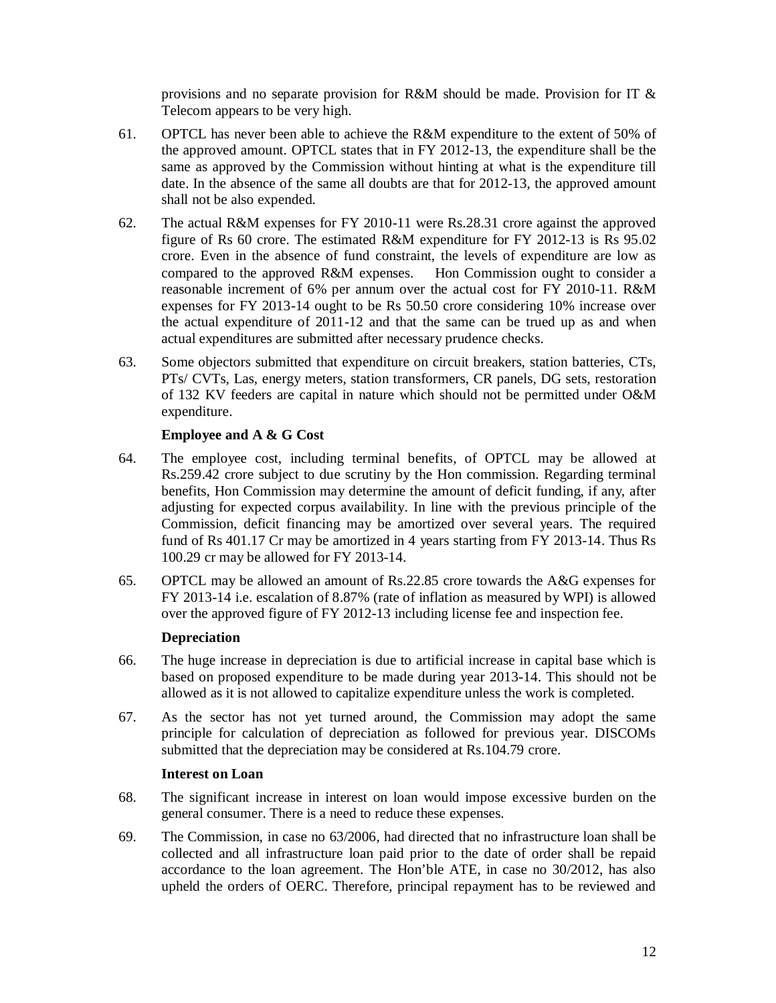provisions and no separate provision for R&M should be made. Provision for IT & Telecom appears to be very high.

- 61. OPTCL has never been able to achieve the R&M expenditure to the extent of 50% of the approved amount. OPTCL states that in FY 2012-13, the expenditure shall be the same as approved by the Commission without hinting at what is the expenditure till date. In the absence of the same all doubts are that for 2012-13, the approved amount shall not be also expended.
- 62. The actual R&M expenses for FY 2010-11 were Rs.28.31 crore against the approved figure of Rs 60 crore. The estimated R&M expenditure for FY 2012-13 is Rs 95.02 crore. Even in the absence of fund constraint, the levels of expenditure are low as compared to the approved R&M expenses. Hon Commission ought to consider a reasonable increment of 6% per annum over the actual cost for FY 2010-11. R&M expenses for FY 2013-14 ought to be Rs 50.50 crore considering 10% increase over the actual expenditure of 2011-12 and that the same can be trued up as and when actual expenditures are submitted after necessary prudence checks.
- 63. Some objectors submitted that expenditure on circuit breakers, station batteries, CTs, PTs/ CVTs, Las, energy meters, station transformers, CR panels, DG sets, restoration of 132 KV feeders are capital in nature which should not be permitted under O&M expenditure.

# **Employee and A & G Cost**

- 64. The employee cost, including terminal benefits, of OPTCL may be allowed at Rs.259.42 crore subject to due scrutiny by the Hon commission. Regarding terminal benefits, Hon Commission may determine the amount of deficit funding, if any, after adjusting for expected corpus availability. In line with the previous principle of the Commission, deficit financing may be amortized over several years. The required fund of Rs 401.17 Cr may be amortized in 4 years starting from FY 2013-14. Thus Rs 100.29 cr may be allowed for FY 2013-14.
- 65. OPTCL may be allowed an amount of Rs.22.85 crore towards the A&G expenses for FY 2013-14 i.e. escalation of 8.87% (rate of inflation as measured by WPI) is allowed over the approved figure of FY 2012-13 including license fee and inspection fee.

# **Depreciation**

- 66. The huge increase in depreciation is due to artificial increase in capital base which is based on proposed expenditure to be made during year 2013-14. This should not be allowed as it is not allowed to capitalize expenditure unless the work is completed.
- 67. As the sector has not yet turned around, the Commission may adopt the same principle for calculation of depreciation as followed for previous year. DISCOMs submitted that the depreciation may be considered at Rs.104.79 crore.

# **Interest on Loan**

- 68. The significant increase in interest on loan would impose excessive burden on the general consumer. There is a need to reduce these expenses.
- 69. The Commission, in case no 63/2006, had directed that no infrastructure loan shall be collected and all infrastructure loan paid prior to the date of order shall be repaid accordance to the loan agreement. The Hon'ble ATE, in case no 30/2012, has also upheld the orders of OERC. Therefore, principal repayment has to be reviewed and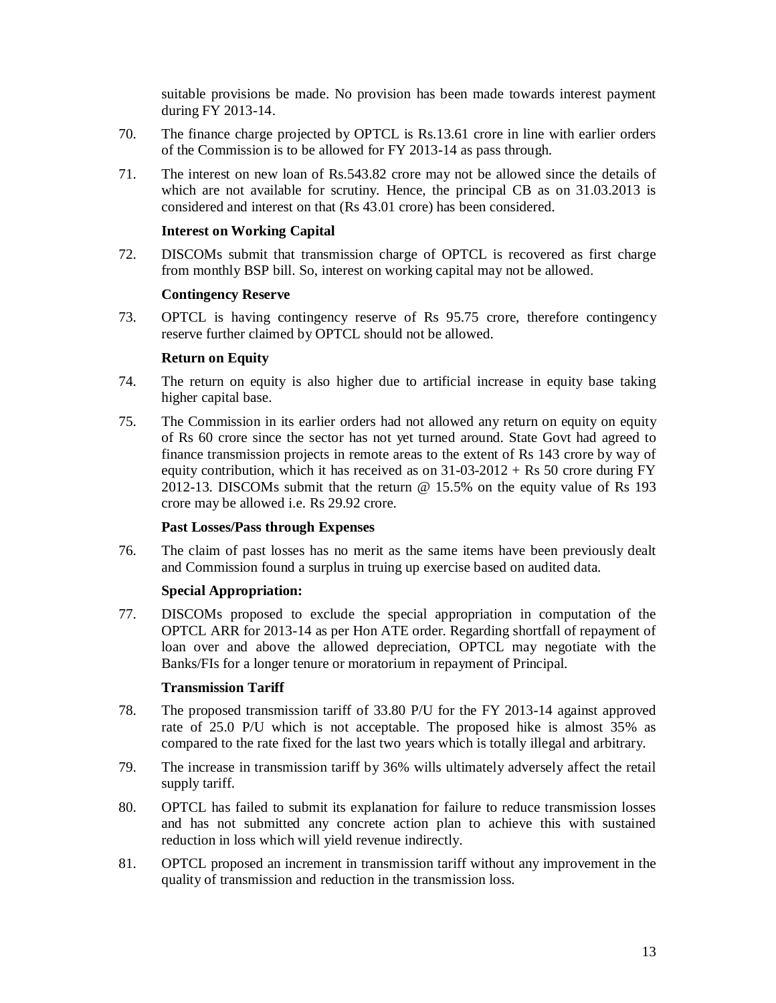suitable provisions be made. No provision has been made towards interest payment during FY 2013-14.

- 70. The finance charge projected by OPTCL is Rs.13.61 crore in line with earlier orders of the Commission is to be allowed for FY 2013-14 as pass through.
- 71. The interest on new loan of Rs.543.82 crore may not be allowed since the details of which are not available for scrutiny. Hence, the principal CB as on 31.03.2013 is considered and interest on that (Rs 43.01 crore) has been considered.

# **Interest on Working Capital**

72. DISCOMs submit that transmission charge of OPTCL is recovered as first charge from monthly BSP bill. So, interest on working capital may not be allowed.

#### **Contingency Reserve**

73. OPTCL is having contingency reserve of Rs 95.75 crore, therefore contingency reserve further claimed by OPTCL should not be allowed.

#### **Return on Equity**

- 74. The return on equity is also higher due to artificial increase in equity base taking higher capital base.
- 75. The Commission in its earlier orders had not allowed any return on equity on equity of Rs 60 crore since the sector has not yet turned around. State Govt had agreed to finance transmission projects in remote areas to the extent of Rs 143 crore by way of equity contribution, which it has received as on  $31{\text -}03{\text -}2012 + \text{Rs }50$  crore during FY 2012-13. DISCOMs submit that the return @ 15.5% on the equity value of Rs 193 crore may be allowed i.e. Rs 29.92 crore.

# **Past Losses/Pass through Expenses**

76. The claim of past losses has no merit as the same items have been previously dealt and Commission found a surplus in truing up exercise based on audited data.

# **Special Appropriation:**

77. DISCOMs proposed to exclude the special appropriation in computation of the OPTCL ARR for 2013-14 as per Hon ATE order. Regarding shortfall of repayment of loan over and above the allowed depreciation, OPTCL may negotiate with the Banks/FIs for a longer tenure or moratorium in repayment of Principal.

#### **Transmission Tariff**

- 78. The proposed transmission tariff of 33.80 P/U for the FY 2013-14 against approved rate of 25.0 P/U which is not acceptable. The proposed hike is almost 35% as compared to the rate fixed for the last two years which is totally illegal and arbitrary.
- 79. The increase in transmission tariff by 36% wills ultimately adversely affect the retail supply tariff.
- 80. OPTCL has failed to submit its explanation for failure to reduce transmission losses and has not submitted any concrete action plan to achieve this with sustained reduction in loss which will yield revenue indirectly.
- 81. OPTCL proposed an increment in transmission tariff without any improvement in the quality of transmission and reduction in the transmission loss.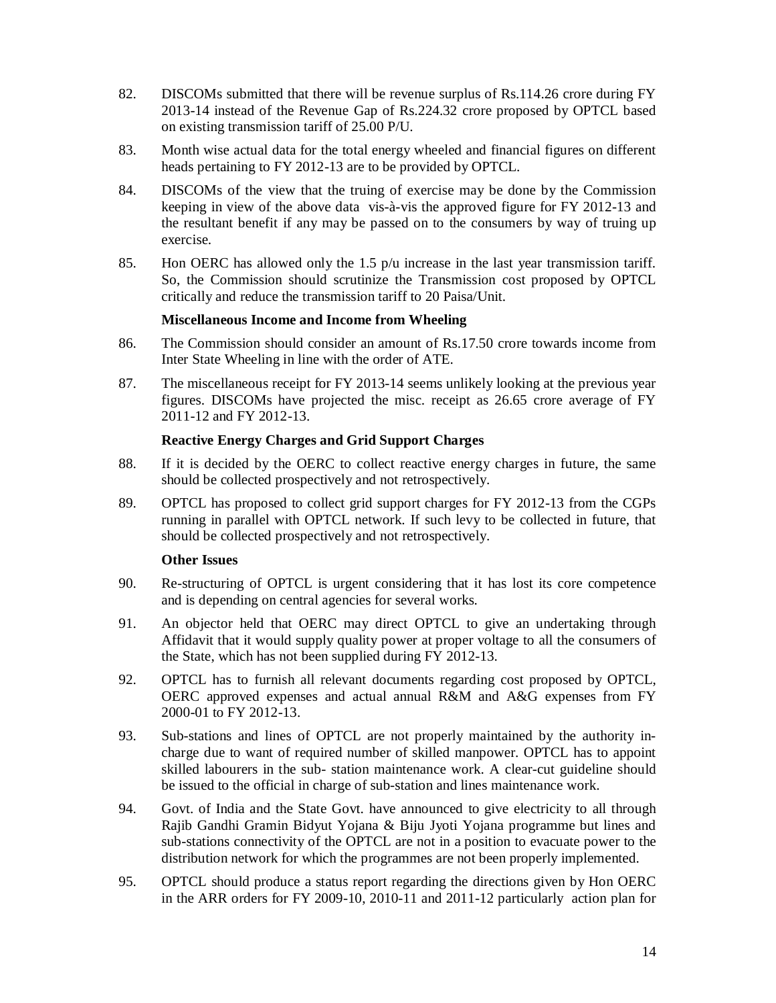- 82. DISCOMs submitted that there will be revenue surplus of Rs.114.26 crore during FY 2013-14 instead of the Revenue Gap of Rs.224.32 crore proposed by OPTCL based on existing transmission tariff of 25.00 P/U.
- 83. Month wise actual data for the total energy wheeled and financial figures on different heads pertaining to FY 2012-13 are to be provided by OPTCL.
- 84. DISCOMs of the view that the truing of exercise may be done by the Commission keeping in view of the above data vis-à-vis the approved figure for FY 2012-13 and the resultant benefit if any may be passed on to the consumers by way of truing up exercise.
- 85. Hon OERC has allowed only the 1.5  $p/u$  increase in the last year transmission tariff. So, the Commission should scrutinize the Transmission cost proposed by OPTCL critically and reduce the transmission tariff to 20 Paisa/Unit.

# **Miscellaneous Income and Income from Wheeling**

- 86. The Commission should consider an amount of Rs.17.50 crore towards income from Inter State Wheeling in line with the order of ATE.
- 87. The miscellaneous receipt for FY 2013-14 seems unlikely looking at the previous year figures. DISCOMs have projected the misc. receipt as 26.65 crore average of FY 2011-12 and FY 2012-13.

#### **Reactive Energy Charges and Grid Support Charges**

- 88. If it is decided by the OERC to collect reactive energy charges in future, the same should be collected prospectively and not retrospectively.
- 89. OPTCL has proposed to collect grid support charges for FY 2012-13 from the CGPs running in parallel with OPTCL network. If such levy to be collected in future, that should be collected prospectively and not retrospectively.

# **Other Issues**

- 90. Re-structuring of OPTCL is urgent considering that it has lost its core competence and is depending on central agencies for several works.
- 91. An objector held that OERC may direct OPTCL to give an undertaking through Affidavit that it would supply quality power at proper voltage to all the consumers of the State, which has not been supplied during FY 2012-13.
- 92. OPTCL has to furnish all relevant documents regarding cost proposed by OPTCL, OERC approved expenses and actual annual R&M and A&G expenses from FY 2000-01 to FY 2012-13.
- 93. Sub-stations and lines of OPTCL are not properly maintained by the authority incharge due to want of required number of skilled manpower. OPTCL has to appoint skilled labourers in the sub- station maintenance work. A clear-cut guideline should be issued to the official in charge of sub-station and lines maintenance work.
- 94. Govt. of India and the State Govt. have announced to give electricity to all through Rajib Gandhi Gramin Bidyut Yojana & Biju Jyoti Yojana programme but lines and sub-stations connectivity of the OPTCL are not in a position to evacuate power to the distribution network for which the programmes are not been properly implemented.
- 95. OPTCL should produce a status report regarding the directions given by Hon OERC in the ARR orders for FY 2009-10, 2010-11 and 2011-12 particularly action plan for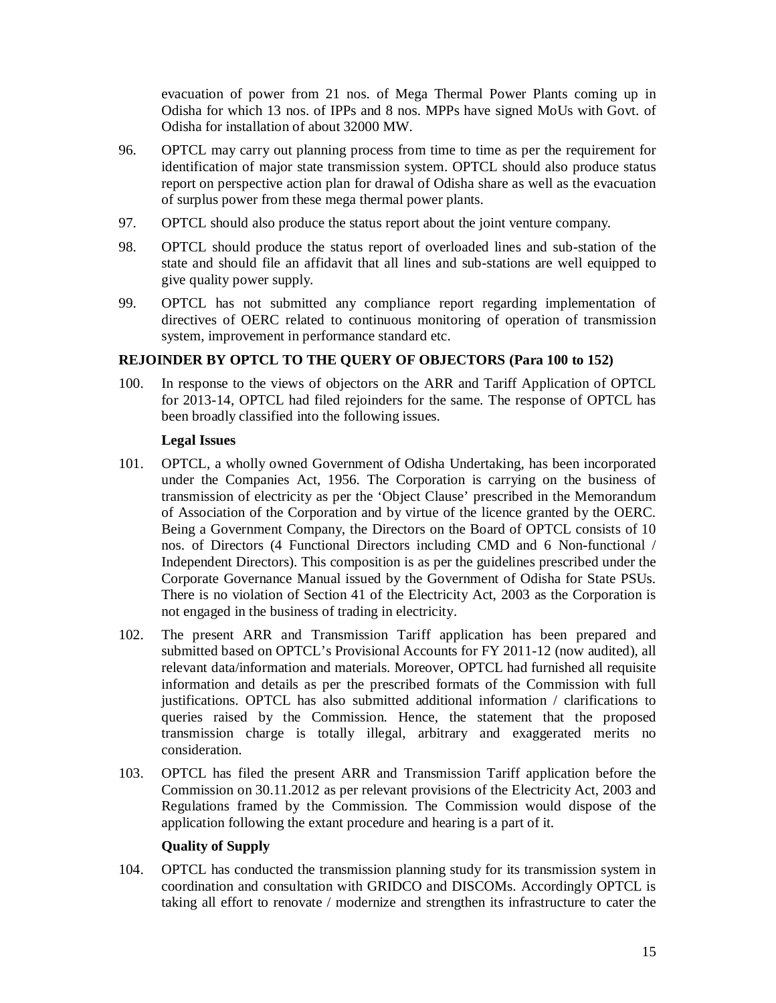evacuation of power from 21 nos. of Mega Thermal Power Plants coming up in Odisha for which 13 nos. of IPPs and 8 nos. MPPs have signed MoUs with Govt. of Odisha for installation of about 32000 MW.

- 96. OPTCL may carry out planning process from time to time as per the requirement for identification of major state transmission system. OPTCL should also produce status report on perspective action plan for drawal of Odisha share as well as the evacuation of surplus power from these mega thermal power plants.
- 97. OPTCL should also produce the status report about the joint venture company.
- 98. OPTCL should produce the status report of overloaded lines and sub-station of the state and should file an affidavit that all lines and sub-stations are well equipped to give quality power supply.
- 99. OPTCL has not submitted any compliance report regarding implementation of directives of OERC related to continuous monitoring of operation of transmission system, improvement in performance standard etc.

# **REJOINDER BY OPTCL TO THE QUERY OF OBJECTORS (Para 100 to 152)**

100. In response to the views of objectors on the ARR and Tariff Application of OPTCL for 2013-14, OPTCL had filed rejoinders for the same. The response of OPTCL has been broadly classified into the following issues.

# **Legal Issues**

- 101. OPTCL, a wholly owned Government of Odisha Undertaking, has been incorporated under the Companies Act, 1956. The Corporation is carrying on the business of transmission of electricity as per the 'Object Clause' prescribed in the Memorandum of Association of the Corporation and by virtue of the licence granted by the OERC. Being a Government Company, the Directors on the Board of OPTCL consists of 10 nos. of Directors (4 Functional Directors including CMD and 6 Non-functional / Independent Directors). This composition is as per the guidelines prescribed under the Corporate Governance Manual issued by the Government of Odisha for State PSUs. There is no violation of Section 41 of the Electricity Act, 2003 as the Corporation is not engaged in the business of trading in electricity.
- 102. The present ARR and Transmission Tariff application has been prepared and submitted based on OPTCL's Provisional Accounts for FY 2011-12 (now audited), all relevant data/information and materials. Moreover, OPTCL had furnished all requisite information and details as per the prescribed formats of the Commission with full justifications. OPTCL has also submitted additional information / clarifications to queries raised by the Commission. Hence, the statement that the proposed transmission charge is totally illegal, arbitrary and exaggerated merits no consideration.
- 103. OPTCL has filed the present ARR and Transmission Tariff application before the Commission on 30.11.2012 as per relevant provisions of the Electricity Act, 2003 and Regulations framed by the Commission. The Commission would dispose of the application following the extant procedure and hearing is a part of it.

# **Quality of Supply**

104. OPTCL has conducted the transmission planning study for its transmission system in coordination and consultation with GRIDCO and DISCOMs. Accordingly OPTCL is taking all effort to renovate / modernize and strengthen its infrastructure to cater the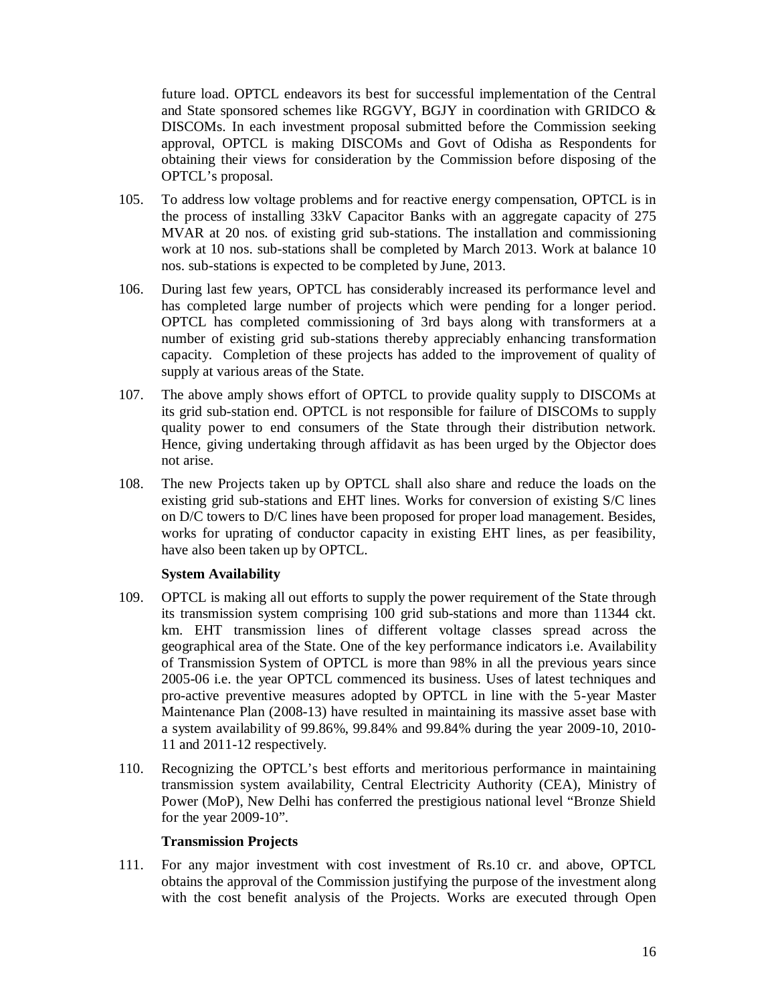future load. OPTCL endeavors its best for successful implementation of the Central and State sponsored schemes like RGGVY, BGJY in coordination with GRIDCO & DISCOMs. In each investment proposal submitted before the Commission seeking approval, OPTCL is making DISCOMs and Govt of Odisha as Respondents for obtaining their views for consideration by the Commission before disposing of the OPTCL's proposal.

- 105. To address low voltage problems and for reactive energy compensation, OPTCL is in the process of installing 33kV Capacitor Banks with an aggregate capacity of 275 MVAR at 20 nos. of existing grid sub-stations. The installation and commissioning work at 10 nos. sub-stations shall be completed by March 2013. Work at balance 10 nos. sub-stations is expected to be completed by June, 2013.
- 106. During last few years, OPTCL has considerably increased its performance level and has completed large number of projects which were pending for a longer period. OPTCL has completed commissioning of 3rd bays along with transformers at a number of existing grid sub-stations thereby appreciably enhancing transformation capacity. Completion of these projects has added to the improvement of quality of supply at various areas of the State.
- 107. The above amply shows effort of OPTCL to provide quality supply to DISCOMs at its grid sub-station end. OPTCL is not responsible for failure of DISCOMs to supply quality power to end consumers of the State through their distribution network. Hence, giving undertaking through affidavit as has been urged by the Objector does not arise.
- 108. The new Projects taken up by OPTCL shall also share and reduce the loads on the existing grid sub-stations and EHT lines. Works for conversion of existing S/C lines on D/C towers to D/C lines have been proposed for proper load management. Besides, works for uprating of conductor capacity in existing EHT lines, as per feasibility, have also been taken up by OPTCL.

# **System Availability**

- 109. OPTCL is making all out efforts to supply the power requirement of the State through its transmission system comprising 100 grid sub-stations and more than 11344 ckt. km. EHT transmission lines of different voltage classes spread across the geographical area of the State. One of the key performance indicators i.e. Availability of Transmission System of OPTCL is more than 98% in all the previous years since 2005-06 i.e. the year OPTCL commenced its business. Uses of latest techniques and pro-active preventive measures adopted by OPTCL in line with the 5-year Master Maintenance Plan (2008-13) have resulted in maintaining its massive asset base with a system availability of 99.86%, 99.84% and 99.84% during the year 2009-10, 2010- 11 and 2011-12 respectively.
- 110. Recognizing the OPTCL's best efforts and meritorious performance in maintaining transmission system availability, Central Electricity Authority (CEA), Ministry of Power (MoP), New Delhi has conferred the prestigious national level "Bronze Shield for the year 2009-10".

# **Transmission Projects**

111. For any major investment with cost investment of Rs.10 cr. and above, OPTCL obtains the approval of the Commission justifying the purpose of the investment along with the cost benefit analysis of the Projects. Works are executed through Open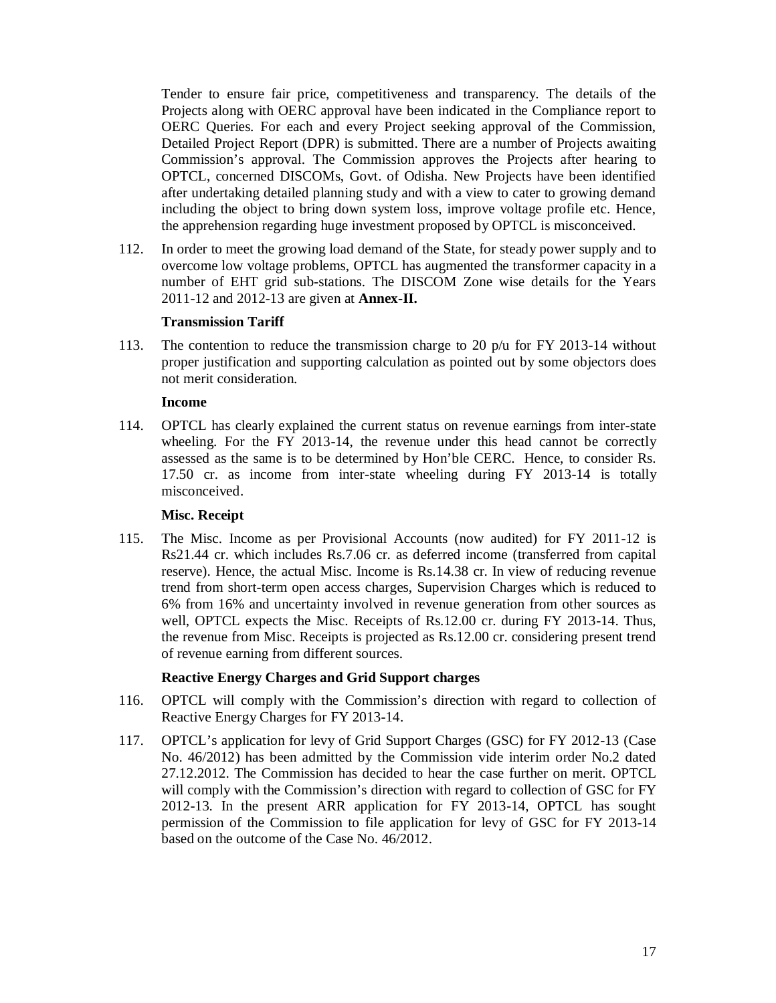Tender to ensure fair price, competitiveness and transparency. The details of the Projects along with OERC approval have been indicated in the Compliance report to OERC Queries. For each and every Project seeking approval of the Commission, Detailed Project Report (DPR) is submitted. There are a number of Projects awaiting Commission's approval. The Commission approves the Projects after hearing to OPTCL, concerned DISCOMs, Govt. of Odisha. New Projects have been identified after undertaking detailed planning study and with a view to cater to growing demand including the object to bring down system loss, improve voltage profile etc. Hence, the apprehension regarding huge investment proposed by OPTCL is misconceived.

112. In order to meet the growing load demand of the State, for steady power supply and to overcome low voltage problems, OPTCL has augmented the transformer capacity in a number of EHT grid sub-stations. The DISCOM Zone wise details for the Years 2011-12 and 2012-13 are given at **Annex-II.**

#### **Transmission Tariff**

113. The contention to reduce the transmission charge to 20 p/u for FY 2013-14 without proper justification and supporting calculation as pointed out by some objectors does not merit consideration.

#### **Income**

114. OPTCL has clearly explained the current status on revenue earnings from inter-state wheeling. For the FY 2013-14, the revenue under this head cannot be correctly assessed as the same is to be determined by Hon'ble CERC. Hence, to consider Rs. 17.50 cr. as income from inter-state wheeling during FY 2013-14 is totally misconceived.

# **Misc. Receipt**

115. The Misc. Income as per Provisional Accounts (now audited) for FY 2011-12 is Rs21.44 cr. which includes Rs.7.06 cr. as deferred income (transferred from capital reserve). Hence, the actual Misc. Income is Rs.14.38 cr. In view of reducing revenue trend from short-term open access charges, Supervision Charges which is reduced to 6% from 16% and uncertainty involved in revenue generation from other sources as well, OPTCL expects the Misc. Receipts of Rs.12.00 cr. during FY 2013-14. Thus, the revenue from Misc. Receipts is projected as Rs.12.00 cr. considering present trend of revenue earning from different sources.

# **Reactive Energy Charges and Grid Support charges**

- 116. OPTCL will comply with the Commission's direction with regard to collection of Reactive Energy Charges for FY 2013-14.
- 117. OPTCL's application for levy of Grid Support Charges (GSC) for FY 2012-13 (Case No. 46/2012) has been admitted by the Commission vide interim order No.2 dated 27.12.2012. The Commission has decided to hear the case further on merit. OPTCL will comply with the Commission's direction with regard to collection of GSC for FY 2012-13. In the present ARR application for FY 2013-14, OPTCL has sought permission of the Commission to file application for levy of GSC for FY 2013-14 based on the outcome of the Case No. 46/2012.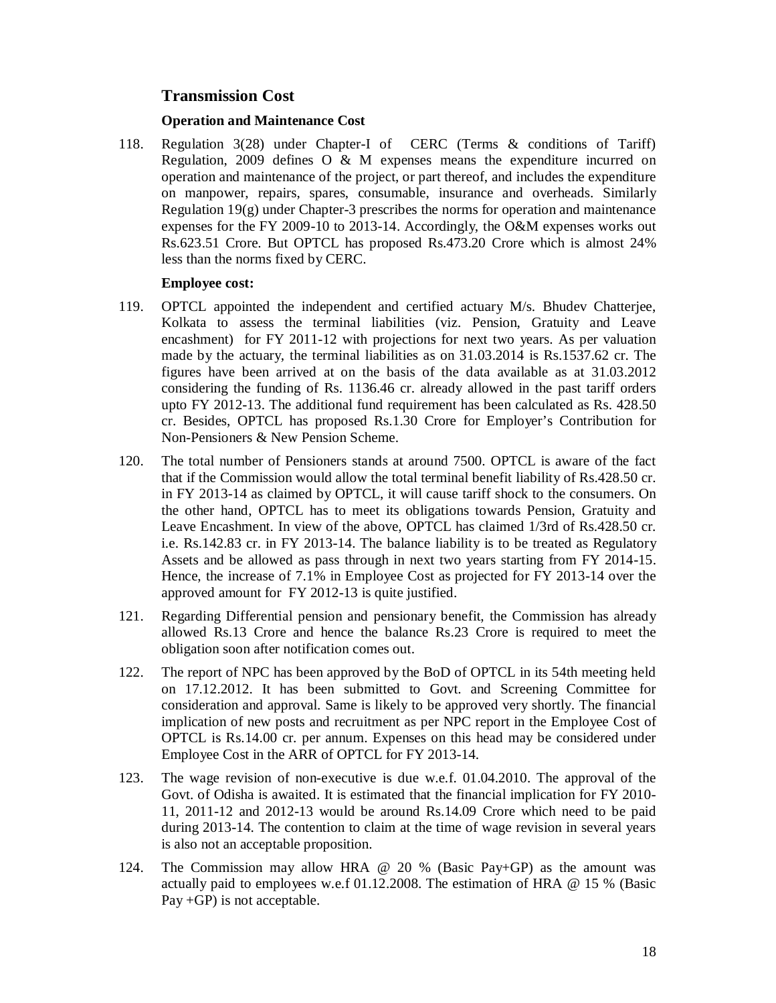# **Transmission Cost**

# **Operation and Maintenance Cost**

118. Regulation 3(28) under Chapter-I of CERC (Terms & conditions of Tariff) Regulation, 2009 defines O & M expenses means the expenditure incurred on operation and maintenance of the project, or part thereof, and includes the expenditure on manpower, repairs, spares, consumable, insurance and overheads. Similarly Regulation  $19(g)$  under Chapter-3 prescribes the norms for operation and maintenance expenses for the FY 2009-10 to 2013-14. Accordingly, the O&M expenses works out Rs.623.51 Crore. But OPTCL has proposed Rs.473.20 Crore which is almost 24% less than the norms fixed by CERC.

# **Employee cost:**

- 119. OPTCL appointed the independent and certified actuary M/s. Bhudev Chatterjee, Kolkata to assess the terminal liabilities (viz. Pension, Gratuity and Leave encashment) for FY 2011-12 with projections for next two years. As per valuation made by the actuary, the terminal liabilities as on 31.03.2014 is Rs.1537.62 cr. The figures have been arrived at on the basis of the data available as at 31.03.2012 considering the funding of Rs. 1136.46 cr. already allowed in the past tariff orders upto FY 2012-13. The additional fund requirement has been calculated as Rs. 428.50 cr. Besides, OPTCL has proposed Rs.1.30 Crore for Employer's Contribution for Non-Pensioners & New Pension Scheme.
- 120. The total number of Pensioners stands at around 7500. OPTCL is aware of the fact that if the Commission would allow the total terminal benefit liability of Rs.428.50 cr. in FY 2013-14 as claimed by OPTCL, it will cause tariff shock to the consumers. On the other hand, OPTCL has to meet its obligations towards Pension, Gratuity and Leave Encashment. In view of the above, OPTCL has claimed 1/3rd of Rs.428.50 cr. i.e. Rs.142.83 cr. in FY 2013-14. The balance liability is to be treated as Regulatory Assets and be allowed as pass through in next two years starting from FY 2014-15. Hence, the increase of 7.1% in Employee Cost as projected for FY 2013-14 over the approved amount for FY 2012-13 is quite justified.
- 121. Regarding Differential pension and pensionary benefit, the Commission has already allowed Rs.13 Crore and hence the balance Rs.23 Crore is required to meet the obligation soon after notification comes out.
- 122. The report of NPC has been approved by the BoD of OPTCL in its 54th meeting held on 17.12.2012. It has been submitted to Govt. and Screening Committee for consideration and approval. Same is likely to be approved very shortly. The financial implication of new posts and recruitment as per NPC report in the Employee Cost of OPTCL is Rs.14.00 cr. per annum. Expenses on this head may be considered under Employee Cost in the ARR of OPTCL for FY 2013-14.
- 123. The wage revision of non-executive is due w.e.f. 01.04.2010. The approval of the Govt. of Odisha is awaited. It is estimated that the financial implication for FY 2010- 11, 2011-12 and 2012-13 would be around Rs.14.09 Crore which need to be paid during 2013-14. The contention to claim at the time of wage revision in several years is also not an acceptable proposition.
- 124. The Commission may allow HRA @ 20 % (Basic Pay+GP) as the amount was actually paid to employees w.e.f 01.12.2008. The estimation of HRA @ 15 % (Basic Pay +GP) is not acceptable.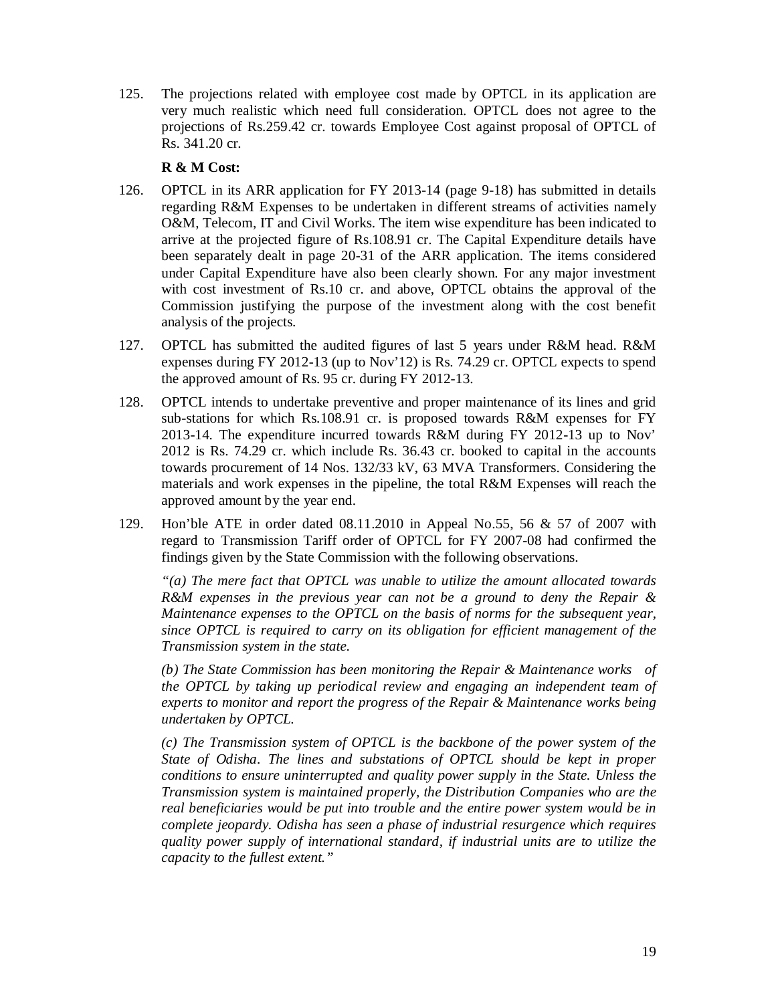125. The projections related with employee cost made by OPTCL in its application are very much realistic which need full consideration. OPTCL does not agree to the projections of Rs.259.42 cr. towards Employee Cost against proposal of OPTCL of Rs. 341.20 cr.

# **R & M Cost:**

- 126. OPTCL in its ARR application for FY 2013-14 (page 9-18) has submitted in details regarding R&M Expenses to be undertaken in different streams of activities namely O&M, Telecom, IT and Civil Works. The item wise expenditure has been indicated to arrive at the projected figure of Rs.108.91 cr. The Capital Expenditure details have been separately dealt in page 20-31 of the ARR application. The items considered under Capital Expenditure have also been clearly shown. For any major investment with cost investment of Rs.10 cr. and above, OPTCL obtains the approval of the Commission justifying the purpose of the investment along with the cost benefit analysis of the projects.
- 127. OPTCL has submitted the audited figures of last 5 years under R&M head. R&M expenses during FY 2012-13 (up to Nov'12) is Rs. 74.29 cr. OPTCL expects to spend the approved amount of Rs. 95 cr. during FY 2012-13.
- 128. OPTCL intends to undertake preventive and proper maintenance of its lines and grid sub-stations for which Rs.108.91 cr. is proposed towards R&M expenses for FY 2013-14. The expenditure incurred towards R&M during FY 2012-13 up to Nov' 2012 is Rs. 74.29 cr. which include Rs. 36.43 cr. booked to capital in the accounts towards procurement of 14 Nos. 132/33 kV, 63 MVA Transformers. Considering the materials and work expenses in the pipeline, the total R&M Expenses will reach the approved amount by the year end.
- 129. Hon'ble ATE in order dated 08.11.2010 in Appeal No.55, 56 & 57 of 2007 with regard to Transmission Tariff order of OPTCL for FY 2007-08 had confirmed the findings given by the State Commission with the following observations.

*"(a) The mere fact that OPTCL was unable to utilize the amount allocated towards R&M expenses in the previous year can not be a ground to deny the Repair & Maintenance expenses to the OPTCL on the basis of norms for the subsequent year, since OPTCL is required to carry on its obligation for efficient management of the Transmission system in the state.*

*(b) The State Commission has been monitoring the Repair & Maintenance works of the OPTCL by taking up periodical review and engaging an independent team of experts to monitor and report the progress of the Repair & Maintenance works being undertaken by OPTCL.* 

*(c) The Transmission system of OPTCL is the backbone of the power system of the State of Odisha. The lines and substations of OPTCL should be kept in proper conditions to ensure uninterrupted and quality power supply in the State. Unless the Transmission system is maintained properly, the Distribution Companies who are the real beneficiaries would be put into trouble and the entire power system would be in complete jeopardy. Odisha has seen a phase of industrial resurgence which requires quality power supply of international standard, if industrial units are to utilize the capacity to the fullest extent."*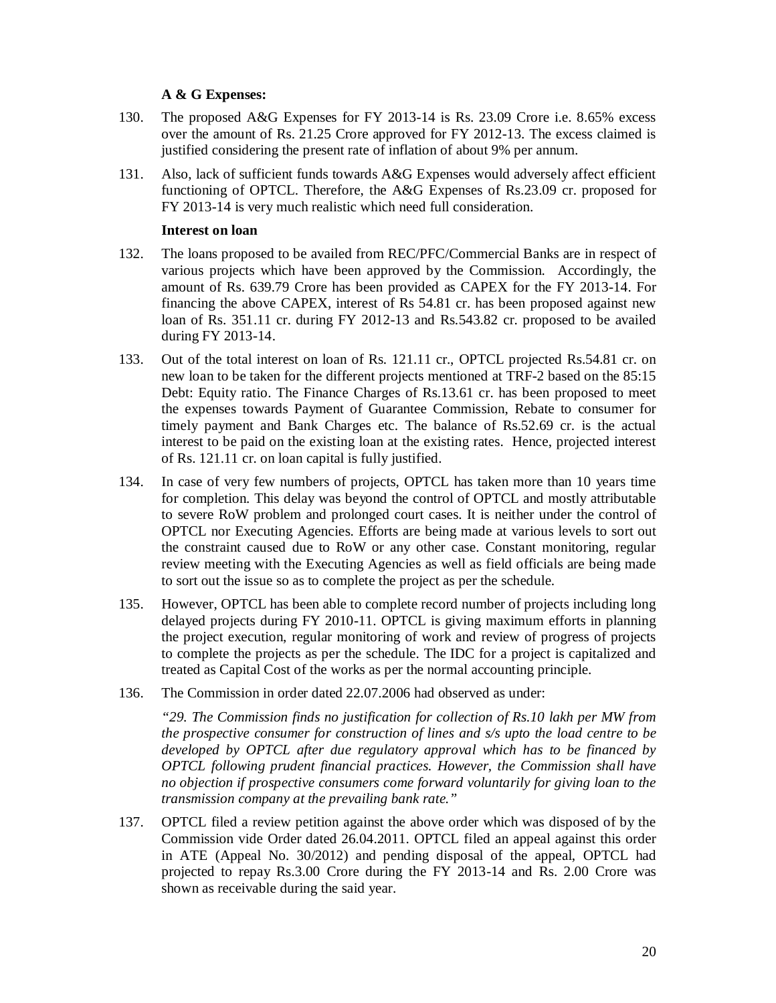# **A & G Expenses:**

- 130. The proposed A&G Expenses for FY 2013-14 is Rs. 23.09 Crore i.e. 8.65% excess over the amount of Rs. 21.25 Crore approved for FY 2012-13. The excess claimed is justified considering the present rate of inflation of about 9% per annum.
- 131. Also, lack of sufficient funds towards A&G Expenses would adversely affect efficient functioning of OPTCL. Therefore, the A&G Expenses of Rs.23.09 cr. proposed for FY 2013-14 is very much realistic which need full consideration.

# **Interest on loan**

- 132. The loans proposed to be availed from REC/PFC/Commercial Banks are in respect of various projects which have been approved by the Commission. Accordingly, the amount of Rs. 639.79 Crore has been provided as CAPEX for the FY 2013-14. For financing the above CAPEX, interest of Rs 54.81 cr. has been proposed against new loan of Rs. 351.11 cr. during FY 2012-13 and Rs.543.82 cr. proposed to be availed during FY 2013-14.
- 133. Out of the total interest on loan of Rs. 121.11 cr., OPTCL projected Rs.54.81 cr. on new loan to be taken for the different projects mentioned at TRF-2 based on the 85:15 Debt: Equity ratio. The Finance Charges of Rs.13.61 cr. has been proposed to meet the expenses towards Payment of Guarantee Commission, Rebate to consumer for timely payment and Bank Charges etc. The balance of Rs.52.69 cr. is the actual interest to be paid on the existing loan at the existing rates. Hence, projected interest of Rs. 121.11 cr. on loan capital is fully justified.
- 134. In case of very few numbers of projects, OPTCL has taken more than 10 years time for completion. This delay was beyond the control of OPTCL and mostly attributable to severe RoW problem and prolonged court cases. It is neither under the control of OPTCL nor Executing Agencies. Efforts are being made at various levels to sort out the constraint caused due to RoW or any other case. Constant monitoring, regular review meeting with the Executing Agencies as well as field officials are being made to sort out the issue so as to complete the project as per the schedule.
- 135. However, OPTCL has been able to complete record number of projects including long delayed projects during FY 2010-11. OPTCL is giving maximum efforts in planning the project execution, regular monitoring of work and review of progress of projects to complete the projects as per the schedule. The IDC for a project is capitalized and treated as Capital Cost of the works as per the normal accounting principle.
- 136. The Commission in order dated 22.07.2006 had observed as under:

*"29. The Commission finds no justification for collection of Rs.10 lakh per MW from the prospective consumer for construction of lines and s/s upto the load centre to be developed by OPTCL after due regulatory approval which has to be financed by OPTCL following prudent financial practices. However, the Commission shall have no objection if prospective consumers come forward voluntarily for giving loan to the transmission company at the prevailing bank rate."*

137. OPTCL filed a review petition against the above order which was disposed of by the Commission vide Order dated 26.04.2011. OPTCL filed an appeal against this order in ATE (Appeal No. 30/2012) and pending disposal of the appeal, OPTCL had projected to repay Rs.3.00 Crore during the FY 2013-14 and Rs. 2.00 Crore was shown as receivable during the said year.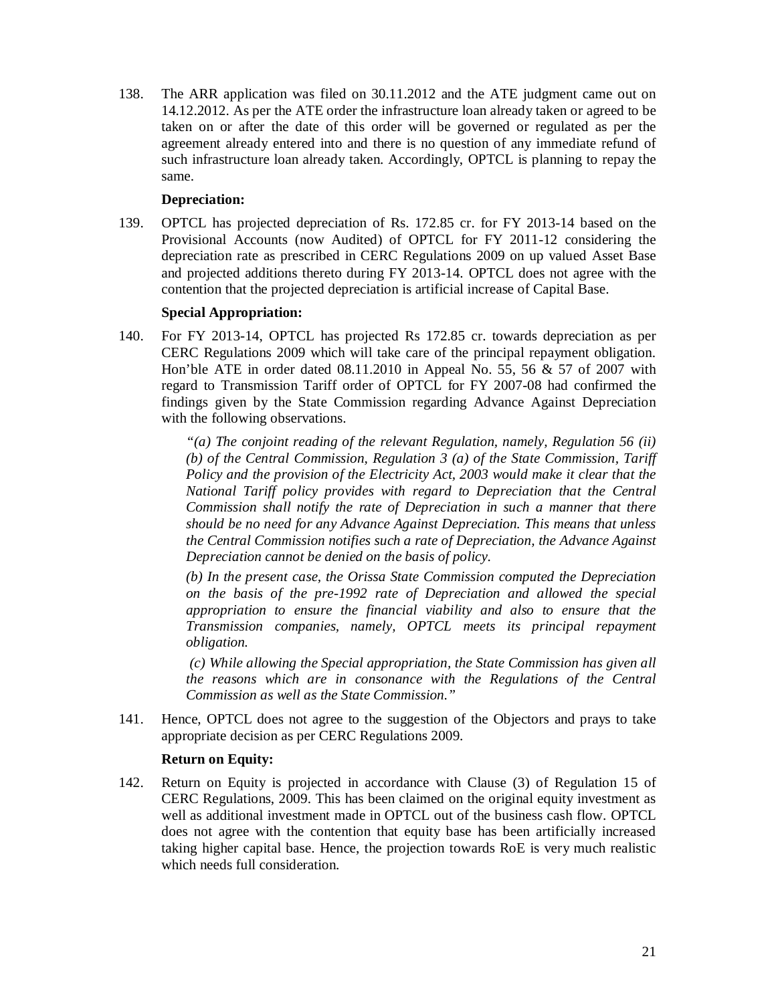138. The ARR application was filed on 30.11.2012 and the ATE judgment came out on 14.12.2012. As per the ATE order the infrastructure loan already taken or agreed to be taken on or after the date of this order will be governed or regulated as per the agreement already entered into and there is no question of any immediate refund of such infrastructure loan already taken. Accordingly, OPTCL is planning to repay the same.

# **Depreciation:**

139. OPTCL has projected depreciation of Rs. 172.85 cr. for FY 2013-14 based on the Provisional Accounts (now Audited) of OPTCL for FY 2011-12 considering the depreciation rate as prescribed in CERC Regulations 2009 on up valued Asset Base and projected additions thereto during FY 2013-14. OPTCL does not agree with the contention that the projected depreciation is artificial increase of Capital Base.

# **Special Appropriation:**

140. For FY 2013-14, OPTCL has projected Rs 172.85 cr. towards depreciation as per CERC Regulations 2009 which will take care of the principal repayment obligation. Hon'ble ATE in order dated 08.11.2010 in Appeal No. 55, 56 & 57 of 2007 with regard to Transmission Tariff order of OPTCL for FY 2007-08 had confirmed the findings given by the State Commission regarding Advance Against Depreciation with the following observations.

> *"(a) The conjoint reading of the relevant Regulation, namely, Regulation 56 (ii) (b) of the Central Commission, Regulation 3 (a) of the State Commission, Tariff Policy and the provision of the Electricity Act, 2003 would make it clear that the National Tariff policy provides with regard to Depreciation that the Central Commission shall notify the rate of Depreciation in such a manner that there should be no need for any Advance Against Depreciation. This means that unless the Central Commission notifies such a rate of Depreciation, the Advance Against Depreciation cannot be denied on the basis of policy.*

> *(b) In the present case, the Orissa State Commission computed the Depreciation on the basis of the pre-1992 rate of Depreciation and allowed the special appropriation to ensure the financial viability and also to ensure that the Transmission companies, namely, OPTCL meets its principal repayment obligation.*

> *(c) While allowing the Special appropriation, the State Commission has given all the reasons which are in consonance with the Regulations of the Central Commission as well as the State Commission."*

141. Hence, OPTCL does not agree to the suggestion of the Objectors and prays to take appropriate decision as per CERC Regulations 2009.

# **Return on Equity:**

142. Return on Equity is projected in accordance with Clause (3) of Regulation 15 of CERC Regulations, 2009. This has been claimed on the original equity investment as well as additional investment made in OPTCL out of the business cash flow. OPTCL does not agree with the contention that equity base has been artificially increased taking higher capital base. Hence, the projection towards RoE is very much realistic which needs full consideration.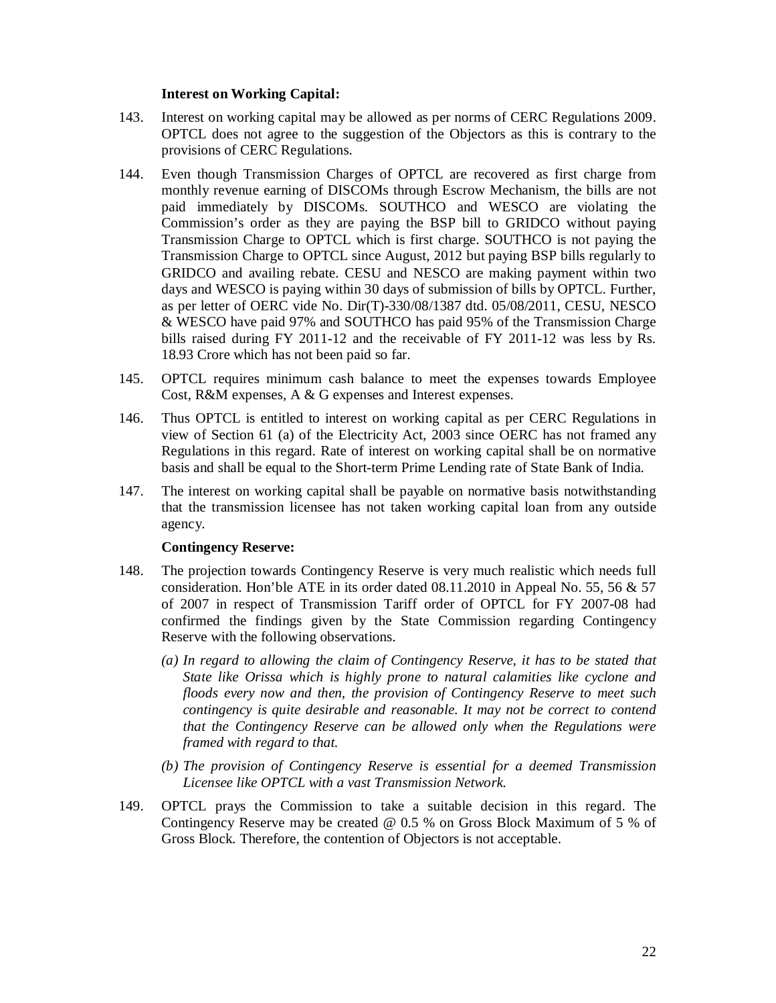#### **Interest on Working Capital:**

- 143. Interest on working capital may be allowed as per norms of CERC Regulations 2009. OPTCL does not agree to the suggestion of the Objectors as this is contrary to the provisions of CERC Regulations.
- 144. Even though Transmission Charges of OPTCL are recovered as first charge from monthly revenue earning of DISCOMs through Escrow Mechanism, the bills are not paid immediately by DISCOMs. SOUTHCO and WESCO are violating the Commission's order as they are paying the BSP bill to GRIDCO without paying Transmission Charge to OPTCL which is first charge. SOUTHCO is not paying the Transmission Charge to OPTCL since August, 2012 but paying BSP bills regularly to GRIDCO and availing rebate. CESU and NESCO are making payment within two days and WESCO is paying within 30 days of submission of bills by OPTCL. Further, as per letter of OERC vide No. Dir(T)-330/08/1387 dtd. 05/08/2011, CESU, NESCO & WESCO have paid 97% and SOUTHCO has paid 95% of the Transmission Charge bills raised during FY 2011-12 and the receivable of FY 2011-12 was less by Rs. 18.93 Crore which has not been paid so far.
- 145. OPTCL requires minimum cash balance to meet the expenses towards Employee Cost, R&M expenses, A & G expenses and Interest expenses.
- 146. Thus OPTCL is entitled to interest on working capital as per CERC Regulations in view of Section 61 (a) of the Electricity Act, 2003 since OERC has not framed any Regulations in this regard. Rate of interest on working capital shall be on normative basis and shall be equal to the Short-term Prime Lending rate of State Bank of India.
- 147. The interest on working capital shall be payable on normative basis notwithstanding that the transmission licensee has not taken working capital loan from any outside agency.

# **Contingency Reserve:**

- 148. The projection towards Contingency Reserve is very much realistic which needs full consideration. Hon'ble ATE in its order dated  $08.11.2010$  in Appeal No. 55, 56 & 57 of 2007 in respect of Transmission Tariff order of OPTCL for FY 2007-08 had confirmed the findings given by the State Commission regarding Contingency Reserve with the following observations.
	- *(a) In regard to allowing the claim of Contingency Reserve, it has to be stated that State like Orissa which is highly prone to natural calamities like cyclone and floods every now and then, the provision of Contingency Reserve to meet such contingency is quite desirable and reasonable. It may not be correct to contend that the Contingency Reserve can be allowed only when the Regulations were framed with regard to that.*
	- *(b) The provision of Contingency Reserve is essential for a deemed Transmission Licensee like OPTCL with a vast Transmission Network.*
- 149. OPTCL prays the Commission to take a suitable decision in this regard. The Contingency Reserve may be created @ 0.5 % on Gross Block Maximum of 5 % of Gross Block. Therefore, the contention of Objectors is not acceptable.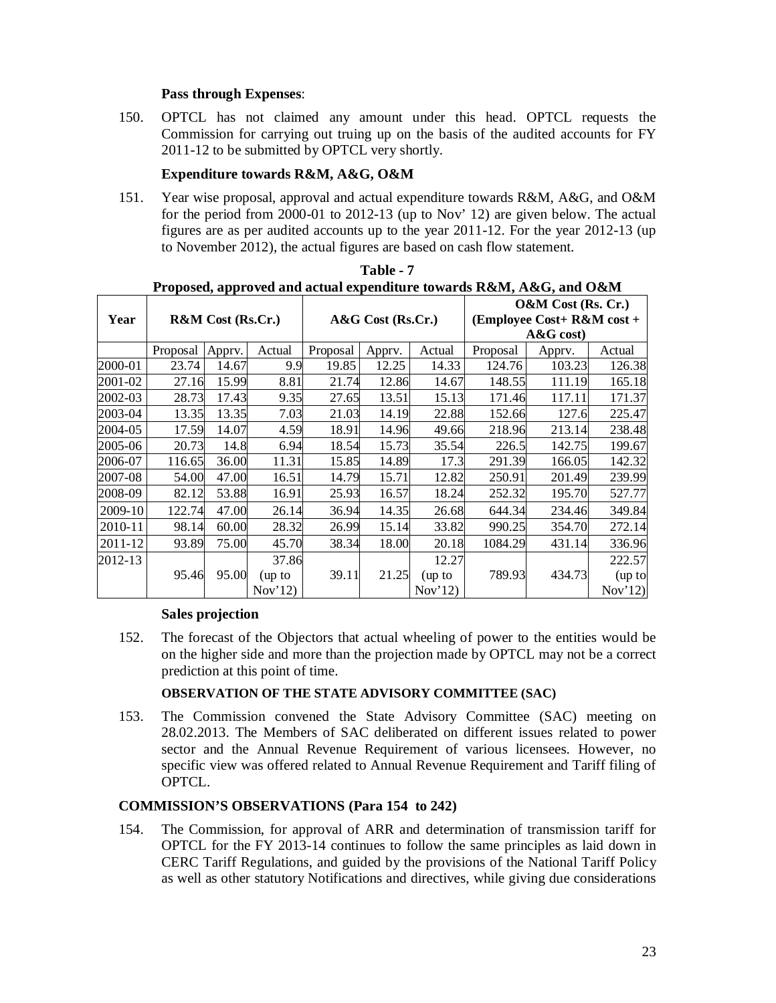# **Pass through Expenses**:

150. OPTCL has not claimed any amount under this head. OPTCL requests the Commission for carrying out truing up on the basis of the audited accounts for FY 2011-12 to be submitted by OPTCL very shortly.

# **Expenditure towards R&M, A&G, O&M**

151. Year wise proposal, approval and actual expenditure towards R&M, A&G, and O&M for the period from 2000-01 to 2012-13 (up to Nov' 12) are given below. The actual figures are as per audited accounts up to the year 2011-12. For the year 2012-13 (up to November 2012), the actual figures are based on cash flow statement.

|         | r roposed, approved and actual expenditure towards K&M, A&G, and O&M |                                                                                              |         |          |        |                    |          |              |        |
|---------|----------------------------------------------------------------------|----------------------------------------------------------------------------------------------|---------|----------|--------|--------------------|----------|--------------|--------|
|         |                                                                      |                                                                                              |         |          |        | O&M Cost (Rs. Cr.) |          |              |        |
| Year    |                                                                      | <b>R&amp;M</b> Cost (Rs.Cr.)<br>$A&G$ Cost (Rs.Cr.)<br>(Employee Cost+ $R\&M \text{ cost} +$ |         |          |        |                    |          |              |        |
|         |                                                                      |                                                                                              |         |          |        |                    |          | $A&G\ cost)$ |        |
|         | Proposal                                                             | Apprv.                                                                                       | Actual  | Proposal | Apprv. | Actual             | Proposal | Apprv.       | Actual |
| 2000-01 | 23.74                                                                | 14.67                                                                                        | 9.9     | 19.85    | 12.25  | 14.33              | 124.76   | 103.23       | 126.38 |
| 2001-02 | 27.16                                                                | 15.99                                                                                        | 8.81    | 21.74    | 12.86  | 14.67              | 148.55   | 111.19       | 165.18 |
| 2002-03 | 28.73                                                                | 17.43                                                                                        | 9.35    | 27.65    | 13.51  | 15.13              | 171.46   | 117.11       | 171.37 |
| 2003-04 | 13.35                                                                | 13.35                                                                                        | 7.03    | 21.03    | 14.19  | 22.88              | 152.66   | 127.6        | 225.47 |
| 2004-05 | 17.59                                                                | 14.07                                                                                        | 4.59    | 18.91    | 14.96  | 49.66              | 218.96   | 213.14       | 238.48 |
| 2005-06 | 20.73                                                                | 14.8                                                                                         | 6.94    | 18.54    | 15.73  | 35.54              | 226.5    | 142.75       | 199.67 |
| 2006-07 | 116.65                                                               | 36.00                                                                                        | 11.31   | 15.85    | 14.89  | 17.3               | 291.39   | 166.05       | 142.32 |
| 2007-08 | 54.00                                                                | 47.00                                                                                        | 16.51   | 14.79    | 15.71  | 12.82              | 250.91   | 201.49       | 239.99 |
| 2008-09 | 82.12                                                                | 53.88                                                                                        | 16.91   | 25.93    | 16.57  | 18.24              | 252.32   | 195.70       | 527.77 |
| 2009-10 | 122.74                                                               | 47.00                                                                                        | 26.14   | 36.94    | 14.35  | 26.68              | 644.34   | 234.46       | 349.84 |
| 2010-11 | 98.14                                                                | 60.00                                                                                        | 28.32   | 26.99    | 15.14  | 33.82              | 990.25   | 354.70       | 272.14 |
| 2011-12 | 93.89                                                                | 75.00                                                                                        | 45.70   | 38.34    | 18.00  | 20.18              | 1084.29  | 431.14       | 336.96 |
| 2012-13 |                                                                      |                                                                                              | 37.86   |          |        | 12.27              |          |              | 222.57 |
|         | 95.46                                                                | 95.00                                                                                        | (up to  | 39.11    | 21.25  | (up to             | 789.93   | 434.73       | (up to |
|         |                                                                      |                                                                                              | Nov'12) |          |        | Nov'12             |          |              | Nov'12 |

**Table - 7 Proposed, approved and actual expenditure towards R&M, A&G, and O&M**

# **Sales projection**

152. The forecast of the Objectors that actual wheeling of power to the entities would be on the higher side and more than the projection made by OPTCL may not be a correct prediction at this point of time.

# **OBSERVATION OF THE STATE ADVISORY COMMITTEE (SAC)**

153. The Commission convened the State Advisory Committee (SAC) meeting on 28.02.2013. The Members of SAC deliberated on different issues related to power sector and the Annual Revenue Requirement of various licensees. However, no specific view was offered related to Annual Revenue Requirement and Tariff filing of OPTCL.

# **COMMISSION'S OBSERVATIONS (Para 154 to 242)**

154. The Commission, for approval of ARR and determination of transmission tariff for OPTCL for the FY 2013-14 continues to follow the same principles as laid down in CERC Tariff Regulations, and guided by the provisions of the National Tariff Policy as well as other statutory Notifications and directives, while giving due considerations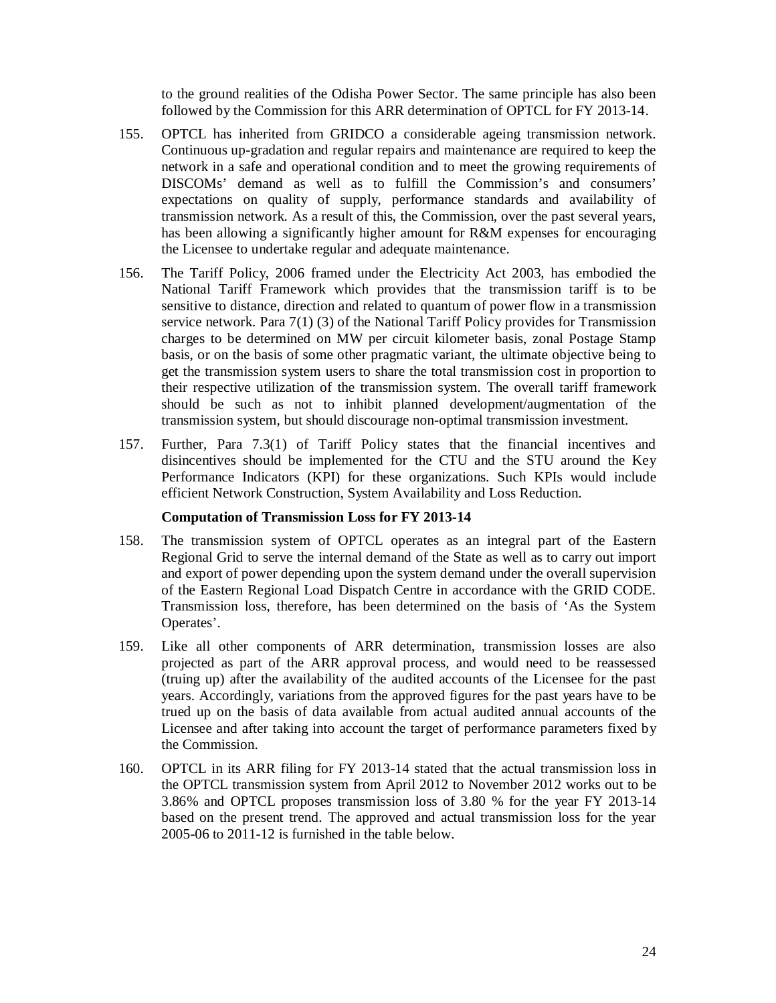to the ground realities of the Odisha Power Sector. The same principle has also been followed by the Commission for this ARR determination of OPTCL for FY 2013-14.

- 155. OPTCL has inherited from GRIDCO a considerable ageing transmission network. Continuous up-gradation and regular repairs and maintenance are required to keep the network in a safe and operational condition and to meet the growing requirements of DISCOMs' demand as well as to fulfill the Commission's and consumers' expectations on quality of supply, performance standards and availability of transmission network. As a result of this, the Commission, over the past several years, has been allowing a significantly higher amount for R&M expenses for encouraging the Licensee to undertake regular and adequate maintenance.
- 156. The Tariff Policy, 2006 framed under the Electricity Act 2003, has embodied the National Tariff Framework which provides that the transmission tariff is to be sensitive to distance, direction and related to quantum of power flow in a transmission service network. Para 7(1) (3) of the National Tariff Policy provides for Transmission charges to be determined on MW per circuit kilometer basis, zonal Postage Stamp basis, or on the basis of some other pragmatic variant, the ultimate objective being to get the transmission system users to share the total transmission cost in proportion to their respective utilization of the transmission system. The overall tariff framework should be such as not to inhibit planned development/augmentation of the transmission system, but should discourage non-optimal transmission investment.
- 157. Further, Para 7.3(1) of Tariff Policy states that the financial incentives and disincentives should be implemented for the CTU and the STU around the Key Performance Indicators (KPI) for these organizations. Such KPIs would include efficient Network Construction, System Availability and Loss Reduction.

#### **Computation of Transmission Loss for FY 2013-14**

- 158. The transmission system of OPTCL operates as an integral part of the Eastern Regional Grid to serve the internal demand of the State as well as to carry out import and export of power depending upon the system demand under the overall supervision of the Eastern Regional Load Dispatch Centre in accordance with the GRID CODE. Transmission loss, therefore, has been determined on the basis of 'As the System Operates'.
- 159. Like all other components of ARR determination, transmission losses are also projected as part of the ARR approval process, and would need to be reassessed (truing up) after the availability of the audited accounts of the Licensee for the past years. Accordingly, variations from the approved figures for the past years have to be trued up on the basis of data available from actual audited annual accounts of the Licensee and after taking into account the target of performance parameters fixed by the Commission.
- 160. OPTCL in its ARR filing for FY 2013-14 stated that the actual transmission loss in the OPTCL transmission system from April 2012 to November 2012 works out to be 3.86% and OPTCL proposes transmission loss of 3.80 % for the year FY 2013-14 based on the present trend. The approved and actual transmission loss for the year 2005-06 to 2011-12 is furnished in the table below.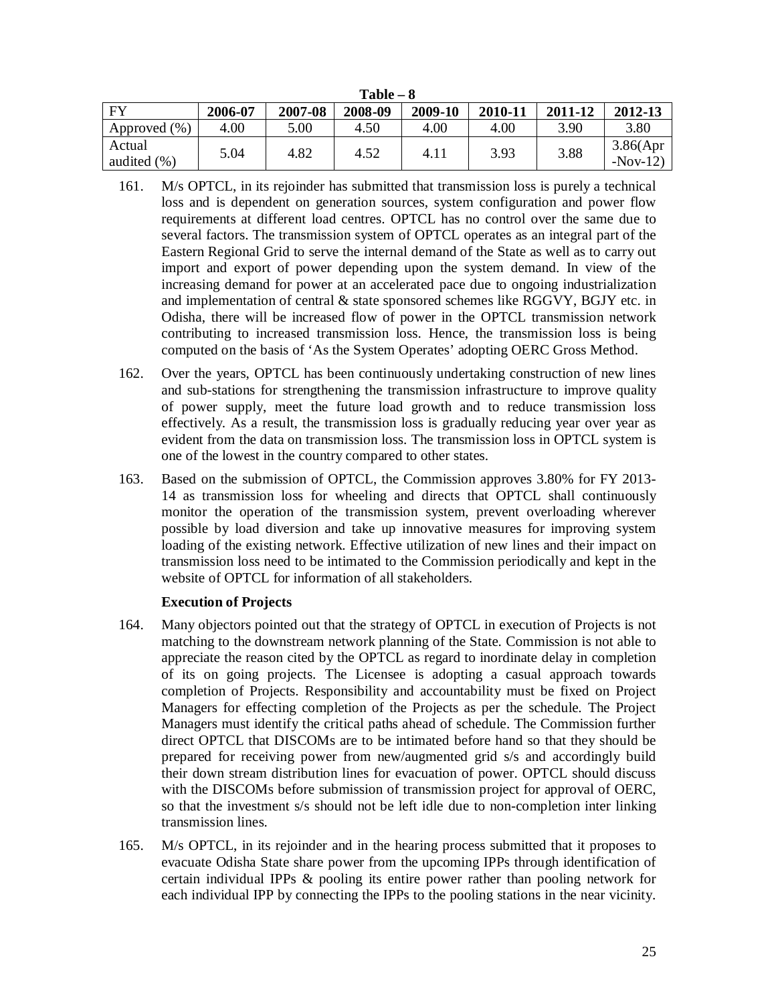| 1 avit – v             |         |         |         |         |         |         |                        |
|------------------------|---------|---------|---------|---------|---------|---------|------------------------|
| $\mathbf{F}\mathbf{V}$ | 2006-07 | 2007-08 | 2008-09 | 2009-10 | 2010-11 | 2011-12 | 2012-13                |
| Approved $(\% )$       | 4.00    | 5.00    | 4.50    | 4.00    | 4.00    | 3.90    | 3.80                   |
| Actual<br>audited (%)  | 5.04    | 4.82    | 4.52    | 4.11    | 3.93    | 3.88    | 3.86(Apr)<br>$-Nov-12$ |

- **Table – 8**
- 161. M/s OPTCL, in its rejoinder has submitted that transmission loss is purely a technical loss and is dependent on generation sources, system configuration and power flow requirements at different load centres. OPTCL has no control over the same due to several factors. The transmission system of OPTCL operates as an integral part of the Eastern Regional Grid to serve the internal demand of the State as well as to carry out import and export of power depending upon the system demand. In view of the increasing demand for power at an accelerated pace due to ongoing industrialization and implementation of central & state sponsored schemes like RGGVY, BGJY etc. in Odisha, there will be increased flow of power in the OPTCL transmission network contributing to increased transmission loss. Hence, the transmission loss is being computed on the basis of 'As the System Operates' adopting OERC Gross Method.
- 162. Over the years, OPTCL has been continuously undertaking construction of new lines and sub-stations for strengthening the transmission infrastructure to improve quality of power supply, meet the future load growth and to reduce transmission loss effectively. As a result, the transmission loss is gradually reducing year over year as evident from the data on transmission loss. The transmission loss in OPTCL system is one of the lowest in the country compared to other states.
- 163. Based on the submission of OPTCL, the Commission approves 3.80% for FY 2013- 14 as transmission loss for wheeling and directs that OPTCL shall continuously monitor the operation of the transmission system, prevent overloading wherever possible by load diversion and take up innovative measures for improving system loading of the existing network. Effective utilization of new lines and their impact on transmission loss need to be intimated to the Commission periodically and kept in the website of OPTCL for information of all stakeholders.

# **Execution of Projects**

- 164. Many objectors pointed out that the strategy of OPTCL in execution of Projects is not matching to the downstream network planning of the State. Commission is not able to appreciate the reason cited by the OPTCL as regard to inordinate delay in completion of its on going projects. The Licensee is adopting a casual approach towards completion of Projects. Responsibility and accountability must be fixed on Project Managers for effecting completion of the Projects as per the schedule. The Project Managers must identify the critical paths ahead of schedule. The Commission further direct OPTCL that DISCOMs are to be intimated before hand so that they should be prepared for receiving power from new/augmented grid s/s and accordingly build their down stream distribution lines for evacuation of power. OPTCL should discuss with the DISCOMs before submission of transmission project for approval of OERC, so that the investment s/s should not be left idle due to non-completion inter linking transmission lines.
- 165. M/s OPTCL, in its rejoinder and in the hearing process submitted that it proposes to evacuate Odisha State share power from the upcoming IPPs through identification of certain individual IPPs & pooling its entire power rather than pooling network for each individual IPP by connecting the IPPs to the pooling stations in the near vicinity.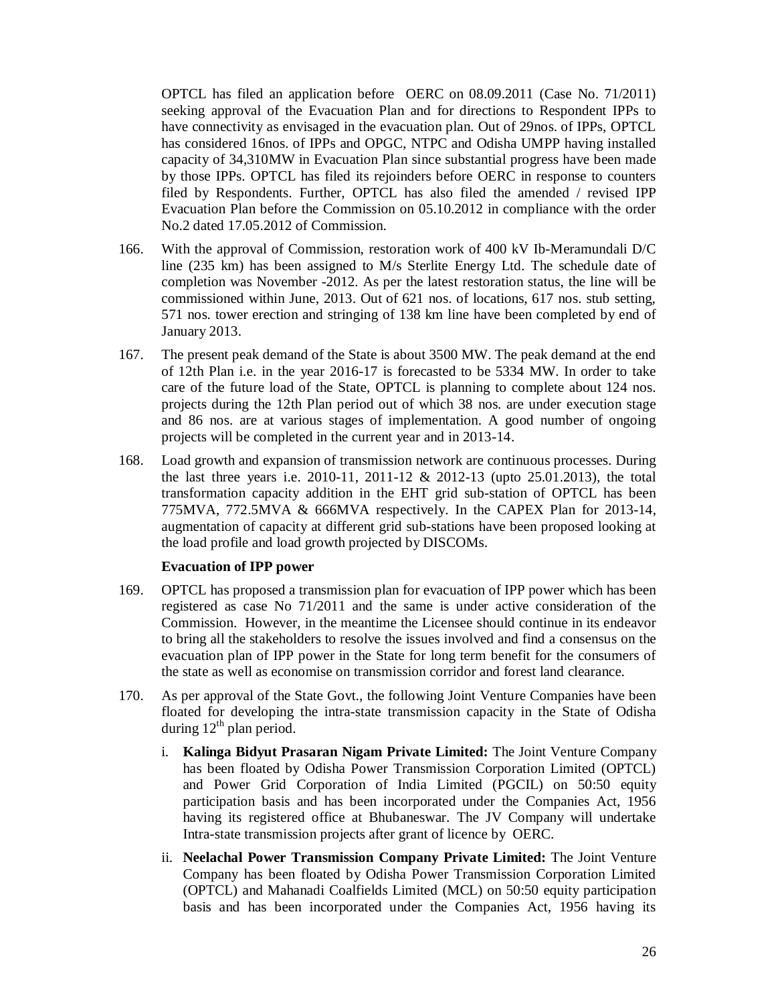OPTCL has filed an application before OERC on 08.09.2011 (Case No. 71/2011) seeking approval of the Evacuation Plan and for directions to Respondent IPPs to have connectivity as envisaged in the evacuation plan. Out of 29nos. of IPPs, OPTCL has considered 16nos. of IPPs and OPGC, NTPC and Odisha UMPP having installed capacity of 34,310MW in Evacuation Plan since substantial progress have been made by those IPPs. OPTCL has filed its rejoinders before OERC in response to counters filed by Respondents. Further, OPTCL has also filed the amended / revised IPP Evacuation Plan before the Commission on 05.10.2012 in compliance with the order No.2 dated 17.05.2012 of Commission.

- 166. With the approval of Commission, restoration work of 400 kV Ib-Meramundali D/C line (235 km) has been assigned to M/s Sterlite Energy Ltd. The schedule date of completion was November -2012. As per the latest restoration status, the line will be commissioned within June, 2013. Out of 621 nos. of locations, 617 nos. stub setting, 571 nos. tower erection and stringing of 138 km line have been completed by end of January 2013.
- 167. The present peak demand of the State is about 3500 MW. The peak demand at the end of 12th Plan i.e. in the year 2016-17 is forecasted to be 5334 MW. In order to take care of the future load of the State, OPTCL is planning to complete about 124 nos. projects during the 12th Plan period out of which 38 nos. are under execution stage and 86 nos. are at various stages of implementation. A good number of ongoing projects will be completed in the current year and in 2013-14.
- 168. Load growth and expansion of transmission network are continuous processes. During the last three years i.e. 2010-11, 2011-12 & 2012-13 (upto 25.01.2013), the total transformation capacity addition in the EHT grid sub-station of OPTCL has been 775MVA, 772.5MVA & 666MVA respectively. In the CAPEX Plan for 2013-14, augmentation of capacity at different grid sub-stations have been proposed looking at the load profile and load growth projected by DISCOMs.

# **Evacuation of IPP power**

- 169. OPTCL has proposed a transmission plan for evacuation of IPP power which has been registered as case No 71/2011 and the same is under active consideration of the Commission. However, in the meantime the Licensee should continue in its endeavor to bring all the stakeholders to resolve the issues involved and find a consensus on the evacuation plan of IPP power in the State for long term benefit for the consumers of the state as well as economise on transmission corridor and forest land clearance.
- 170. As per approval of the State Govt., the following Joint Venture Companies have been floated for developing the intra-state transmission capacity in the State of Odisha during  $12<sup>th</sup>$  plan period.
	- i. **Kalinga Bidyut Prasaran Nigam Private Limited:** The Joint Venture Company has been floated by Odisha Power Transmission Corporation Limited (OPTCL) and Power Grid Corporation of India Limited (PGCIL) on 50:50 equity participation basis and has been incorporated under the Companies Act, 1956 having its registered office at Bhubaneswar. The JV Company will undertake Intra-state transmission projects after grant of licence by OERC.
	- ii. **Neelachal Power Transmission Company Private Limited:** The Joint Venture Company has been floated by Odisha Power Transmission Corporation Limited (OPTCL) and Mahanadi Coalfields Limited (MCL) on 50:50 equity participation basis and has been incorporated under the Companies Act, 1956 having its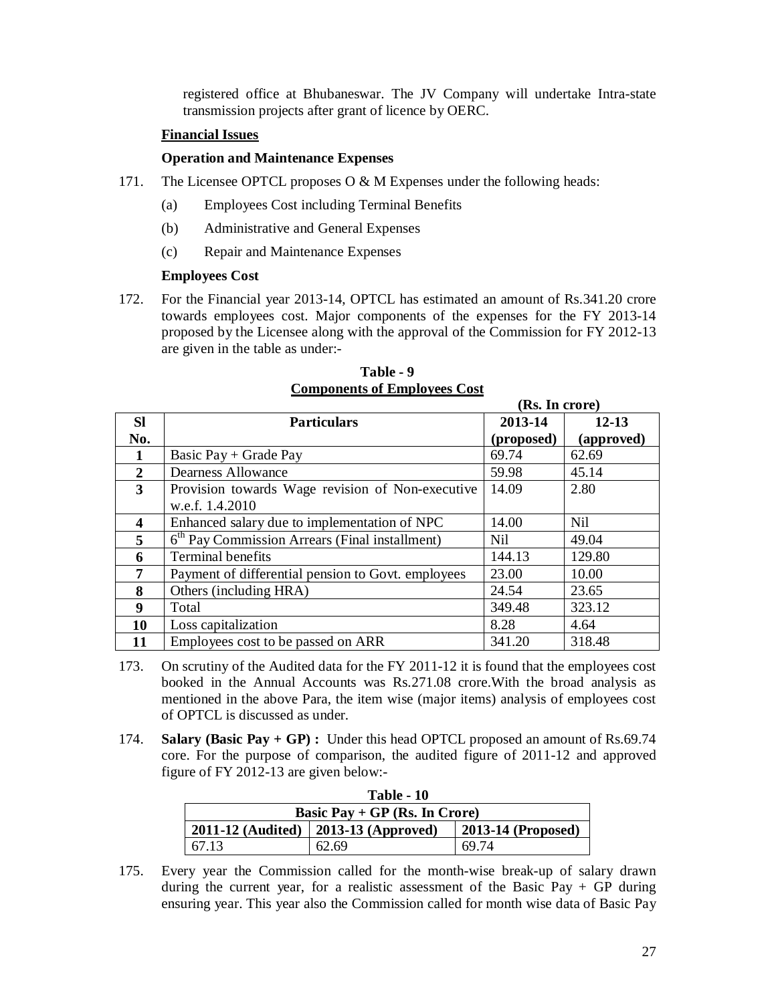registered office at Bhubaneswar. The JV Company will undertake Intra-state transmission projects after grant of licence by OERC.

#### **Financial Issues**

#### **Operation and Maintenance Expenses**

- 171. The Licensee OPTCL proposes O & M Expenses under the following heads:
	- (a) Employees Cost including Terminal Benefits
	- (b) Administrative and General Expenses
	- (c) Repair and Maintenance Expenses

#### **Employees Cost**

172. For the Financial year 2013-14, OPTCL has estimated an amount of Rs.341.20 crore towards employees cost. Major components of the expenses for the FY 2013-14 proposed by the Licensee along with the approval of the Commission for FY 2012-13 are given in the table as under:-

|                         |                                                            | (RS. 111 CFOFE <i>)</i> |            |
|-------------------------|------------------------------------------------------------|-------------------------|------------|
| <b>Sl</b>               | <b>Particulars</b>                                         | 2013-14                 | $12 - 13$  |
| No.                     |                                                            | (proposed)              | (approved) |
|                         | Basic Pay $+$ Grade Pay                                    | 69.74                   | 62.69      |
| $\overline{2}$          | <b>Dearness Allowance</b>                                  | 59.98                   | 45.14      |
| $\overline{\mathbf{3}}$ | Provision towards Wage revision of Non-executive           | 14.09                   | 2.80       |
|                         | w.e.f. 1.4.2010                                            |                         |            |
| 4                       | Enhanced salary due to implementation of NPC               | 14.00                   | Nil        |
| 5                       | 6 <sup>th</sup> Pay Commission Arrears (Final installment) | Nil                     | 49.04      |
| 6                       | <b>Terminal benefits</b>                                   | 144.13                  | 129.80     |
| 7                       | Payment of differential pension to Govt. employees         | 23.00                   | 10.00      |
| 8                       | Others (including HRA)                                     | 24.54                   | 23.65      |
| 9                       | Total                                                      | 349.48                  | 323.12     |
| 10                      | Loss capitalization                                        | 8.28                    | 4.64       |
| 11                      | Employees cost to be passed on ARR                         | 341.20                  | 318.48     |

# **Table - 9 Components of Employees Cost**

 $(\mathbf{D}_c, \mathbf{I}_m, \mathbf{a}_{mm})$ 

- 173. On scrutiny of the Audited data for the FY 2011-12 it is found that the employees cost booked in the Annual Accounts was Rs.271.08 crore.With the broad analysis as mentioned in the above Para, the item wise (major items) analysis of employees cost of OPTCL is discussed as under.
- 174. **Salary (Basic Pay + GP) :** Under this head OPTCL proposed an amount of Rs.69.74 core. For the purpose of comparison, the audited figure of 2011-12 and approved figure of FY 2012-13 are given below:-

| Table - 10                                                     |       |       |  |  |  |
|----------------------------------------------------------------|-------|-------|--|--|--|
| Basic Pay $+$ GP (Rs. In Crore)                                |       |       |  |  |  |
| $2011-12$ (Audited)   2013-13 (Approved)<br>2013-14 (Proposed) |       |       |  |  |  |
| 67.13                                                          | 62.69 | 69.74 |  |  |  |

175. Every year the Commission called for the month-wise break-up of salary drawn during the current year, for a realistic assessment of the Basic Pay + GP during ensuring year. This year also the Commission called for month wise data of Basic Pay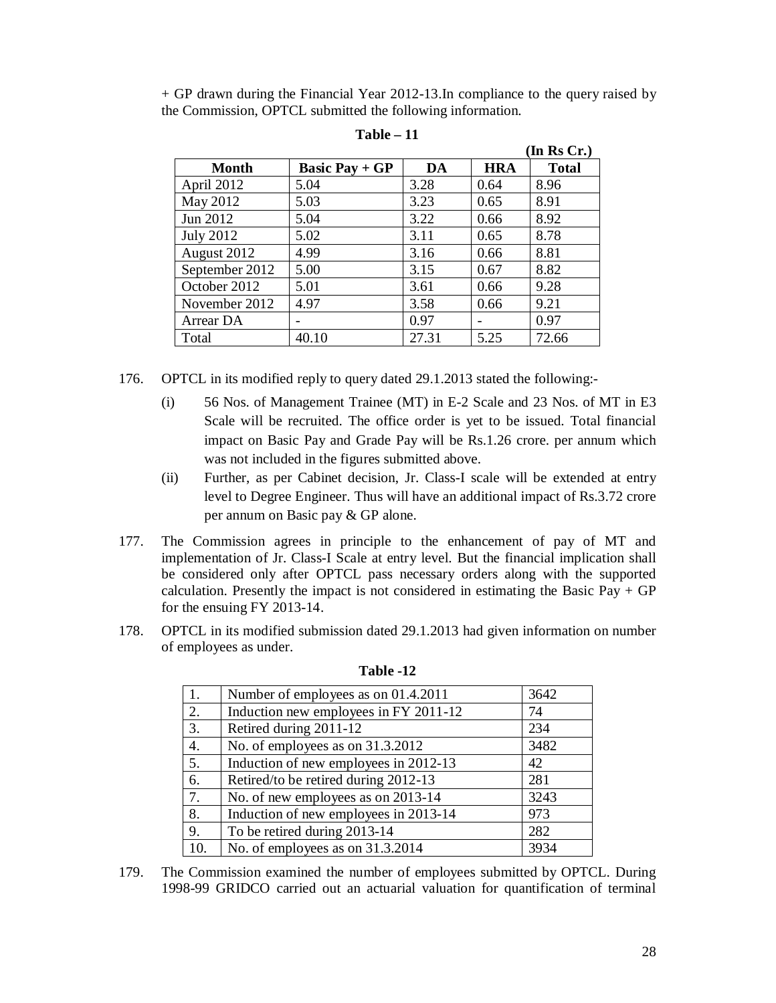+ GP drawn during the Financial Year 2012-13.In compliance to the query raised by the Commission, OPTCL submitted the following information.

|                  |                       |       |            | (In Rs Cr.)  |
|------------------|-----------------------|-------|------------|--------------|
| <b>Month</b>     | <b>Basic Pay + GP</b> | DA    | <b>HRA</b> | <b>Total</b> |
| April 2012       | 5.04                  | 3.28  | 0.64       | 8.96         |
| May 2012         | 5.03                  | 3.23  | 0.65       | 8.91         |
| Jun 2012         | 5.04                  | 3.22  | 0.66       | 8.92         |
| <b>July 2012</b> | 5.02                  | 3.11  | 0.65       | 8.78         |
| August 2012      | 4.99                  | 3.16  | 0.66       | 8.81         |
| September 2012   | 5.00                  | 3.15  | 0.67       | 8.82         |
| October 2012     | 5.01                  | 3.61  | 0.66       | 9.28         |
| November 2012    | 4.97                  | 3.58  | 0.66       | 9.21         |
| Arrear DA        |                       | 0.97  |            | 0.97         |
| Total            | 40.10                 | 27.31 | 5.25       | 72.66        |

**Table – 11**

176. OPTCL in its modified reply to query dated 29.1.2013 stated the following:-

- (i) 56 Nos. of Management Trainee (MT) in E-2 Scale and 23 Nos. of MT in E3 Scale will be recruited. The office order is yet to be issued. Total financial impact on Basic Pay and Grade Pay will be Rs.1.26 crore. per annum which was not included in the figures submitted above.
- (ii) Further, as per Cabinet decision, Jr. Class-I scale will be extended at entry level to Degree Engineer. Thus will have an additional impact of Rs.3.72 crore per annum on Basic pay & GP alone.
- 177. The Commission agrees in principle to the enhancement of pay of MT and implementation of Jr. Class-I Scale at entry level. But the financial implication shall be considered only after OPTCL pass necessary orders along with the supported calculation. Presently the impact is not considered in estimating the Basic Pay  $+$  GP for the ensuing FY 2013-14.
- 178. OPTCL in its modified submission dated 29.1.2013 had given information on number of employees as under.

| 1.  | Number of employees as on 01.4.2011   | 3642 |
|-----|---------------------------------------|------|
| 2.  | Induction new employees in FY 2011-12 | 74   |
| 3.  | Retired during 2011-12                | 234  |
| 4.  | No. of employees as on 31.3.2012      | 3482 |
| 5.  | Induction of new employees in 2012-13 | 42   |
| 6.  | Retired/to be retired during 2012-13  | 281  |
| 7.  | No. of new employees as on 2013-14    | 3243 |
| 8.  | Induction of new employees in 2013-14 | 973  |
| 9.  | To be retired during 2013-14          | 282  |
| 10. | No. of employees as on 31.3.2014      | 3934 |

**Table -12**

179. The Commission examined the number of employees submitted by OPTCL. During 1998-99 GRIDCO carried out an actuarial valuation for quantification of terminal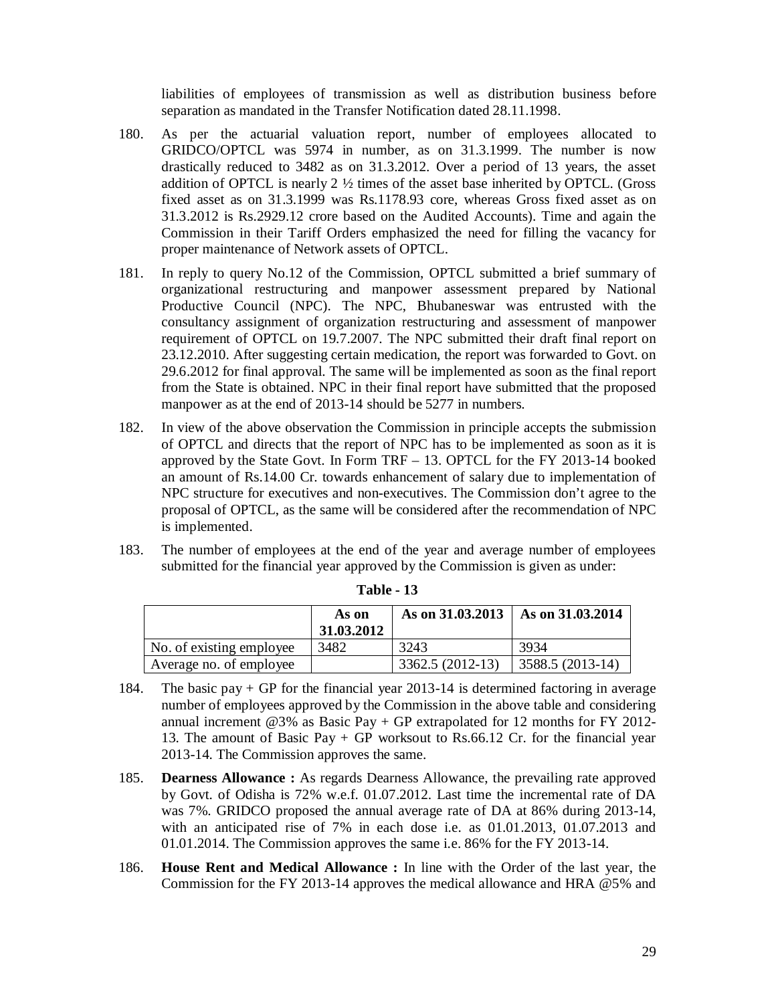liabilities of employees of transmission as well as distribution business before separation as mandated in the Transfer Notification dated 28.11.1998.

- 180. As per the actuarial valuation report, number of employees allocated to GRIDCO/OPTCL was 5974 in number, as on 31.3.1999. The number is now drastically reduced to 3482 as on 31.3.2012. Over a period of 13 years, the asset addition of OPTCL is nearly  $2 \frac{1}{2}$  times of the asset base inherited by OPTCL. (Gross fixed asset as on 31.3.1999 was Rs.1178.93 core, whereas Gross fixed asset as on 31.3.2012 is Rs.2929.12 crore based on the Audited Accounts). Time and again the Commission in their Tariff Orders emphasized the need for filling the vacancy for proper maintenance of Network assets of OPTCL.
- 181. In reply to query No.12 of the Commission, OPTCL submitted a brief summary of organizational restructuring and manpower assessment prepared by National Productive Council (NPC). The NPC, Bhubaneswar was entrusted with the consultancy assignment of organization restructuring and assessment of manpower requirement of OPTCL on 19.7.2007. The NPC submitted their draft final report on 23.12.2010. After suggesting certain medication, the report was forwarded to Govt. on 29.6.2012 for final approval. The same will be implemented as soon as the final report from the State is obtained. NPC in their final report have submitted that the proposed manpower as at the end of 2013-14 should be 5277 in numbers.
- 182. In view of the above observation the Commission in principle accepts the submission of OPTCL and directs that the report of NPC has to be implemented as soon as it is approved by the State Govt. In Form TRF – 13. OPTCL for the FY 2013-14 booked an amount of Rs.14.00 Cr. towards enhancement of salary due to implementation of NPC structure for executives and non-executives. The Commission don't agree to the proposal of OPTCL, as the same will be considered after the recommendation of NPC is implemented.
- 183. The number of employees at the end of the year and average number of employees submitted for the financial year approved by the Commission is given as under:

|                          | As on<br>31.03.2012 | As on 31.03.2013 | $\vert$ As on 31.03.2014 |
|--------------------------|---------------------|------------------|--------------------------|
| No. of existing employee | 3482                | 3243             | 3934                     |
| Average no. of employee  |                     | 3362.5 (2012-13) | 3588.5 (2013-14)         |

**Table - 13**

- 184. The basic pay + GP for the financial year 2013-14 is determined factoring in average number of employees approved by the Commission in the above table and considering annual increment @3% as Basic Pay + GP extrapolated for 12 months for FY 2012- 13. The amount of Basic Pay + GP worksout to Rs.66.12 Cr. for the financial year 2013-14. The Commission approves the same.
- 185. **Dearness Allowance :** As regards Dearness Allowance, the prevailing rate approved by Govt. of Odisha is 72% w.e.f. 01.07.2012. Last time the incremental rate of DA was 7%. GRIDCO proposed the annual average rate of DA at 86% during 2013-14, with an anticipated rise of 7% in each dose i.e. as 01.01.2013, 01.07.2013 and 01.01.2014. The Commission approves the same i.e. 86% for the FY 2013-14.
- 186. **House Rent and Medical Allowance :** In line with the Order of the last year, the Commission for the FY 2013-14 approves the medical allowance and HRA @5% and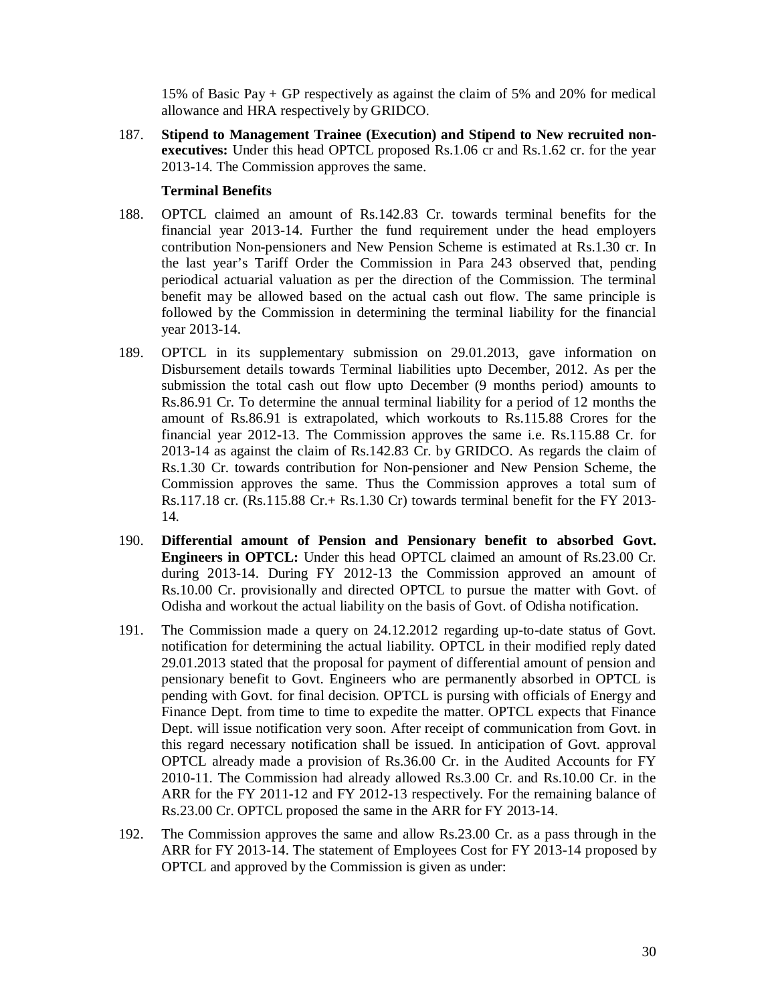15% of Basic Pay + GP respectively as against the claim of 5% and 20% for medical allowance and HRA respectively by GRIDCO.

187. **Stipend to Management Trainee (Execution) and Stipend to New recruited nonexecutives:** Under this head OPTCL proposed Rs.1.06 cr and Rs.1.62 cr. for the year 2013-14. The Commission approves the same.

# **Terminal Benefits**

- 188. OPTCL claimed an amount of Rs.142.83 Cr. towards terminal benefits for the financial year 2013-14. Further the fund requirement under the head employers contribution Non-pensioners and New Pension Scheme is estimated at Rs.1.30 cr. In the last year's Tariff Order the Commission in Para 243 observed that, pending periodical actuarial valuation as per the direction of the Commission. The terminal benefit may be allowed based on the actual cash out flow. The same principle is followed by the Commission in determining the terminal liability for the financial year 2013-14.
- 189. OPTCL in its supplementary submission on 29.01.2013, gave information on Disbursement details towards Terminal liabilities upto December, 2012. As per the submission the total cash out flow upto December (9 months period) amounts to Rs.86.91 Cr. To determine the annual terminal liability for a period of 12 months the amount of Rs.86.91 is extrapolated, which workouts to Rs.115.88 Crores for the financial year 2012-13. The Commission approves the same i.e. Rs.115.88 Cr. for 2013-14 as against the claim of Rs.142.83 Cr. by GRIDCO. As regards the claim of Rs.1.30 Cr. towards contribution for Non-pensioner and New Pension Scheme, the Commission approves the same. Thus the Commission approves a total sum of Rs.117.18 cr. (Rs.115.88 Cr.+ Rs.1.30 Cr) towards terminal benefit for the FY 2013- 14.
- 190. **Differential amount of Pension and Pensionary benefit to absorbed Govt. Engineers in OPTCL:** Under this head OPTCL claimed an amount of Rs.23.00 Cr. during 2013-14. During FY 2012-13 the Commission approved an amount of Rs.10.00 Cr. provisionally and directed OPTCL to pursue the matter with Govt. of Odisha and workout the actual liability on the basis of Govt. of Odisha notification.
- 191. The Commission made a query on 24.12.2012 regarding up-to-date status of Govt. notification for determining the actual liability. OPTCL in their modified reply dated 29.01.2013 stated that the proposal for payment of differential amount of pension and pensionary benefit to Govt. Engineers who are permanently absorbed in OPTCL is pending with Govt. for final decision. OPTCL is pursing with officials of Energy and Finance Dept. from time to time to expedite the matter. OPTCL expects that Finance Dept. will issue notification very soon. After receipt of communication from Govt. in this regard necessary notification shall be issued. In anticipation of Govt. approval OPTCL already made a provision of Rs.36.00 Cr. in the Audited Accounts for FY 2010-11. The Commission had already allowed Rs.3.00 Cr. and Rs.10.00 Cr. in the ARR for the FY 2011-12 and FY 2012-13 respectively. For the remaining balance of Rs.23.00 Cr. OPTCL proposed the same in the ARR for FY 2013-14.
- 192. The Commission approves the same and allow Rs.23.00 Cr. as a pass through in the ARR for FY 2013-14. The statement of Employees Cost for FY 2013-14 proposed by OPTCL and approved by the Commission is given as under: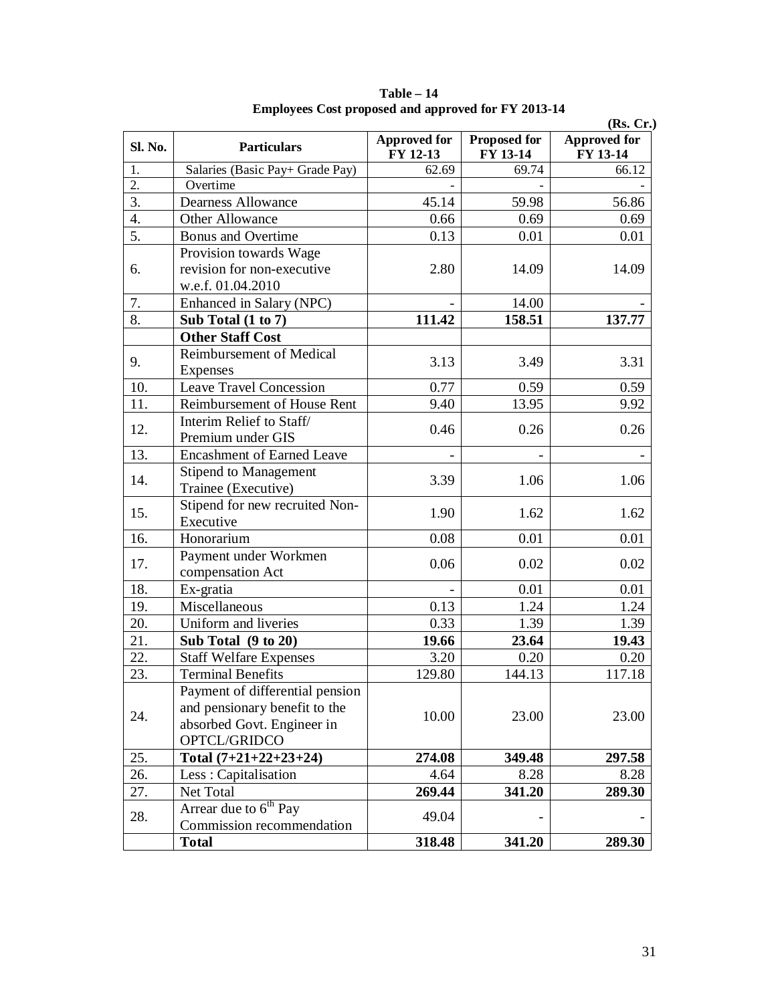|         |                                   |                                 |                          | (Rs, Cr.)                       |  |  |
|---------|-----------------------------------|---------------------------------|--------------------------|---------------------------------|--|--|
| Sl. No. | <b>Particulars</b>                | <b>Approved for</b><br>FY 12-13 | Proposed for<br>FY 13-14 | <b>Approved for</b><br>FY 13-14 |  |  |
| 1.      | Salaries (Basic Pay+ Grade Pay)   | 62.69                           | 69.74                    | 66.12                           |  |  |
| 2.      | Overtime                          |                                 |                          |                                 |  |  |
| 3.      | <b>Dearness Allowance</b>         | 45.14                           | 59.98                    | 56.86                           |  |  |
| 4.      | Other Allowance                   | 0.66                            | 0.69                     | 0.69                            |  |  |
| 5.      | <b>Bonus</b> and Overtime         | 0.13                            | 0.01                     | 0.01                            |  |  |
|         | Provision towards Wage            |                                 |                          |                                 |  |  |
| 6.      | revision for non-executive        | 2.80                            | 14.09                    | 14.09                           |  |  |
|         | w.e.f. 01.04.2010                 |                                 |                          |                                 |  |  |
| 7.      | Enhanced in Salary (NPC)          |                                 | 14.00                    |                                 |  |  |
| 8.      | Sub Total $(1 to 7)$              | 111.42                          | 158.51                   | 137.77                          |  |  |
|         | <b>Other Staff Cost</b>           |                                 |                          |                                 |  |  |
|         | Reimbursement of Medical          |                                 |                          |                                 |  |  |
| 9.      | Expenses                          | 3.13                            | 3.49                     | 3.31                            |  |  |
| 10.     | <b>Leave Travel Concession</b>    | 0.77                            | 0.59                     | 0.59                            |  |  |
| 11.     | Reimbursement of House Rent       | 9.40                            | 13.95                    | 9.92                            |  |  |
|         | Interim Relief to Staff/          |                                 |                          |                                 |  |  |
| 12.     | Premium under GIS                 | 0.46                            | 0.26                     | 0.26                            |  |  |
| 13.     | <b>Encashment of Earned Leave</b> |                                 |                          |                                 |  |  |
|         | <b>Stipend to Management</b>      |                                 |                          |                                 |  |  |
| 14.     | Trainee (Executive)               | 3.39                            | 1.06                     | 1.06                            |  |  |
|         | Stipend for new recruited Non-    |                                 |                          |                                 |  |  |
| 15.     | Executive                         | 1.90                            | 1.62                     | 1.62                            |  |  |
| 16.     | Honorarium                        | 0.08                            | 0.01                     | 0.01                            |  |  |
|         | Payment under Workmen             |                                 |                          |                                 |  |  |
| 17.     | compensation Act                  | 0.06                            | 0.02                     | 0.02                            |  |  |
| 18.     | Ex-gratia                         |                                 | 0.01                     | 0.01                            |  |  |
| 19.     | Miscellaneous                     | 0.13                            | 1.24                     | 1.24                            |  |  |
| 20.     | Uniform and liveries              | 0.33                            | 1.39                     | 1.39                            |  |  |
| 21.     | Sub Total (9 to 20)               | 19.66                           | 23.64                    | 19.43                           |  |  |
| 22.     | <b>Staff Welfare Expenses</b>     | 3.20                            | 0.20                     | 0.20                            |  |  |
| 23.     | <b>Terminal Benefits</b>          | 129.80                          | 144.13                   | 117.18                          |  |  |
|         | Payment of differential pension   |                                 |                          |                                 |  |  |
|         | and pensionary benefit to the     |                                 |                          |                                 |  |  |
| 24.     | absorbed Govt. Engineer in        | 10.00                           | 23.00                    | 23.00                           |  |  |
|         | OPTCL/GRIDCO                      |                                 |                          |                                 |  |  |
| 25.     | Total $(7+21+22+23+24)$           | 274.08                          | 349.48                   | 297.58                          |  |  |
| 26.     | Less: Capitalisation              | 4.64                            | 8.28                     | 8.28                            |  |  |
| 27.     | Net Total                         | 269.44                          | 341.20                   | 289.30                          |  |  |
|         | Arrear due to 6 <sup>th</sup> Pay |                                 |                          |                                 |  |  |
| 28.     | Commission recommendation         | 49.04                           |                          |                                 |  |  |
|         | <b>Total</b>                      | 318.48                          | 341.20                   | 289.30                          |  |  |

**Table – 14 Employees Cost proposed and approved for FY 2013-14**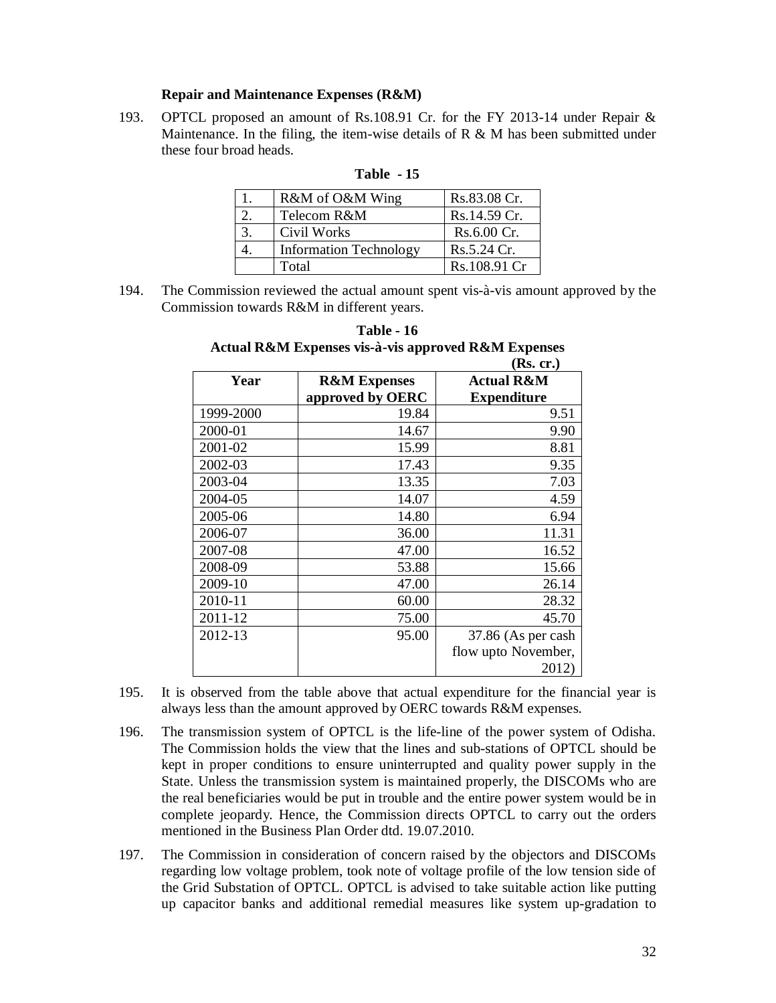#### **Repair and Maintenance Expenses (R&M)**

193. OPTCL proposed an amount of Rs.108.91 Cr. for the FY 2013-14 under Repair & Maintenance. In the filing, the item-wise details of R  $\&$  M has been submitted under these four broad heads.

| R&M of O&M Wing               | Rs.83.08 Cr. |
|-------------------------------|--------------|
| Telecom R&M                   | Rs.14.59 Cr. |
| Civil Works                   | Rs.6.00 Cr.  |
| <b>Information Technology</b> | Rs.5.24 Cr.  |
| Total                         | Rs.108.91 Cr |

#### **Table - 15**

194. The Commission reviewed the actual amount spent vis-à-vis amount approved by the Commission towards R&M in different years.

| Actual K&M Expenses vis-a-vis approved K&M Expenses |                         |                       |  |  |  |  |  |  |
|-----------------------------------------------------|-------------------------|-----------------------|--|--|--|--|--|--|
|                                                     |                         | (Rs. cr.)             |  |  |  |  |  |  |
| Year                                                | <b>R&amp;M Expenses</b> | <b>Actual R&amp;M</b> |  |  |  |  |  |  |
|                                                     | approved by OERC        | <b>Expenditure</b>    |  |  |  |  |  |  |
| 1999-2000                                           | 19.84                   | 9.51                  |  |  |  |  |  |  |
| 2000-01                                             | 14.67                   | 9.90                  |  |  |  |  |  |  |
| 2001-02                                             | 15.99                   | 8.81                  |  |  |  |  |  |  |
| 2002-03                                             | 17.43                   | 9.35                  |  |  |  |  |  |  |
| 2003-04                                             | 13.35                   | 7.03                  |  |  |  |  |  |  |
| 2004-05                                             | 14.07                   | 4.59                  |  |  |  |  |  |  |
| 2005-06                                             | 14.80                   | 6.94                  |  |  |  |  |  |  |
| 2006-07                                             | 36.00                   | 11.31                 |  |  |  |  |  |  |
| 2007-08                                             | 47.00                   | 16.52                 |  |  |  |  |  |  |
| 2008-09                                             | 53.88                   | 15.66                 |  |  |  |  |  |  |
| 2009-10                                             | 47.00                   | 26.14                 |  |  |  |  |  |  |
| 2010-11                                             | 60.00                   | 28.32                 |  |  |  |  |  |  |
| 2011-12                                             | 75.00                   | 45.70                 |  |  |  |  |  |  |
| 2012-13                                             | 95.00                   | 37.86 (As per cash    |  |  |  |  |  |  |
|                                                     |                         | flow upto November,   |  |  |  |  |  |  |
|                                                     |                         | 2012)                 |  |  |  |  |  |  |

# **Table - 16 Actual R&M Expenses vis-à-vis approved R&M Expenses**

- 195. It is observed from the table above that actual expenditure for the financial year is always less than the amount approved by OERC towards R&M expenses.
- 196. The transmission system of OPTCL is the life-line of the power system of Odisha. The Commission holds the view that the lines and sub-stations of OPTCL should be kept in proper conditions to ensure uninterrupted and quality power supply in the State. Unless the transmission system is maintained properly, the DISCOMs who are the real beneficiaries would be put in trouble and the entire power system would be in complete jeopardy. Hence, the Commission directs OPTCL to carry out the orders mentioned in the Business Plan Order dtd. 19.07.2010.
- 197. The Commission in consideration of concern raised by the objectors and DISCOMs regarding low voltage problem, took note of voltage profile of the low tension side of the Grid Substation of OPTCL. OPTCL is advised to take suitable action like putting up capacitor banks and additional remedial measures like system up-gradation to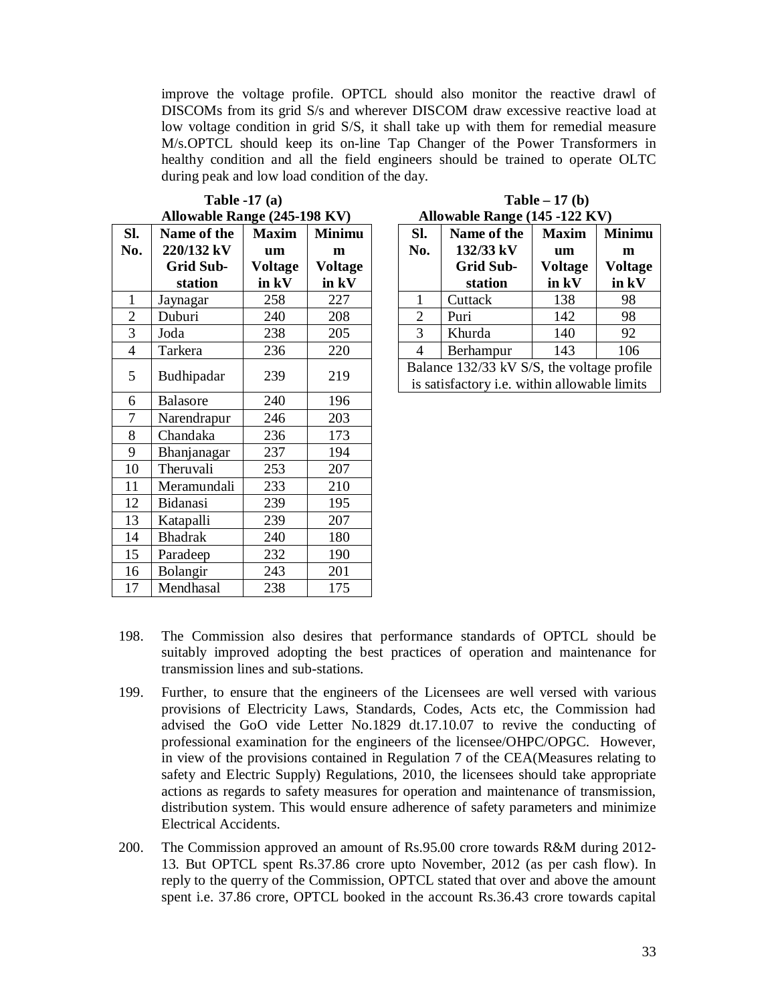improve the voltage profile. OPTCL should also monitor the reactive drawl of DISCOMs from its grid S/s and wherever DISCOM draw excessive reactive load at low voltage condition in grid S/S, it shall take up with them for remedial measure M/s.OPTCL should keep its on-line Tap Changer of the Power Transformers in healthy condition and all the field engineers should be trained to operate OLTC during peak and low load condition of the day.

|                | Allowable Range (245-198 KV) |              |                |  |                                            | Allowable Range (145 -122 KV)                       |              |                |  |
|----------------|------------------------------|--------------|----------------|--|--------------------------------------------|-----------------------------------------------------|--------------|----------------|--|
| SI.            | Name of the                  | <b>Maxim</b> | <b>Minimu</b>  |  | SI.                                        | Name of the                                         | <b>Maxim</b> | <b>Minimu</b>  |  |
| No.            | 220/132 kV                   | um           | m              |  | No.                                        | 132/33 kV                                           | um           | m              |  |
|                | <b>Grid Sub-</b>             | Voltage      | <b>Voltage</b> |  |                                            | <b>Grid Sub-</b>                                    | Voltage      | <b>Voltage</b> |  |
|                | station                      | in kV        | in kV          |  |                                            | station                                             | in kV        | in kV          |  |
| $\mathbf{1}$   | Jaynagar                     | 258          | 227            |  | 1                                          | Cuttack                                             | 138          | 98             |  |
| $\overline{2}$ | Duburi                       | 240          | 208            |  | $\mathbf{2}$                               | Puri                                                | 142          | 98             |  |
| 3              | Joda                         | 238          | 205            |  | 3                                          | Khurda                                              | 140          | 92             |  |
| $\overline{4}$ | Tarkera                      | 236          | 220            |  | $\overline{4}$                             | Berhampur                                           | 143          | 106            |  |
| 5              | Budhipadar                   | 239          | 219            |  | Balance 132/33 kV S/S, the voltage profile |                                                     |              |                |  |
|                |                              |              |                |  |                                            | is satisfactory <i>i.e.</i> within allowable limits |              |                |  |
| 6              | <b>Balasore</b>              | 240          | 196            |  |                                            |                                                     |              |                |  |
| 7              | Narendrapur                  | 246          | 203            |  |                                            |                                                     |              |                |  |
| 8              | Chandaka                     | 236          | 173            |  |                                            |                                                     |              |                |  |
| 9              | Bhanjanagar                  | 237          | 194            |  |                                            |                                                     |              |                |  |
| 10             | Theruvali                    | 253          | 207            |  |                                            |                                                     |              |                |  |
| 11             | Meramundali                  | 233          | 210            |  |                                            |                                                     |              |                |  |
| 12             | Bidanasi                     | 239          | 195            |  |                                            |                                                     |              |                |  |
| 13             | Katapalli                    | 239          | 207            |  |                                            |                                                     |              |                |  |
| 14             | <b>Bhadrak</b>               | 240          | 180            |  |                                            |                                                     |              |                |  |
| 15             | Paradeep                     | 232          | 190            |  |                                            |                                                     |              |                |  |
| 16             | Bolangir                     | 243          | 201            |  |                                            |                                                     |              |                |  |
| 17             | Mendhasal                    | 238          | 175            |  |                                            |                                                     |              |                |  |

**Table -17 (a) Table – 17 (b)**

| Table $-17$ (b)               |  |
|-------------------------------|--|
| Allowable Range (145 -122 KV) |  |

| Sl.<br>No.                                                    | Name of the<br>132/33 kV<br><b>Grid Sub-</b><br>station | <b>Maxim</b><br>um<br><b>Voltage</b><br>in kV | <b>Minimu</b><br>m<br><b>Voltage</b><br>in kV |  |  |  |  |  |
|---------------------------------------------------------------|---------------------------------------------------------|-----------------------------------------------|-----------------------------------------------|--|--|--|--|--|
| 1                                                             | Cuttack                                                 | 138                                           | 98                                            |  |  |  |  |  |
| 2                                                             | Puri                                                    | 142                                           | 98                                            |  |  |  |  |  |
| 3                                                             | Khurda                                                  | 140                                           | 92                                            |  |  |  |  |  |
| 4                                                             | Berhampur                                               | 143                                           | 106                                           |  |  |  |  |  |
| Balance 132/33 kV S/S, the voltage profile<br>1.1.1.1<br>1111 |                                                         |                                               |                                               |  |  |  |  |  |

- 198. The Commission also desires that performance standards of OPTCL should be suitably improved adopting the best practices of operation and maintenance for transmission lines and sub-stations.
- 199. Further, to ensure that the engineers of the Licensees are well versed with various provisions of Electricity Laws, Standards, Codes, Acts etc, the Commission had advised the GoO vide Letter No.1829 dt.17.10.07 to revive the conducting of professional examination for the engineers of the licensee/OHPC/OPGC. However, in view of the provisions contained in Regulation 7 of the CEA(Measures relating to safety and Electric Supply) Regulations, 2010, the licensees should take appropriate actions as regards to safety measures for operation and maintenance of transmission, distribution system. This would ensure adherence of safety parameters and minimize Electrical Accidents.
- 200. The Commission approved an amount of Rs.95.00 crore towards R&M during 2012- 13. But OPTCL spent Rs.37.86 crore upto November, 2012 (as per cash flow). In reply to the querry of the Commission, OPTCL stated that over and above the amount spent i.e. 37.86 crore, OPTCL booked in the account Rs.36.43 crore towards capital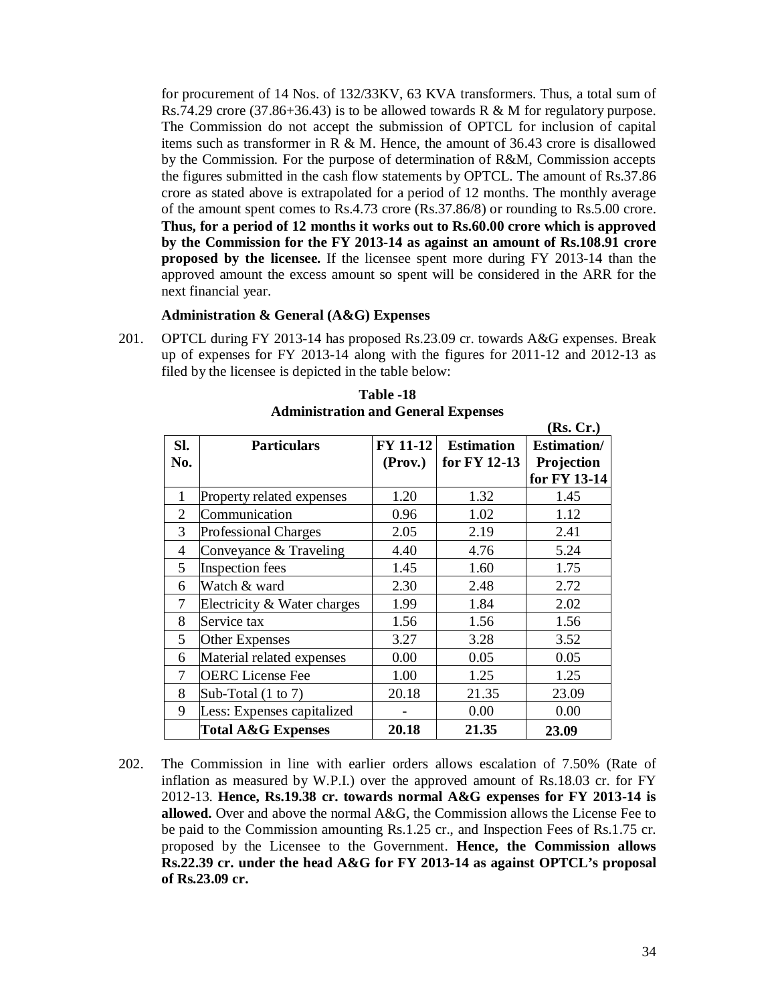for procurement of 14 Nos. of 132/33KV, 63 KVA transformers. Thus, a total sum of Rs.74.29 crore (37.86+36.43) is to be allowed towards R & M for regulatory purpose. The Commission do not accept the submission of OPTCL for inclusion of capital items such as transformer in R  $\&$  M. Hence, the amount of 36.43 crore is disallowed by the Commission. For the purpose of determination of R&M, Commission accepts the figures submitted in the cash flow statements by OPTCL. The amount of Rs.37.86 crore as stated above is extrapolated for a period of 12 months. The monthly average of the amount spent comes to Rs.4.73 crore (Rs.37.86/8) or rounding to Rs.5.00 crore. **Thus, for a period of 12 months it works out to Rs.60.00 crore which is approved by the Commission for the FY 2013-14 as against an amount of Rs.108.91 crore proposed by the licensee.** If the licensee spent more during FY 2013-14 than the approved amount the excess amount so spent will be considered in the ARR for the next financial year.

# **Administration & General (A&G) Expenses**

201. OPTCL during FY 2013-14 has proposed Rs.23.09 cr. towards A&G expenses. Break up of expenses for FY 2013-14 along with the figures for 2011-12 and 2012-13 as filed by the licensee is depicted in the table below:

|     |                               |                 |                   | (Rs, Cr.)          |
|-----|-------------------------------|-----------------|-------------------|--------------------|
| SI. | <b>Particulars</b>            | <b>FY 11-12</b> | <b>Estimation</b> | <b>Estimation/</b> |
| No. |                               | (Prov.)         | for FY 12-13      | Projection         |
|     |                               |                 |                   | for FY 13-14       |
| 1   | Property related expenses     | 1.20            | 1.32              | 1.45               |
| 2   | Communication                 | 0.96            | 1.02              | 1.12               |
| 3   | <b>Professional Charges</b>   | 2.05            | 2.19              | 2.41               |
| 4   | Conveyance & Traveling        | 4.40            | 4.76              | 5.24               |
| 5   | Inspection fees               | 1.45            | 1.60              | 1.75               |
| 6   | Watch & ward                  | 2.30            | 2.48              | 2.72               |
| 7   | Electricity & Water charges   | 1.99            | 1.84              | 2.02               |
| 8   | Service tax                   | 1.56            | 1.56              | 1.56               |
| 5   | <b>Other Expenses</b>         | 3.27            | 3.28              | 3.52               |
| 6   | Material related expenses     | 0.00            | 0.05              | 0.05               |
| 7   | <b>OERC</b> License Fee       | 1.00            | 1.25              | 1.25               |
| 8   | Sub-Total $(1 \text{ to } 7)$ | 20.18           | 21.35             | 23.09              |
| 9   | Less: Expenses capitalized    |                 | 0.00              | 0.00               |
|     | <b>Total A&amp;G Expenses</b> | 20.18           | 21.35             | 23.09              |

**Table -18 Administration and General Expenses**

202. The Commission in line with earlier orders allows escalation of 7.50% (Rate of inflation as measured by W.P.I.) over the approved amount of Rs.18.03 cr. for FY 2012-13. **Hence, Rs.19.38 cr. towards normal A&G expenses for FY 2013-14 is allowed.** Over and above the normal A&G, the Commission allows the License Fee to be paid to the Commission amounting Rs.1.25 cr., and Inspection Fees of Rs.1.75 cr. proposed by the Licensee to the Government. **Hence, the Commission allows Rs.22.39 cr. under the head A&G for FY 2013-14 as against OPTCL's proposal of Rs.23.09 cr.**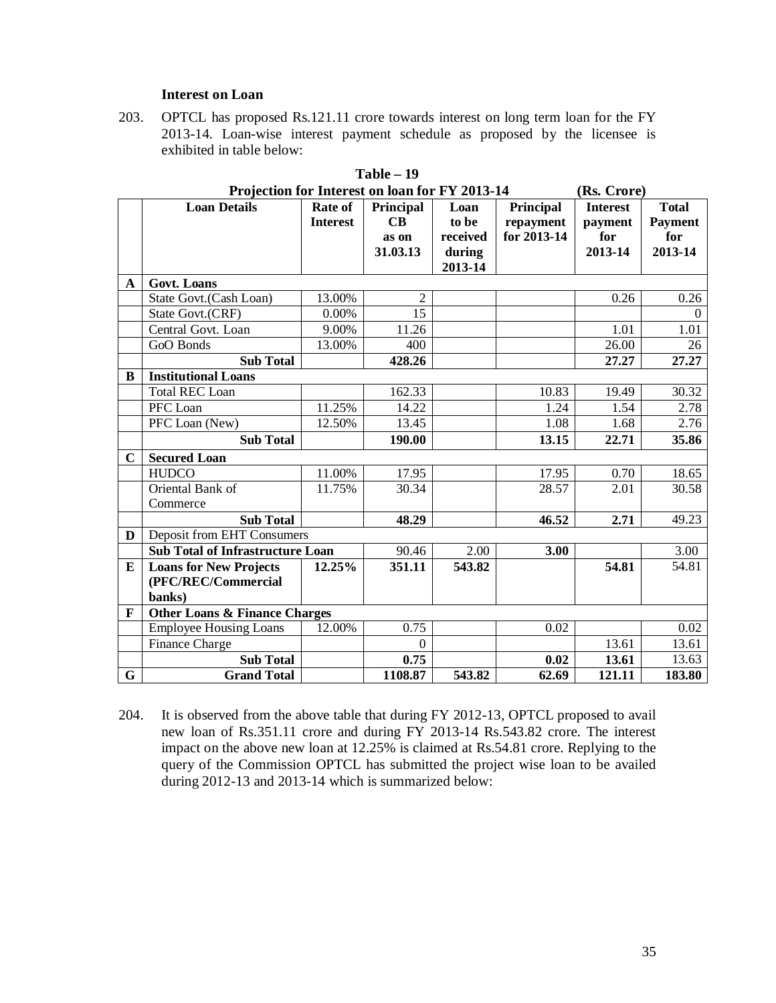#### **Interest on Loan**

203. OPTCL has proposed Rs.121.11 crore towards interest on long term loan for the FY 2013-14. Loan-wise interest payment schedule as proposed by the licensee is exhibited in table below:

|              | Projection for Interest on loan for FY 2013-14 |                 |                      |          |             | (Rs. Crore)     |                |
|--------------|------------------------------------------------|-----------------|----------------------|----------|-------------|-----------------|----------------|
|              | <b>Loan Details</b>                            | Rate of         | Principal            | Loan     | Principal   | <b>Interest</b> | <b>Total</b>   |
|              |                                                | <b>Interest</b> | $\mathbf C\mathbf B$ | to be    | repayment   | payment         | <b>Payment</b> |
|              |                                                |                 | as on                | received | for 2013-14 | for             | for            |
|              |                                                |                 | 31.03.13             | during   |             | 2013-14         | 2013-14        |
|              |                                                |                 |                      | 2013-14  |             |                 |                |
| $\mathbf{A}$ | <b>Govt. Loans</b>                             |                 |                      |          |             |                 |                |
|              | State Govt.(Cash Loan)                         | 13.00%          | $\overline{c}$       |          |             | 0.26            | 0.26           |
|              | State Govt.(CRF)                               | 0.00%           | 15                   |          |             |                 | $\Omega$       |
|              | Central Govt. Loan                             | 9.00%           | 11.26                |          |             | 1.01            | 1.01           |
|              | GoO Bonds                                      | 13.00%          | 400                  |          |             | 26.00           | 26             |
|              | <b>Sub Total</b>                               |                 | 428.26               |          |             | 27.27           | 27.27          |
| B            | <b>Institutional Loans</b>                     |                 |                      |          |             |                 |                |
|              | <b>Total REC Loan</b>                          |                 | 162.33               |          | 10.83       | 19.49           | 30.32          |
|              | PFC Loan                                       | 11.25%          | 14.22                |          | 1.24        | 1.54            | 2.78           |
|              | PFC Loan (New)                                 | 12.50%          | 13.45                |          | 1.08        | 1.68            | 2.76           |
|              | <b>Sub Total</b>                               |                 | 190.00               |          | 13.15       | 22.71           | 35.86          |
| $\mathbf C$  | <b>Secured Loan</b>                            |                 |                      |          |             |                 |                |
|              | <b>HUDCO</b>                                   | 11.00%          | 17.95                |          | 17.95       | 0.70            | 18.65          |
|              | Oriental Bank of                               | 11.75%          | 30.34                |          | 28.57       | 2.01            | 30.58          |
|              | Commerce                                       |                 |                      |          |             |                 |                |
|              | <b>Sub Total</b>                               |                 | 48.29                |          | 46.52       | 2.71            | 49.23          |
| D            | <b>Deposit from EHT Consumers</b>              |                 |                      |          |             |                 |                |
|              | <b>Sub Total of Infrastructure Loan</b>        |                 | 90.46                | 2.00     | 3.00        |                 | 3.00           |
| E            | <b>Loans for New Projects</b>                  | 12.25%          | 351.11               | 543.82   |             | 54.81           | 54.81          |
|              | (PFC/REC/Commercial                            |                 |                      |          |             |                 |                |
|              | banks)                                         |                 |                      |          |             |                 |                |
| F            | <b>Other Loans &amp; Finance Charges</b>       |                 |                      |          |             |                 |                |
|              | <b>Employee Housing Loans</b>                  | 12.00%          | 0.75                 |          | 0.02        |                 | 0.02           |
|              | Finance Charge                                 |                 | $\mathbf{0}$         |          |             | 13.61           | 13.61          |
|              | <b>Sub Total</b>                               |                 | 0.75                 |          | 0.02        | 13.61           | 13.63          |
| G            | <b>Grand Total</b>                             |                 | 1108.87              | 543.82   | 62.69       | 121.11          | 183.80         |

|     |  |  | <b>Table – 19</b> |  |  |  |  |  |
|-----|--|--|-------------------|--|--|--|--|--|
| ▼ 4 |  |  |                   |  |  |  |  |  |

<sup>204.</sup> It is observed from the above table that during FY 2012-13, OPTCL proposed to avail new loan of Rs.351.11 crore and during FY 2013-14 Rs.543.82 crore. The interest impact on the above new loan at 12.25% is claimed at Rs.54.81 crore. Replying to the query of the Commission OPTCL has submitted the project wise loan to be availed during 2012-13 and 2013-14 which is summarized below: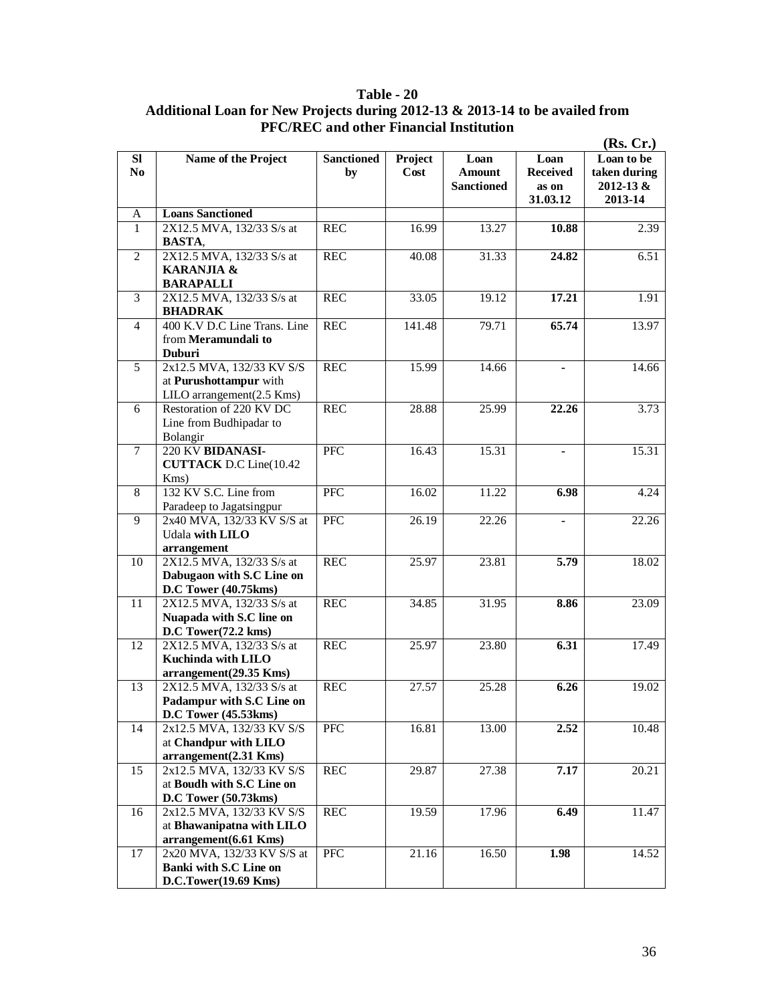# **Table - 20 Additional Loan for New Projects during 2012-13 & 2013-14 to be availed from PFC/REC and other Financial Institution**

|                                  |                                                                                               |                         |                 |                                            |                                              | (Rs, Cr.)                                              |
|----------------------------------|-----------------------------------------------------------------------------------------------|-------------------------|-----------------|--------------------------------------------|----------------------------------------------|--------------------------------------------------------|
| <b>SI</b><br>N <sub>0</sub><br>A | Name of the Project<br><b>Loans Sanctioned</b>                                                | <b>Sanctioned</b><br>by | Project<br>Cost | Loan<br><b>Amount</b><br><b>Sanctioned</b> | Loan<br><b>Received</b><br>as on<br>31.03.12 | Loan to be<br>taken during<br>$2012 - 13 &$<br>2013-14 |
| 1                                | 2X12.5 MVA, 132/33 S/s at                                                                     | <b>REC</b>              | 16.99           | 13.27                                      | 10.88                                        | 2.39                                                   |
|                                  | <b>BASTA,</b>                                                                                 |                         |                 |                                            |                                              |                                                        |
| 2                                | 2X12.5 MVA, 132/33 S/s at<br>KARANJIA &<br><b>BARAPALLI</b>                                   | <b>REC</b>              | 40.08           | 31.33                                      | 24.82                                        | 6.51                                                   |
| 3                                | 2X12.5 MVA, 132/33 S/s at<br><b>BHADRAK</b>                                                   | <b>REC</b>              | 33.05           | 19.12                                      | 17.21                                        | 1.91                                                   |
| $\overline{4}$                   | 400 K.V D.C Line Trans. Line<br>from Meramundali to<br><b>Duburi</b>                          | <b>REC</b>              | 141.48          | 79.71                                      | 65.74                                        | 13.97                                                  |
| 5                                | 2x12.5 MVA, 132/33 KV S/S<br>at Purushottampur with<br>$LILO$ arrangement $(2.5$ Kms)         | <b>REC</b>              | 15.99           | 14.66                                      |                                              | 14.66                                                  |
| 6                                | Restoration of 220 KV DC<br>Line from Budhipadar to<br>Bolangir                               | <b>REC</b>              | 28.88           | 25.99                                      | 22.26                                        | 3.73                                                   |
| $\tau$                           | 220 KV BIDANASI-<br><b>CUTTACK</b> D.C Line(10.42<br>$Kms$ )                                  | <b>PFC</b>              | 16.43           | 15.31                                      |                                              | 15.31                                                  |
| 8                                | 132 KV S.C. Line from                                                                         | <b>PFC</b>              | 16.02           | 11.22                                      | 6.98                                         | 4.24                                                   |
| 9                                | Paradeep to Jagatsingpur<br>2x40 MVA, 132/33 KV S/S at<br>Udala with LILO                     | PFC                     | 26.19           | 22.26                                      |                                              | 22.26                                                  |
| 10                               | arrangement<br>2X12.5 MVA, 132/33 S/s at<br>Dabugaon with S.C Line on<br>D.C Tower (40.75kms) | <b>REC</b>              | 25.97           | 23.81                                      | 5.79                                         | 18.02                                                  |
| 11                               | 2X12.5 MVA, 132/33 S/s at<br>Nuapada with S.C line on<br>D.C Tower(72.2 kms)                  | <b>REC</b>              | 34.85           | 31.95                                      | 8.86                                         | 23.09                                                  |
| 12                               | 2X12.5 MVA, 132/33 S/s at<br>Kuchinda with LILO<br>arrangement(29.35 Kms)                     | <b>REC</b>              | 25.97           | 23.80                                      | 6.31                                         | 17.49                                                  |
| 13                               | 2X12.5 MVA, 132/33 S/s at<br>Padampur with S.C Line on<br>D.C Tower (45.53kms)                | <b>REC</b>              | 27.57           | 25.28                                      | 6.26                                         | 19.02                                                  |
| 14                               | 2x12.5 MVA, 132/33 KV S/S<br>at Chandpur with LILO<br>arrangement(2.31 Kms)                   | PFC                     | 16.81           | 13.00                                      | 2.52                                         | 10.48                                                  |
| 15                               | 2x12.5 MVA, 132/33 KV S/S<br>at Boudh with S.C Line on<br>D.C Tower (50.73kms)                | <b>REC</b>              | 29.87           | 27.38                                      | 7.17                                         | 20.21                                                  |
| 16                               | 2x12.5 MVA, 132/33 KV S/S<br>at Bhawanipatna with LILO<br>arrangement(6.61 Kms)               | <b>REC</b>              | 19.59           | 17.96                                      | 6.49                                         | 11.47                                                  |
| 17                               | 2x20 MVA, 132/33 KV S/S at<br>Banki with S.C Line on<br>D.C.Tower(19.69 Kms)                  | PFC                     | 21.16           | 16.50                                      | 1.98                                         | 14.52                                                  |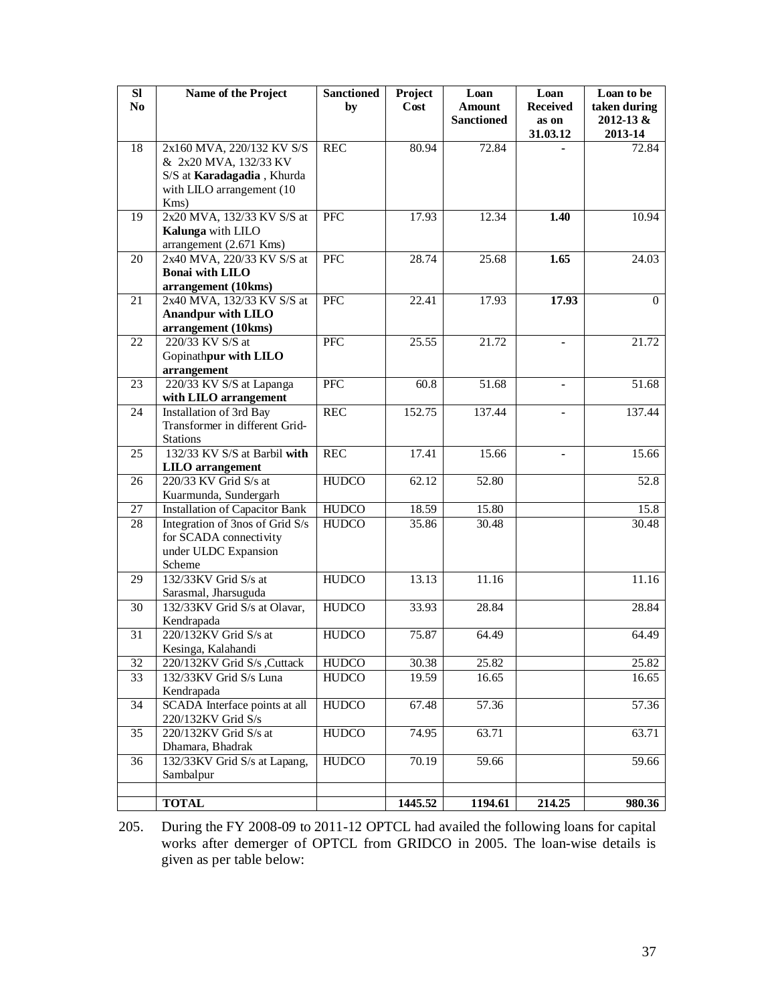| SI             | Name of the Project                                    | <b>Sanctioned</b> | Project            | Loan              | Loan              | Loan to be           |
|----------------|--------------------------------------------------------|-------------------|--------------------|-------------------|-------------------|----------------------|
| N <sub>o</sub> |                                                        | by                | Cost               | <b>Amount</b>     | <b>Received</b>   | taken during         |
|                |                                                        |                   |                    | <b>Sanctioned</b> | as on<br>31.03.12 | 2012-13 &<br>2013-14 |
| 18             | 2x160 MVA, 220/132 KV S/S                              | <b>REC</b>        | 80.94              | 72.84             |                   | 72.84                |
|                | & 2x20 MVA, 132/33 KV                                  |                   |                    |                   |                   |                      |
|                | S/S at Karadagadia, Khurda                             |                   |                    |                   |                   |                      |
|                | with LILO arrangement (10                              |                   |                    |                   |                   |                      |
|                | Kms)                                                   |                   |                    |                   |                   |                      |
| 19             | 2x20 MVA, 132/33 KV S/S at                             | PFC               | 17.93              | 12.34             | 1.40              | 10.94                |
|                | Kalunga with LILO                                      |                   |                    |                   |                   |                      |
|                | arrangement (2.671 Kms)                                |                   |                    |                   |                   |                      |
| 20             | 2x40 MVA, 220/33 KV S/S at<br><b>Bonai</b> with LILO   | PFC               | 28.74              | 25.68             | 1.65              | 24.03                |
|                | arrangement (10kms)                                    |                   |                    |                   |                   |                      |
| 21             | 2x40 MVA, 132/33 KV S/S at                             | <b>PFC</b>        | 22.41              | 17.93             | 17.93             | $\Omega$             |
|                | <b>Anandpur with LILO</b>                              |                   |                    |                   |                   |                      |
|                | arrangement (10kms)                                    |                   |                    |                   |                   |                      |
| 22             | 220/33 KV S/S at                                       | PFC               | 25.55              | 21.72             |                   | 21.72                |
|                | Gopinathpur with LILO                                  |                   |                    |                   |                   |                      |
|                | arrangement                                            |                   |                    |                   |                   |                      |
| 23             | 220/33 KV S/S at Lapanga                               | <b>PFC</b>        | 60.8               | 51.68             | $\blacksquare$    | 51.68                |
|                | with LILO arrangement                                  |                   |                    |                   |                   |                      |
| 24             | <b>Installation of 3rd Bay</b>                         | <b>REC</b>        | 152.75             | 137.44            |                   | 137.44               |
|                | Transformer in different Grid-                         |                   |                    |                   |                   |                      |
|                | <b>Stations</b>                                        |                   |                    |                   |                   |                      |
| 25             | 132/33 KV S/S at Barbil with                           | <b>REC</b>        | 17.41              | 15.66             |                   | 15.66                |
| 26             | <b>LILO</b> arrangement<br>220/33 KV Grid S/s at       | <b>HUDCO</b>      | 62.12              | 52.80             |                   | 52.8                 |
|                | Kuarmunda, Sundergarh                                  |                   |                    |                   |                   |                      |
| 27             | Installation of Capacitor Bank                         | <b>HUDCO</b>      | $\overline{18.59}$ | 15.80             |                   | 15.8                 |
| 28             | Integration of 3nos of Grid S/s                        | <b>HUDCO</b>      | 35.86              | 30.48             |                   | 30.48                |
|                | for SCADA connectivity                                 |                   |                    |                   |                   |                      |
|                | under ULDC Expansion                                   |                   |                    |                   |                   |                      |
|                | Scheme                                                 |                   |                    |                   |                   |                      |
| 29             | 132/33KV Grid S/s at                                   | <b>HUDCO</b>      | 13.13              | 11.16             |                   | 11.16                |
|                | Sarasmal, Jharsuguda                                   |                   |                    |                   |                   |                      |
| 30             | 132/33KV Grid S/s at Olavar,                           | <b>HUDCO</b>      | 33.93              | 28.84             |                   | 28.84                |
|                | Kendrapada                                             |                   |                    |                   |                   |                      |
| 31             | 220/132KV Grid S/s at                                  | <b>HUDCO</b>      | 75.87              | 64.49             |                   | 64.49                |
|                | Kesinga, Kalahandi                                     |                   |                    |                   |                   |                      |
| 32             | 220/132KV Grid S/s , Cuttack<br>132/33KV Grid S/s Luna | <b>HUDCO</b>      | 30.38<br>19.59     | 25.82             |                   | 25.82                |
| 33             | Kendrapada                                             | <b>HUDCO</b>      |                    | 16.65             |                   | 16.65                |
| 34             | SCADA Interface points at all                          | <b>HUDCO</b>      | 67.48              | 57.36             |                   | 57.36                |
|                | 220/132KV Grid S/s                                     |                   |                    |                   |                   |                      |
| 35             | 220/132KV Grid S/s at                                  | <b>HUDCO</b>      | 74.95              | 63.71             |                   | 63.71                |
|                | Dhamara, Bhadrak                                       |                   |                    |                   |                   |                      |
| 36             | 132/33KV Grid S/s at Lapang,                           | <b>HUDCO</b>      | 70.19              | 59.66             |                   | 59.66                |
|                | Sambalpur                                              |                   |                    |                   |                   |                      |
|                |                                                        |                   |                    |                   |                   |                      |
|                | <b>TOTAL</b>                                           |                   | 1445.52            | 1194.61           | 214.25            | 980.36               |

205. During the FY 2008-09 to 2011-12 OPTCL had availed the following loans for capital works after demerger of OPTCL from GRIDCO in 2005. The loan-wise details is given as per table below: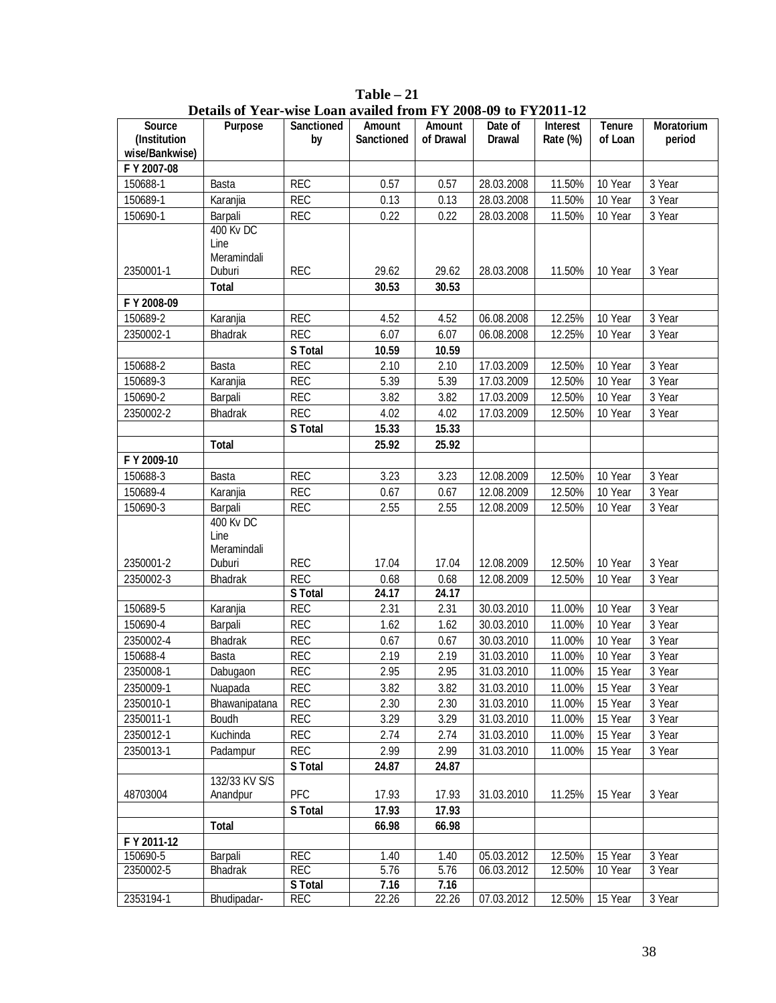|                               | Details of $1$ car-wise Loan availed from F $1$ 2000-07 to F I 2011-12 |                         |                                    |                            |                          |                             |                          |                             |
|-------------------------------|------------------------------------------------------------------------|-------------------------|------------------------------------|----------------------------|--------------------------|-----------------------------|--------------------------|-----------------------------|
| <b>Source</b><br>(Institution | <b>Purpose</b>                                                         | <b>Sanctioned</b><br>by | <b>Amount</b><br><b>Sanctioned</b> | <b>Amount</b><br>of Drawal | Date of<br><b>Drawal</b> | <b>Interest</b><br>Rate (%) | <b>Tenure</b><br>of Loan | <b>Moratorium</b><br>period |
| wise/Bankwise)                |                                                                        |                         |                                    |                            |                          |                             |                          |                             |
| F Y 2007-08                   |                                                                        |                         |                                    |                            |                          |                             |                          |                             |
| 150688-1                      | Basta                                                                  | <b>REC</b>              | 0.57                               | 0.57                       | 28.03.2008               | 11.50%                      | 10 Year                  | 3 Year                      |
|                               |                                                                        |                         |                                    |                            |                          |                             |                          |                             |
| 150689-1                      | Karanjia                                                               | <b>REC</b>              | 0.13                               | 0.13                       | 28.03.2008               | 11.50%                      | 10 Year                  | 3 Year                      |
| 150690-1                      | Barpali                                                                | <b>REC</b>              | 0.22                               | 0.22                       | 28.03.2008               | 11.50%                      | 10 Year                  | 3 Year                      |
|                               | <b>400 Kv DC</b>                                                       |                         |                                    |                            |                          |                             |                          |                             |
|                               | Line                                                                   |                         |                                    |                            |                          |                             |                          |                             |
|                               | Meramindali                                                            |                         |                                    | 29.62                      |                          |                             |                          |                             |
| 2350001-1                     | Duburi                                                                 | <b>REC</b>              | 29.62                              |                            | 28.03.2008               | 11.50%                      | 10 Year                  | 3 Year                      |
|                               | <b>Total</b>                                                           |                         | 30.53                              | 30.53                      |                          |                             |                          |                             |
| F Y 2008-09                   |                                                                        |                         |                                    |                            |                          |                             |                          |                             |
| 150689-2                      | Karanjia                                                               | <b>REC</b>              | 4.52                               | 4.52                       | 06.08.2008               | 12.25%                      | 10 Year                  | 3 Year                      |
| 2350002-1                     | Bhadrak                                                                | <b>REC</b>              | 6.07                               | 6.07                       | 06.08.2008               | 12.25%                      | 10 Year                  | 3 Year                      |
|                               |                                                                        | <b>S</b> Total          | 10.59                              | 10.59                      |                          |                             |                          |                             |
| 150688-2                      | Basta                                                                  | <b>REC</b>              | 2.10                               | 2.10                       | 17.03.2009               | 12.50%                      | 10 Year                  | 3 Year                      |
| 150689-3                      | Karanjia                                                               | <b>REC</b>              | 5.39                               | 5.39                       | 17.03.2009               | 12.50%                      | 10 Year                  | 3 Year                      |
| 150690-2                      | Barpali                                                                | <b>REC</b>              | 3.82                               | 3.82                       | 17.03.2009               | 12.50%                      | 10 Year                  | 3 Year                      |
| 2350002-2                     | Bhadrak                                                                | <b>REC</b>              | 4.02                               | 4.02                       | 17.03.2009               | 12.50%                      | 10 Year                  | 3 Year                      |
|                               |                                                                        | <b>S</b> Total          | 15.33                              | 15.33                      |                          |                             |                          |                             |
|                               |                                                                        |                         |                                    | 25.92                      |                          |                             |                          |                             |
|                               | <b>Total</b>                                                           |                         | 25.92                              |                            |                          |                             |                          |                             |
| F Y 2009-10                   |                                                                        |                         |                                    |                            |                          |                             |                          |                             |
| 150688-3                      | Basta                                                                  | <b>REC</b>              | 3.23                               | 3.23                       | 12.08.2009               | 12.50%                      | 10 Year                  | 3 Year                      |
| 150689-4                      | Karanjia                                                               | <b>REC</b>              | 0.67                               | 0.67                       | 12.08.2009               | 12.50%                      | 10 Year                  | 3 Year                      |
| 150690-3                      | Barpali                                                                | <b>REC</b>              | 2.55                               | 2.55                       | 12.08.2009               | 12.50%                      | 10 Year                  | 3 Year                      |
|                               | <b>400 Kv DC</b>                                                       |                         |                                    |                            |                          |                             |                          |                             |
|                               | Line                                                                   |                         |                                    |                            |                          |                             |                          |                             |
|                               | Meramindali                                                            |                         |                                    |                            |                          |                             |                          |                             |
| 2350001-2                     | Duburi                                                                 | <b>REC</b>              | 17.04                              | 17.04                      | 12.08.2009               | 12.50%                      | 10 Year                  | 3 Year                      |
| 2350002-3                     | <b>Bhadrak</b>                                                         | <b>REC</b>              | 0.68                               | 0.68                       | 12.08.2009               | 12.50%                      | 10 Year                  | 3 Year                      |
|                               |                                                                        | <b>S</b> Total          | 24.17                              | 24.17                      |                          |                             |                          |                             |
| 150689-5                      | Karanjia                                                               | <b>REC</b>              | 2.31                               | 2.31                       | 30.03.2010               | 11.00%                      | 10 Year                  | 3 Year                      |
| 150690-4                      | Barpali                                                                | <b>REC</b>              | 1.62                               | 1.62                       | 30.03.2010               | 11.00%                      | 10 Year                  | 3 Year                      |
| 2350002-4                     | <b>Bhadrak</b>                                                         | <b>REC</b>              | 0.67                               | 0.67                       | 30.03.2010               | 11.00%                      | 10 Year                  | 3 Year                      |
| 150688-4                      | Basta                                                                  | <b>REC</b>              | 2.19                               | 2.19                       | 31.03.2010               | 11.00%                      | 10 Year                  | 3 Year                      |
| 2350008-1                     | Dabugaon                                                               | <b>REC</b>              | 2.95                               | 2.95                       | 31.03.2010               | 11.00%                      | 15 Year                  | 3 Year                      |
| 2350009-1                     | Nuapada                                                                | <b>REC</b>              | 3.82                               | 3.82                       | 31.03.2010               | 11.00%                      | 15 Year                  | 3 Year                      |
| 2350010-1                     | Bhawanipatana                                                          | <b>REC</b>              | 2.30                               | 2.30                       | 31.03.2010               | 11.00%                      | 15 Year                  | 3 Year                      |
| 2350011-1                     | Boudh                                                                  | <b>REC</b>              | 3.29                               | 3.29                       | 31.03.2010               | 11.00%                      | 15 Year                  | 3 Year                      |
|                               |                                                                        |                         |                                    |                            |                          |                             |                          |                             |
| 2350012-1                     | Kuchinda                                                               | <b>REC</b>              | 2.74                               | 2.74                       | 31.03.2010               | 11.00%                      | 15 Year                  | 3 Year                      |
| 2350013-1                     | Padampur                                                               | <b>REC</b>              | 2.99                               | 2.99                       | 31.03.2010               | 11.00%                      | 15 Year                  | 3 Year                      |
|                               |                                                                        | <b>S</b> Total          | 24.87                              | 24.87                      |                          |                             |                          |                             |
|                               | 132/33 KV S/S                                                          |                         |                                    |                            |                          |                             |                          |                             |
| 48703004                      | Anandpur                                                               | PFC                     | 17.93                              | 17.93                      | 31.03.2010               | 11.25%                      | 15 Year                  | 3 Year                      |
|                               |                                                                        | <b>S</b> Total          | 17.93                              | 17.93                      |                          |                             |                          |                             |
|                               | <b>Total</b>                                                           |                         | 66.98                              | 66.98                      |                          |                             |                          |                             |
| F Y 2011-12                   |                                                                        |                         |                                    |                            |                          |                             |                          |                             |
| 150690-5                      | Barpali                                                                | <b>REC</b>              | 1.40                               | 1.40                       | 05.03.2012               | 12.50%                      | 15 Year                  | 3 Year                      |
| 2350002-5                     | <b>Bhadrak</b>                                                         | <b>REC</b>              | 5.76                               | 5.76                       | 06.03.2012               | 12.50%                      | 10 Year                  | 3 Year                      |
|                               |                                                                        | <b>S</b> Total          | 7.16                               | 7.16                       |                          |                             |                          |                             |
| 2353194-1                     | Bhudipadar-                                                            | <b>REC</b>              | 22.26                              | 22.26                      | 07.03.2012               | 12.50%                      | 15 Year                  | 3 Year                      |

**Table – 21 Details of Year-wise Loan availed from FY 2008-09 to FY2011-12**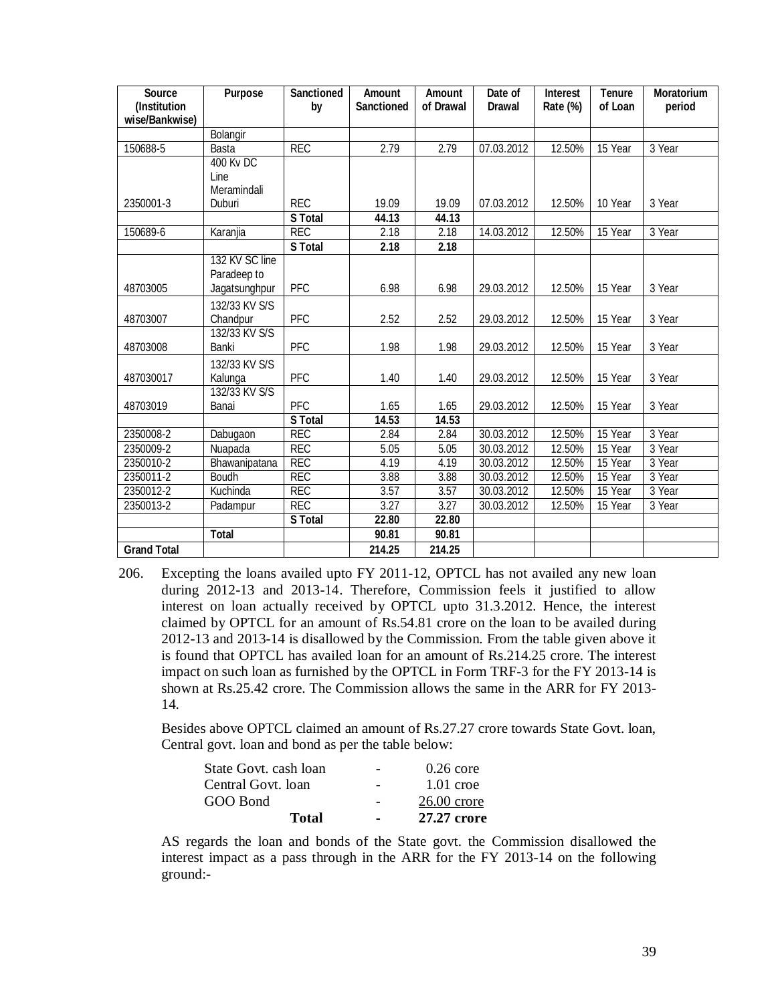| <b>Source</b>                  | <b>Purpose</b>   | <b>Sanctioned</b> | <b>Amount</b>     | <b>Amount</b> | Date of       | <b>Interest</b> | <b>Tenure</b> | <b>Moratorium</b> |
|--------------------------------|------------------|-------------------|-------------------|---------------|---------------|-----------------|---------------|-------------------|
| (Institution<br>wise/Bankwise) |                  | by                | <b>Sanctioned</b> | of Drawal     | <b>Drawal</b> | Rate (%)        | of Loan       | period            |
|                                | Bolangir         |                   |                   |               |               |                 |               |                   |
| 150688-5                       | <b>Basta</b>     | <b>REC</b>        | 2.79              | 2.79          | 07.03.2012    | 12.50%          | 15 Year       | 3 Year            |
|                                | <b>400 Kv DC</b> |                   |                   |               |               |                 |               |                   |
|                                | Line             |                   |                   |               |               |                 |               |                   |
|                                | Meramindali      |                   |                   |               |               |                 |               |                   |
| 2350001-3                      | Duburi           | <b>REC</b>        | 19.09             | 19.09         | 07.03.2012    | 12.50%          | 10 Year       | 3 Year            |
|                                |                  | <b>S</b> Total    | 44.13             | 44.13         |               |                 |               |                   |
| 150689-6                       | Karanjia         | <b>REC</b>        | 2.18              | 2.18          | 14.03.2012    | 12.50%          | 15 Year       | 3 Year            |
|                                |                  | <b>S</b> Total    | 2.18              | 2.18          |               |                 |               |                   |
|                                | 132 KV SC line   |                   |                   |               |               |                 |               |                   |
|                                | Paradeep to      |                   |                   |               |               |                 |               |                   |
| 48703005                       | Jagatsunghpur    | PFC               | 6.98              | 6.98          | 29.03.2012    | 12.50%          | 15 Year       | 3 Year            |
|                                | 132/33 KV S/S    |                   |                   |               |               |                 |               |                   |
| 48703007                       | Chandpur         | PFC               | 2.52              | 2.52          | 29.03.2012    | 12.50%          | 15 Year       | 3 Year            |
|                                | 132/33 KV S/S    |                   |                   |               |               |                 |               |                   |
| 48703008                       | Banki            | PFC               | 1.98              | 1.98          | 29.03.2012    | 12.50%          | 15 Year       | 3 Year            |
|                                | 132/33 KV S/S    |                   |                   |               |               |                 |               |                   |
| 487030017                      | Kalunga          | PFC               | 1.40              | 1.40          | 29.03.2012    | 12.50%          | 15 Year       | 3 Year            |
|                                | 132/33 KV S/S    |                   |                   |               |               |                 |               |                   |
| 48703019                       | Banai            | PFC               | 1.65              | 1.65          | 29.03.2012    | 12.50%          | 15 Year       | 3 Year            |
|                                |                  | <b>S</b> Total    | 14.53             | 14.53         |               |                 |               |                   |
| 2350008-2                      | Dabugaon         | <b>REC</b>        | 2.84              | 2.84          | 30.03.2012    | 12.50%          | 15 Year       | 3 Year            |
| 2350009-2                      | Nuapada          | <b>REC</b>        | 5.05              | 5.05          | 30.03.2012    | 12.50%          | 15 Year       | 3 Year            |
| 2350010-2                      | Bhawanipatana    | <b>REC</b>        | 4.19              | 4.19          | 30.03.2012    | 12.50%          | 15 Year       | 3 Year            |
| 2350011-2                      | Boudh            | <b>REC</b>        | 3.88              | 3.88          | 30.03.2012    | 12.50%          | 15 Year       | 3 Year            |
| 2350012-2                      | Kuchinda         | <b>REC</b>        | 3.57              | 3.57          | 30.03.2012    | 12.50%          | 15 Year       | 3 Year            |
| 2350013-2                      | Padampur         | <b>REC</b>        | 3.27              | 3.27          | 30.03.2012    | 12.50%          | 15 Year       | 3 Year            |
|                                |                  | <b>S</b> Total    | 22.80             | 22.80         |               |                 |               |                   |
|                                | <b>Total</b>     |                   | 90.81             | 90.81         |               |                 |               |                   |
| <b>Grand Total</b>             |                  |                   | 214.25            | 214.25        |               |                 |               |                   |

206. Excepting the loans availed upto FY 2011-12, OPTCL has not availed any new loan during 2012-13 and 2013-14. Therefore, Commission feels it justified to allow interest on loan actually received by OPTCL upto 31.3.2012. Hence, the interest claimed by OPTCL for an amount of Rs.54.81 crore on the loan to be availed during 2012-13 and 2013-14 is disallowed by the Commission. From the table given above it is found that OPTCL has availed loan for an amount of Rs.214.25 crore. The interest impact on such loan as furnished by the OPTCL in Form TRF-3 for the FY 2013-14 is shown at Rs.25.42 crore. The Commission allows the same in the ARR for FY 2013- 14.

Besides above OPTCL claimed an amount of Rs.27.27 crore towards State Govt. loan, Central govt. loan and bond as per the table below:

| State Govt. cash loan |   | $0.26$ core   |
|-----------------------|---|---------------|
| Central Govt. loan    |   | $1.01$ croe   |
| GOO Bond              |   | $26.00$ crore |
| Total                 | ۰ | 27.27 crore   |

AS regards the loan and bonds of the State govt. the Commission disallowed the interest impact as a pass through in the ARR for the FY 2013-14 on the following ground:-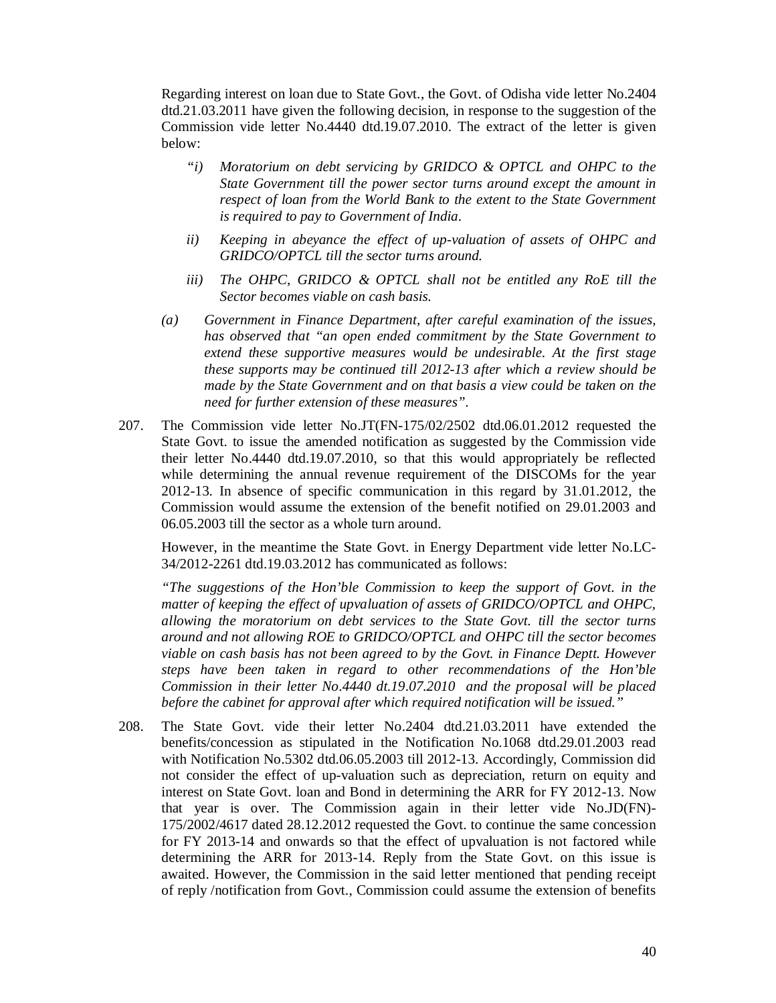Regarding interest on loan due to State Govt., the Govt. of Odisha vide letter No.2404 dtd.21.03.2011 have given the following decision, in response to the suggestion of the Commission vide letter No.4440 dtd.19.07.2010. The extract of the letter is given below:

- *"i) Moratorium on debt servicing by GRIDCO & OPTCL and OHPC to the State Government till the power sector turns around except the amount in respect of loan from the World Bank to the extent to the State Government is required to pay to Government of India.*
- *ii) Keeping in abeyance the effect of up-valuation of assets of OHPC and GRIDCO/OPTCL till the sector turns around.*
- *iii) The OHPC, GRIDCO & OPTCL shall not be entitled any RoE till the Sector becomes viable on cash basis.*
- *(a) Government in Finance Department, after careful examination of the issues, has observed that "an open ended commitment by the State Government to extend these supportive measures would be undesirable. At the first stage these supports may be continued till 2012-13 after which a review should be made by the State Government and on that basis a view could be taken on the need for further extension of these measures".*
- 207. The Commission vide letter No.JT(FN-175/02/2502 dtd.06.01.2012 requested the State Govt. to issue the amended notification as suggested by the Commission vide their letter No.4440 dtd.19.07.2010, so that this would appropriately be reflected while determining the annual revenue requirement of the DISCOMs for the year 2012-13. In absence of specific communication in this regard by 31.01.2012, the Commission would assume the extension of the benefit notified on 29.01.2003 and 06.05.2003 till the sector as a whole turn around.

However, in the meantime the State Govt. in Energy Department vide letter No.LC-34/2012-2261 dtd.19.03.2012 has communicated as follows:

*"The suggestions of the Hon'ble Commission to keep the support of Govt. in the matter of keeping the effect of upvaluation of assets of GRIDCO/OPTCL and OHPC, allowing the moratorium on debt services to the State Govt. till the sector turns around and not allowing ROE to GRIDCO/OPTCL and OHPC till the sector becomes viable on cash basis has not been agreed to by the Govt. in Finance Deptt. However steps have been taken in regard to other recommendations of the Hon'ble Commission in their letter No.4440 dt.19.07.2010 and the proposal will be placed before the cabinet for approval after which required notification will be issued."*

208. The State Govt. vide their letter No.2404 dtd.21.03.2011 have extended the benefits/concession as stipulated in the Notification No.1068 dtd.29.01.2003 read with Notification No.5302 dtd.06.05.2003 till 2012-13. Accordingly, Commission did not consider the effect of up-valuation such as depreciation, return on equity and interest on State Govt. loan and Bond in determining the ARR for FY 2012-13. Now that year is over. The Commission again in their letter vide No.JD(FN)- 175/2002/4617 dated 28.12.2012 requested the Govt. to continue the same concession for FY 2013-14 and onwards so that the effect of upvaluation is not factored while determining the ARR for 2013-14. Reply from the State Govt. on this issue is awaited. However, the Commission in the said letter mentioned that pending receipt of reply /notification from Govt., Commission could assume the extension of benefits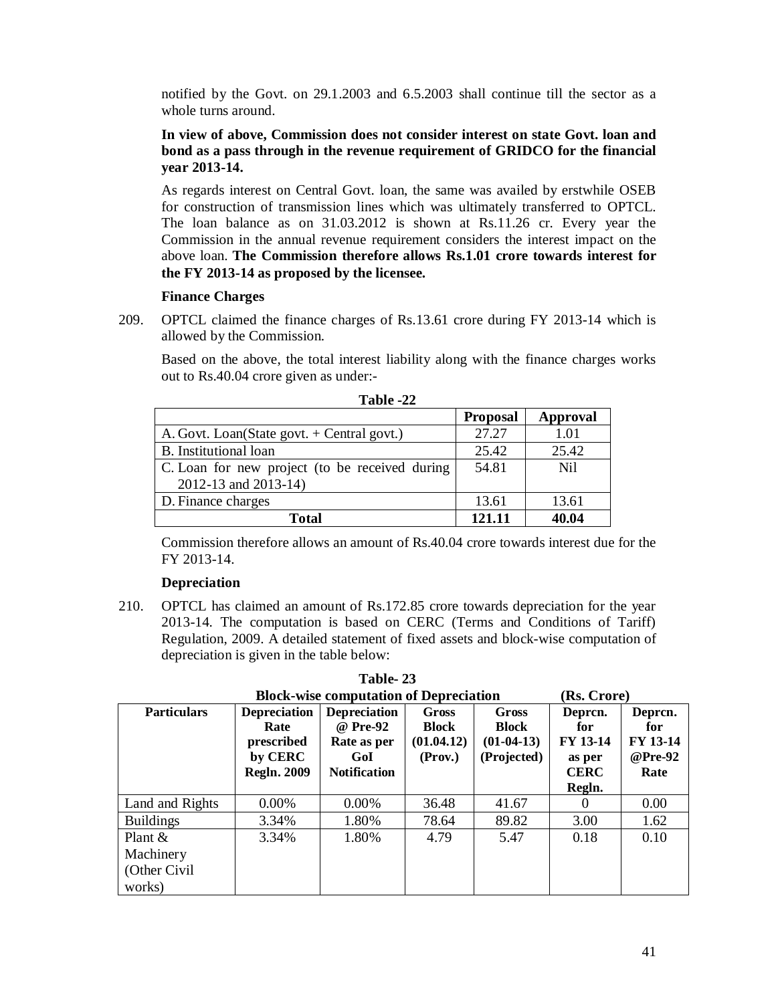notified by the Govt. on 29.1.2003 and 6.5.2003 shall continue till the sector as a whole turns around.

# **In view of above, Commission does not consider interest on state Govt. loan and bond as a pass through in the revenue requirement of GRIDCO for the financial year 2013-14.**

As regards interest on Central Govt. loan, the same was availed by erstwhile OSEB for construction of transmission lines which was ultimately transferred to OPTCL. The loan balance as on 31.03.2012 is shown at Rs.11.26 cr. Every year the Commission in the annual revenue requirement considers the interest impact on the above loan. **The Commission therefore allows Rs.1.01 crore towards interest for the FY 2013-14 as proposed by the licensee.**

# **Finance Charges**

209. OPTCL claimed the finance charges of Rs.13.61 crore during FY 2013-14 which is allowed by the Commission.

Based on the above, the total interest liability along with the finance charges works out to Rs.40.04 crore given as under:-

|                                                | <b>Proposal</b> | Approval |
|------------------------------------------------|-----------------|----------|
| A. Govt. Loan(State govt. + Central govt.)     | 27.27           | 1.01     |
| B. Institutional loan                          | 25.42           | 25.42    |
| C. Loan for new project (to be received during | 54.81           | Ni1      |
| 2012-13 and 2013-14)                           |                 |          |
| D. Finance charges                             | 13.61           | 13.61    |
| <b>Total</b>                                   | 121.11          | 40.04    |

**Table -22**

Commission therefore allows an amount of Rs.40.04 crore towards interest due for the FY 2013-14.

# **Depreciation**

210. OPTCL has claimed an amount of Rs.172.85 crore towards depreciation for the year 2013-14. The computation is based on CERC (Terms and Conditions of Tariff) Regulation, 2009. A detailed statement of fixed assets and block-wise computation of depreciation is given in the table below:

**Table- 23**

| <b>Block-wise computation of Depreciation</b><br>(Rs. Crore) |                                                                            |                                                                              |                                         |                                               |                                                               |                                                      |  |  |
|--------------------------------------------------------------|----------------------------------------------------------------------------|------------------------------------------------------------------------------|-----------------------------------------|-----------------------------------------------|---------------------------------------------------------------|------------------------------------------------------|--|--|
| <b>Particulars</b>                                           | <b>Depreciation</b><br>Rate<br>prescribed<br>by CERC<br><b>Regln. 2009</b> | <b>Depreciation</b><br>@ Pre-92<br>Rate as per<br>GoI<br><b>Notification</b> | Gross<br>Block<br>(01.04.12)<br>(Prov.) | Gross<br>Block<br>$(01-04-13)$<br>(Projected) | Deprcn.<br>for<br>FY 13-14<br>as per<br><b>CERC</b><br>Regln. | Deprcn.<br>for<br><b>FY 13-14</b><br>@Pre-92<br>Rate |  |  |
| Land and Rights                                              | 0.00%                                                                      | 0.00%                                                                        | 36.48                                   | 41.67                                         |                                                               | 0.00                                                 |  |  |
| <b>Buildings</b>                                             | 3.34%                                                                      | 1.80%                                                                        | 78.64                                   | 89.82                                         | 3.00                                                          | 1.62                                                 |  |  |
| Plant $\&$                                                   | 3.34%                                                                      | 1.80%                                                                        | 4.79                                    | 5.47                                          | 0.18                                                          | 0.10                                                 |  |  |
| Machinery                                                    |                                                                            |                                                                              |                                         |                                               |                                                               |                                                      |  |  |
| (Other Civil)                                                |                                                                            |                                                                              |                                         |                                               |                                                               |                                                      |  |  |
| works)                                                       |                                                                            |                                                                              |                                         |                                               |                                                               |                                                      |  |  |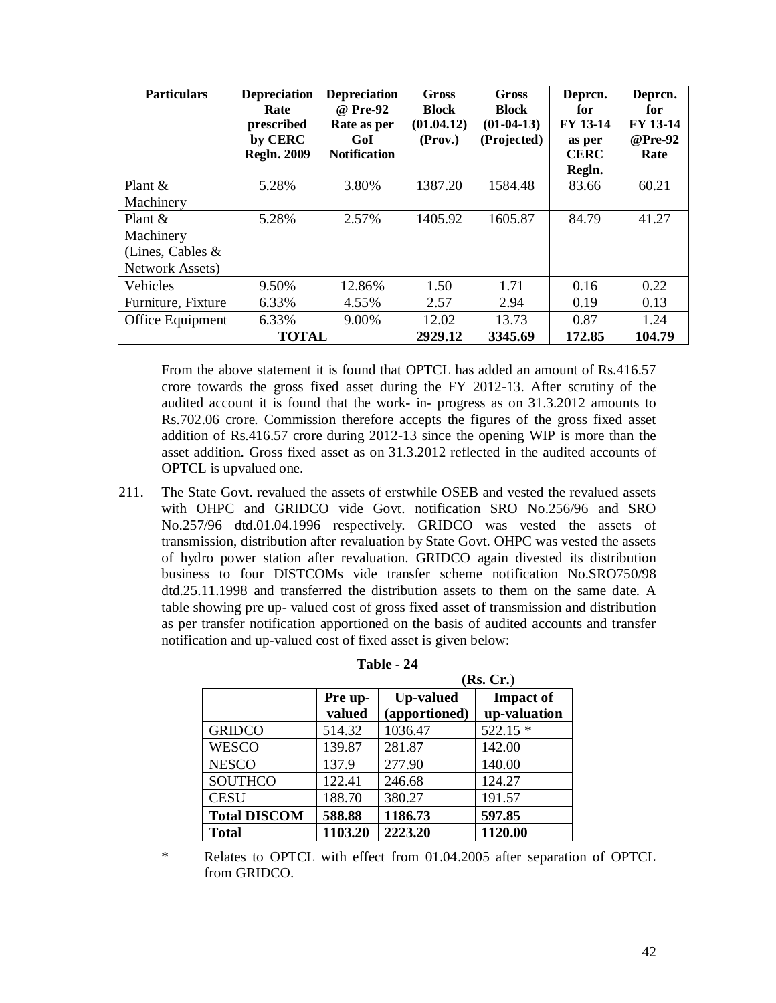| <b>Particulars</b>      | <b>Depreciation</b><br>Rate<br>prescribed<br>by CERC<br><b>Regln. 2009</b> | <b>Depreciation</b><br>@ Pre-92<br>Rate as per<br>GoI<br><b>Notification</b> | Gross<br><b>Block</b><br>(01.04.12)<br>(Prov.) | <b>Gross</b><br><b>Block</b><br>$(01-04-13)$<br>(Projected) | Deprcn.<br>for<br><b>FY 13-14</b><br>as per<br><b>CERC</b> | Deprcn.<br>for<br>FY 13-14<br>@Pre-92<br>Rate |
|-------------------------|----------------------------------------------------------------------------|------------------------------------------------------------------------------|------------------------------------------------|-------------------------------------------------------------|------------------------------------------------------------|-----------------------------------------------|
|                         |                                                                            |                                                                              |                                                |                                                             | Regln.                                                     |                                               |
| Plant $\&$              | 5.28%                                                                      | 3.80%                                                                        | 1387.20                                        | 1584.48                                                     | 83.66                                                      | 60.21                                         |
| Machinery               |                                                                            |                                                                              |                                                |                                                             |                                                            |                                               |
| Plant $\&$              | 5.28%                                                                      | 2.57%                                                                        | 1405.92                                        | 1605.87                                                     | 84.79                                                      | 41.27                                         |
| Machinery               |                                                                            |                                                                              |                                                |                                                             |                                                            |                                               |
| (Lines, Cables $&$      |                                                                            |                                                                              |                                                |                                                             |                                                            |                                               |
| <b>Network Assets</b> ) |                                                                            |                                                                              |                                                |                                                             |                                                            |                                               |
| Vehicles                | 9.50%                                                                      | 12.86%                                                                       | 1.50                                           | 1.71                                                        | 0.16                                                       | 0.22                                          |
| Furniture, Fixture      | 6.33%                                                                      | 4.55%                                                                        | 2.57                                           | 2.94                                                        | 0.19                                                       | 0.13                                          |
| Office Equipment        | 6.33%                                                                      | 9.00%                                                                        | 12.02                                          | 13.73                                                       | 0.87                                                       | 1.24                                          |
|                         | 2929.12                                                                    | 3345.69                                                                      | 172.85                                         | 104.79                                                      |                                                            |                                               |

From the above statement it is found that OPTCL has added an amount of Rs.416.57 crore towards the gross fixed asset during the FY 2012-13. After scrutiny of the audited account it is found that the work- in- progress as on 31.3.2012 amounts to Rs.702.06 crore. Commission therefore accepts the figures of the gross fixed asset addition of Rs.416.57 crore during 2012-13 since the opening WIP is more than the asset addition. Gross fixed asset as on 31.3.2012 reflected in the audited accounts of OPTCL is upvalued one.

211. The State Govt. revalued the assets of erstwhile OSEB and vested the revalued assets with OHPC and GRIDCO vide Govt. notification SRO No.256/96 and SRO No.257/96 dtd.01.04.1996 respectively. GRIDCO was vested the assets of transmission, distribution after revaluation by State Govt. OHPC was vested the assets of hydro power station after revaluation. GRIDCO again divested its distribution business to four DISTCOMs vide transfer scheme notification No.SRO750/98 dtd.25.11.1998 and transferred the distribution assets to them on the same date. A table showing pre up- valued cost of gross fixed asset of transmission and distribution as per transfer notification apportioned on the basis of audited accounts and transfer notification and up-valued cost of fixed asset is given below:

|                     |                   | (Rs, Cr.)                         |                                  |  |  |
|---------------------|-------------------|-----------------------------------|----------------------------------|--|--|
|                     | Pre up-<br>valued | <b>Up-valued</b><br>(apportioned) | <b>Impact of</b><br>up-valuation |  |  |
| <b>GRIDCO</b>       | 514.32            | 1036.47                           | $522.15*$                        |  |  |
| <b>WESCO</b>        | 139.87            | 281.87                            | 142.00                           |  |  |
| <b>NESCO</b>        | 137.9             | 277.90                            | 140.00                           |  |  |
| <b>SOUTHCO</b>      | 122.41            | 246.68                            | 124.27                           |  |  |
| <b>CESU</b>         | 188.70            | 380.27                            | 191.57                           |  |  |
| <b>Total DISCOM</b> | 588.88            | 1186.73                           | 597.85                           |  |  |
| <b>Total</b>        | 1103.20           | 2223.20                           | 1120.00                          |  |  |

| Table - | -24 |
|---------|-----|
|---------|-----|

<sup>\*</sup> Relates to OPTCL with effect from 01.04.2005 after separation of OPTCL from GRIDCO.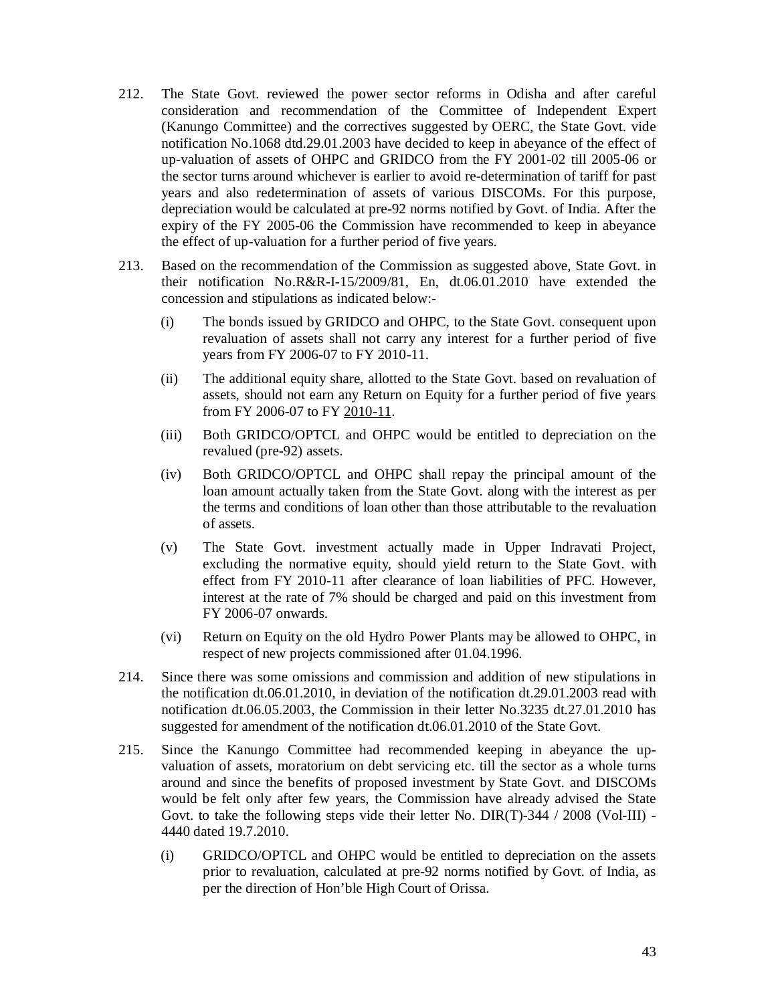- 212. The State Govt. reviewed the power sector reforms in Odisha and after careful consideration and recommendation of the Committee of Independent Expert (Kanungo Committee) and the correctives suggested by OERC, the State Govt. vide notification No.1068 dtd.29.01.2003 have decided to keep in abeyance of the effect of up-valuation of assets of OHPC and GRIDCO from the FY 2001-02 till 2005-06 or the sector turns around whichever is earlier to avoid re-determination of tariff for past years and also redetermination of assets of various DISCOMs. For this purpose, depreciation would be calculated at pre-92 norms notified by Govt. of India. After the expiry of the FY 2005-06 the Commission have recommended to keep in abeyance the effect of up-valuation for a further period of five years.
- 213. Based on the recommendation of the Commission as suggested above, State Govt. in their notification No.R&R-I-15/2009/81, En, dt.06.01.2010 have extended the concession and stipulations as indicated below:-
	- (i) The bonds issued by GRIDCO and OHPC, to the State Govt. consequent upon revaluation of assets shall not carry any interest for a further period of five years from FY 2006-07 to FY 2010-11.
	- (ii) The additional equity share, allotted to the State Govt. based on revaluation of assets, should not earn any Return on Equity for a further period of five years from FY 2006-07 to FY 2010-11.
	- (iii) Both GRIDCO/OPTCL and OHPC would be entitled to depreciation on the revalued (pre-92) assets.
	- (iv) Both GRIDCO/OPTCL and OHPC shall repay the principal amount of the loan amount actually taken from the State Govt. along with the interest as per the terms and conditions of loan other than those attributable to the revaluation of assets.
	- (v) The State Govt. investment actually made in Upper Indravati Project, excluding the normative equity, should yield return to the State Govt. with effect from FY 2010-11 after clearance of loan liabilities of PFC. However, interest at the rate of 7% should be charged and paid on this investment from FY 2006-07 onwards.
	- (vi) Return on Equity on the old Hydro Power Plants may be allowed to OHPC, in respect of new projects commissioned after 01.04.1996.
- 214. Since there was some omissions and commission and addition of new stipulations in the notification dt.06.01.2010, in deviation of the notification dt.29.01.2003 read with notification dt.06.05.2003, the Commission in their letter No.3235 dt.27.01.2010 has suggested for amendment of the notification dt.06.01.2010 of the State Govt.
- 215. Since the Kanungo Committee had recommended keeping in abeyance the upvaluation of assets, moratorium on debt servicing etc. till the sector as a whole turns around and since the benefits of proposed investment by State Govt. and DISCOMs would be felt only after few years, the Commission have already advised the State Govt. to take the following steps vide their letter No. DIR(T)-344 / 2008 (Vol-III) - 4440 dated 19.7.2010.
	- (i) GRIDCO/OPTCL and OHPC would be entitled to depreciation on the assets prior to revaluation, calculated at pre-92 norms notified by Govt. of India, as per the direction of Hon'ble High Court of Orissa.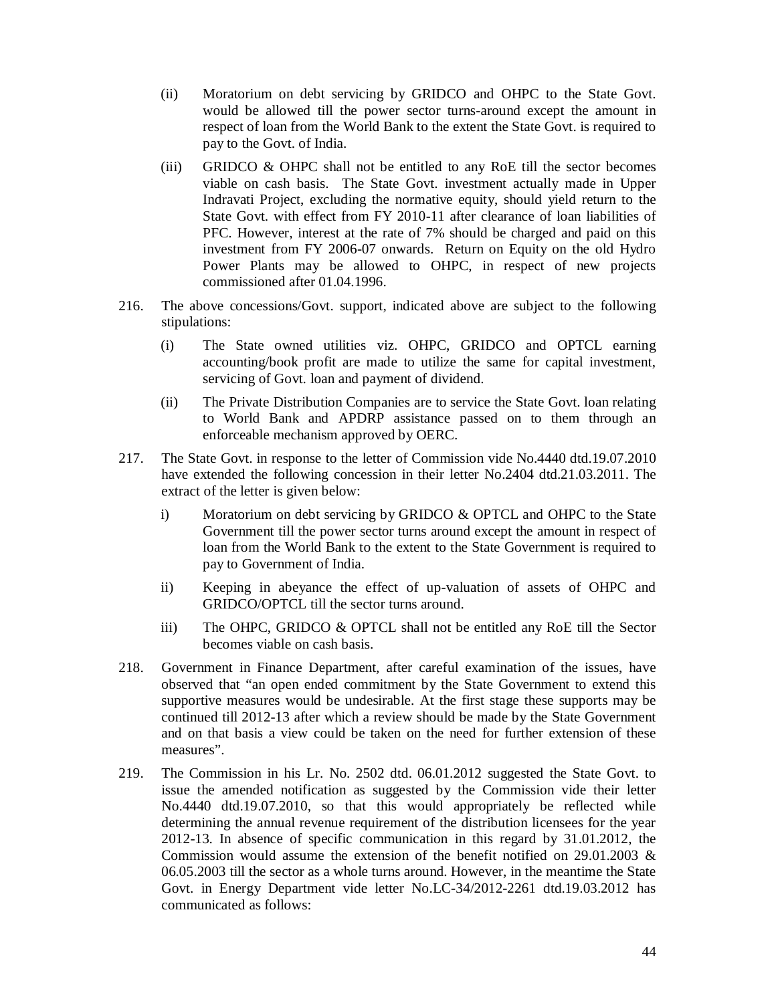- (ii) Moratorium on debt servicing by GRIDCO and OHPC to the State Govt. would be allowed till the power sector turns-around except the amount in respect of loan from the World Bank to the extent the State Govt. is required to pay to the Govt. of India.
- (iii) GRIDCO & OHPC shall not be entitled to any RoE till the sector becomes viable on cash basis. The State Govt. investment actually made in Upper Indravati Project, excluding the normative equity, should yield return to the State Govt. with effect from FY 2010-11 after clearance of loan liabilities of PFC. However, interest at the rate of 7% should be charged and paid on this investment from FY 2006-07 onwards. Return on Equity on the old Hydro Power Plants may be allowed to OHPC, in respect of new projects commissioned after 01.04.1996.
- 216. The above concessions/Govt. support, indicated above are subject to the following stipulations:
	- (i) The State owned utilities viz. OHPC, GRIDCO and OPTCL earning accounting/book profit are made to utilize the same for capital investment, servicing of Govt. loan and payment of dividend.
	- (ii) The Private Distribution Companies are to service the State Govt. loan relating to World Bank and APDRP assistance passed on to them through an enforceable mechanism approved by OERC.
- 217. The State Govt. in response to the letter of Commission vide No.4440 dtd.19.07.2010 have extended the following concession in their letter No.2404 dtd.21.03.2011. The extract of the letter is given below:
	- i) Moratorium on debt servicing by GRIDCO & OPTCL and OHPC to the State Government till the power sector turns around except the amount in respect of loan from the World Bank to the extent to the State Government is required to pay to Government of India.
	- ii) Keeping in abeyance the effect of up-valuation of assets of OHPC and GRIDCO/OPTCL till the sector turns around.
	- iii) The OHPC, GRIDCO & OPTCL shall not be entitled any RoE till the Sector becomes viable on cash basis.
- 218. Government in Finance Department, after careful examination of the issues, have observed that "an open ended commitment by the State Government to extend this supportive measures would be undesirable. At the first stage these supports may be continued till 2012-13 after which a review should be made by the State Government and on that basis a view could be taken on the need for further extension of these measures".
- 219. The Commission in his Lr. No. 2502 dtd. 06.01.2012 suggested the State Govt. to issue the amended notification as suggested by the Commission vide their letter No.4440 dtd.19.07.2010, so that this would appropriately be reflected while determining the annual revenue requirement of the distribution licensees for the year 2012-13. In absence of specific communication in this regard by 31.01.2012, the Commission would assume the extension of the benefit notified on 29.01.2003 & 06.05.2003 till the sector as a whole turns around. However, in the meantime the State Govt. in Energy Department vide letter No.LC-34/2012-2261 dtd.19.03.2012 has communicated as follows: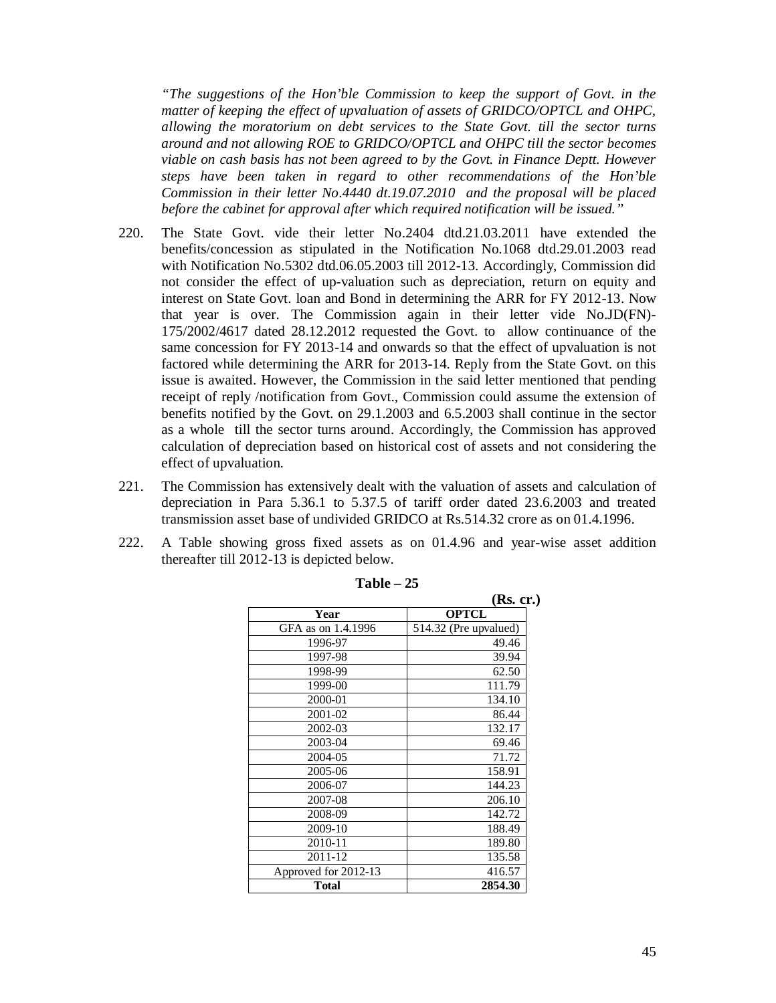*"The suggestions of the Hon'ble Commission to keep the support of Govt. in the matter of keeping the effect of upvaluation of assets of GRIDCO/OPTCL and OHPC, allowing the moratorium on debt services to the State Govt. till the sector turns around and not allowing ROE to GRIDCO/OPTCL and OHPC till the sector becomes viable on cash basis has not been agreed to by the Govt. in Finance Deptt. However steps have been taken in regard to other recommendations of the Hon'ble Commission in their letter No.4440 dt.19.07.2010 and the proposal will be placed before the cabinet for approval after which required notification will be issued."*

- 220. The State Govt. vide their letter No.2404 dtd.21.03.2011 have extended the benefits/concession as stipulated in the Notification No.1068 dtd.29.01.2003 read with Notification No.5302 dtd.06.05.2003 till 2012-13. Accordingly, Commission did not consider the effect of up-valuation such as depreciation, return on equity and interest on State Govt. loan and Bond in determining the ARR for FY 2012-13. Now that year is over. The Commission again in their letter vide No.JD(FN)- 175/2002/4617 dated 28.12.2012 requested the Govt. to allow continuance of the same concession for FY 2013-14 and onwards so that the effect of upvaluation is not factored while determining the ARR for 2013-14. Reply from the State Govt. on this issue is awaited. However, the Commission in the said letter mentioned that pending receipt of reply /notification from Govt., Commission could assume the extension of benefits notified by the Govt. on 29.1.2003 and 6.5.2003 shall continue in the sector as a whole till the sector turns around. Accordingly, the Commission has approved calculation of depreciation based on historical cost of assets and not considering the effect of upvaluation.
- 221. The Commission has extensively dealt with the valuation of assets and calculation of depreciation in Para 5.36.1 to 5.37.5 of tariff order dated 23.6.2003 and treated transmission asset base of undivided GRIDCO at Rs.514.32 crore as on 01.4.1996.
- 222. A Table showing gross fixed assets as on 01.4.96 and year-wise asset addition thereafter till 2012-13 is depicted below.

|                      | (Rs. cr.)             |
|----------------------|-----------------------|
| Year                 | <b>OPTCL</b>          |
| GFA as on 1.4.1996   | 514.32 (Pre upvalued) |
| 1996-97              | 49.46                 |
| 1997-98              | 39.94                 |
| 1998-99              | 62.50                 |
| 1999-00              | 111.79                |
| 2000-01              | 134.10                |
| 2001-02              | 86.44                 |
| 2002-03              | 132.17                |
| 2003-04              | 69.46                 |
| 2004-05              | 71.72                 |
| 2005-06              | 158.91                |
| 2006-07              | 144.23                |
| 2007-08              | 206.10                |
| 2008-09              | 142.72                |
| 2009-10              | 188.49                |
| 2010-11              | 189.80                |
| 2011-12              | 135.58                |
| Approved for 2012-13 | 416.57                |
| <b>Total</b>         | 2854.30               |

**Table – 25**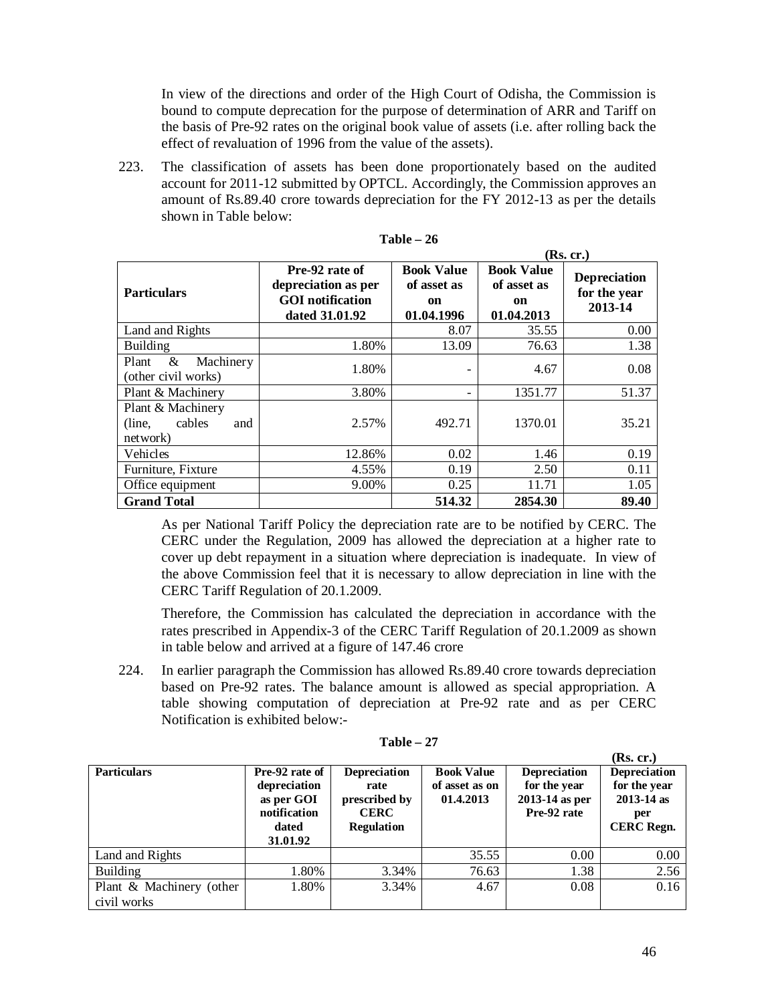In view of the directions and order of the High Court of Odisha, the Commission is bound to compute deprecation for the purpose of determination of ARR and Tariff on the basis of Pre-92 rates on the original book value of assets (i.e. after rolling back the effect of revaluation of 1996 from the value of the assets).

223. The classification of assets has been done proportionately based on the audited account for 2011-12 submitted by OPTCL. Accordingly, the Commission approves an amount of Rs.89.40 crore towards depreciation for the FY 2012-13 as per the details shown in Table below:

|                                                          |                                                                                    | (Rs, cr.)                                            |                                                      |                                                |
|----------------------------------------------------------|------------------------------------------------------------------------------------|------------------------------------------------------|------------------------------------------------------|------------------------------------------------|
| <b>Particulars</b>                                       | Pre-92 rate of<br>depreciation as per<br><b>GOI</b> notification<br>dated 31.01.92 | <b>Book Value</b><br>of asset as<br>on<br>01.04.1996 | <b>Book Value</b><br>of asset as<br>on<br>01.04.2013 | <b>Depreciation</b><br>for the year<br>2013-14 |
| Land and Rights                                          |                                                                                    | 8.07                                                 | 35.55                                                | 0.00                                           |
| <b>Building</b>                                          | 1.80%                                                                              | 13.09                                                | 76.63                                                | 1.38                                           |
| &<br>Plant<br>Machinery<br>(other civil works)           | 1.80%                                                                              | $\overline{\phantom{a}}$                             | 4.67                                                 | 0.08                                           |
| Plant & Machinery                                        | 3.80%                                                                              |                                                      | 1351.77                                              | 51.37                                          |
| Plant & Machinery<br>cables<br>(line,<br>and<br>network) | 2.57%                                                                              | 492.71                                               | 1370.01                                              | 35.21                                          |
| Vehicles                                                 | 12.86%                                                                             | 0.02                                                 | 1.46                                                 | 0.19                                           |
| Furniture, Fixture                                       | 4.55%                                                                              | 0.19                                                 | 2.50                                                 | 0.11                                           |
| Office equipment                                         | 9.00%                                                                              | 0.25                                                 | 11.71                                                | 1.05                                           |
| <b>Grand Total</b>                                       |                                                                                    | 514.32                                               | 2854.30                                              | 89.40                                          |

**Table – 26**

As per National Tariff Policy the depreciation rate are to be notified by CERC. The CERC under the Regulation, 2009 has allowed the depreciation at a higher rate to cover up debt repayment in a situation where depreciation is inadequate. In view of the above Commission feel that it is necessary to allow depreciation in line with the CERC Tariff Regulation of 20.1.2009.

Therefore, the Commission has calculated the depreciation in accordance with the rates prescribed in Appendix-3 of the CERC Tariff Regulation of 20.1.2009 as shown in table below and arrived at a figure of 147.46 crore

224. In earlier paragraph the Commission has allowed Rs.89.40 crore towards depreciation based on Pre-92 rates. The balance amount is allowed as special appropriation. A table showing computation of depreciation at Pre-92 rate and as per CERC Notification is exhibited below:-

| <b>Particulars</b>                      | Pre-92 rate of<br>depreciation<br>as per GOI<br>notification<br>dated<br>31.01.92 | <b>Depreciation</b><br>rate<br>prescribed by<br><b>CERC</b><br><b>Regulation</b> | <b>Book Value</b><br>of asset as on<br>01.4.2013 | <b>Depreciation</b><br>for the year<br>2013-14 as per<br>Pre-92 rate | (Rs, cr.)<br>Depreciation<br>for the year<br>$2013 - 14$ as<br>per<br><b>CERC</b> Regn. |
|-----------------------------------------|-----------------------------------------------------------------------------------|----------------------------------------------------------------------------------|--------------------------------------------------|----------------------------------------------------------------------|-----------------------------------------------------------------------------------------|
| Land and Rights                         |                                                                                   |                                                                                  | 35.55                                            | 0.00                                                                 | 0.00                                                                                    |
| <b>Building</b>                         | 1.80%                                                                             | 3.34%                                                                            | 76.63                                            | 1.38                                                                 | 2.56                                                                                    |
| Plant & Machinery (other<br>civil works | 1.80%                                                                             | 3.34%                                                                            | 4.67                                             | 0.08                                                                 | 0.16                                                                                    |

**Table – 27**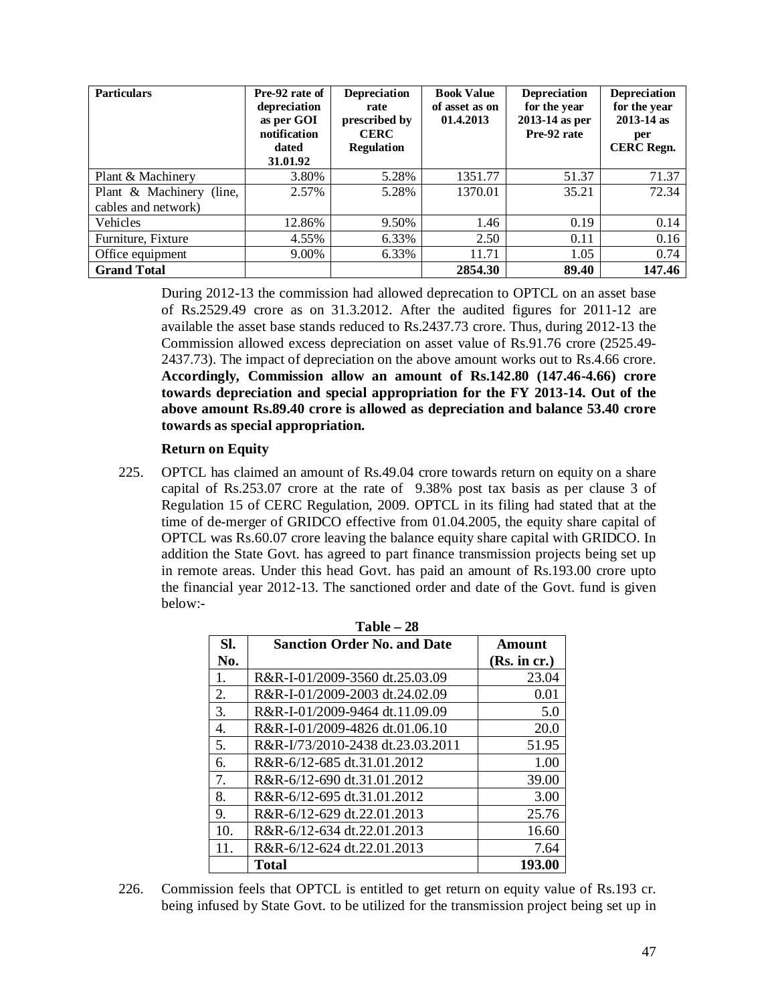| <b>Particulars</b>          | Pre-92 rate of<br>depreciation<br>as per GOI<br>notification<br>dated<br>31.01.92 | <b>Depreciation</b><br>rate<br>prescribed by<br><b>CERC</b><br><b>Regulation</b> | <b>Book Value</b><br>of asset as on<br>01.4.2013 | <b>Depreciation</b><br>for the year<br>2013-14 as per<br>Pre-92 rate | Depreciation<br>for the year<br>$2013 - 14$ as<br>per<br><b>CERC</b> Regn. |
|-----------------------------|-----------------------------------------------------------------------------------|----------------------------------------------------------------------------------|--------------------------------------------------|----------------------------------------------------------------------|----------------------------------------------------------------------------|
| Plant & Machinery           | 3.80%                                                                             | 5.28%                                                                            | 1351.77                                          | 51.37                                                                | 71.37                                                                      |
| Plant & Machinery<br>(line, | 2.57%                                                                             | 5.28%                                                                            | 1370.01                                          | 35.21                                                                | 72.34                                                                      |
| cables and network)         |                                                                                   |                                                                                  |                                                  |                                                                      |                                                                            |
| Vehicles                    | 12.86%                                                                            | 9.50%                                                                            | 1.46                                             | 0.19                                                                 | 0.14                                                                       |
| Furniture, Fixture          | 4.55%                                                                             | 6.33%                                                                            | 2.50                                             | 0.11                                                                 | 0.16                                                                       |
| Office equipment            | 9.00%                                                                             | 6.33%                                                                            | 11.71                                            | 1.05                                                                 | 0.74                                                                       |
| <b>Grand Total</b>          |                                                                                   |                                                                                  | 2854.30                                          | 89.40                                                                | 147.46                                                                     |

During 2012-13 the commission had allowed deprecation to OPTCL on an asset base of Rs.2529.49 crore as on 31.3.2012. After the audited figures for 2011-12 are available the asset base stands reduced to Rs.2437.73 crore. Thus, during 2012-13 the Commission allowed excess depreciation on asset value of Rs.91.76 crore (2525.49- 2437.73). The impact of depreciation on the above amount works out to Rs.4.66 crore. **Accordingly, Commission allow an amount of Rs.142.80 (147.46-4.66) crore towards depreciation and special appropriation for the FY 2013-14. Out of the above amount Rs.89.40 crore is allowed as depreciation and balance 53.40 crore towards as special appropriation.**

# **Return on Equity**

225. OPTCL has claimed an amount of Rs.49.04 crore towards return on equity on a share capital of Rs.253.07 crore at the rate of 9.38% post tax basis as per clause 3 of Regulation 15 of CERC Regulation, 2009. OPTCL in its filing had stated that at the time of de-merger of GRIDCO effective from 01.04.2005, the equity share capital of OPTCL was Rs.60.07 crore leaving the balance equity share capital with GRIDCO. In addition the State Govt. has agreed to part finance transmission projects being set up in remote areas. Under this head Govt. has paid an amount of Rs.193.00 crore upto the financial year 2012-13. The sanctioned order and date of the Govt. fund is given below:-

| $Table - 28$ |                                    |              |  |  |  |
|--------------|------------------------------------|--------------|--|--|--|
| SI.          | <b>Sanction Order No. and Date</b> | Amount       |  |  |  |
| No.          |                                    | (Rs. in cr.) |  |  |  |
| 1.           | R&R-I-01/2009-3560 dt.25.03.09     | 23.04        |  |  |  |
| 2.           | R&R-I-01/2009-2003 dt.24.02.09     | 0.01         |  |  |  |
| 3.           | R&R-I-01/2009-9464 dt.11.09.09     | 5.0          |  |  |  |
| 4.           | R&R-I-01/2009-4826 dt.01.06.10     | <b>20.0</b>  |  |  |  |
| 5.           | R&R-I/73/2010-2438 dt.23.03.2011   | 51.95        |  |  |  |
| б.           | R&R-6/12-685 dt.31.01.2012         | 1.00         |  |  |  |
| 7.           | R&R-6/12-690 dt.31.01.2012         | 39.00        |  |  |  |
| 8.           | R&R-6/12-695 dt.31.01.2012         | 3.00         |  |  |  |
| 9.           | R&R-6/12-629 dt.22.01.2013         | 25.76        |  |  |  |
| 10.          | R&R-6/12-634 dt.22.01.2013         | 16.60        |  |  |  |
| 11.          | R&R-6/12-624 dt.22.01.2013         | 7.64         |  |  |  |
|              | Total                              | 193.00       |  |  |  |

226. Commission feels that OPTCL is entitled to get return on equity value of Rs.193 cr. being infused by State Govt. to be utilized for the transmission project being set up in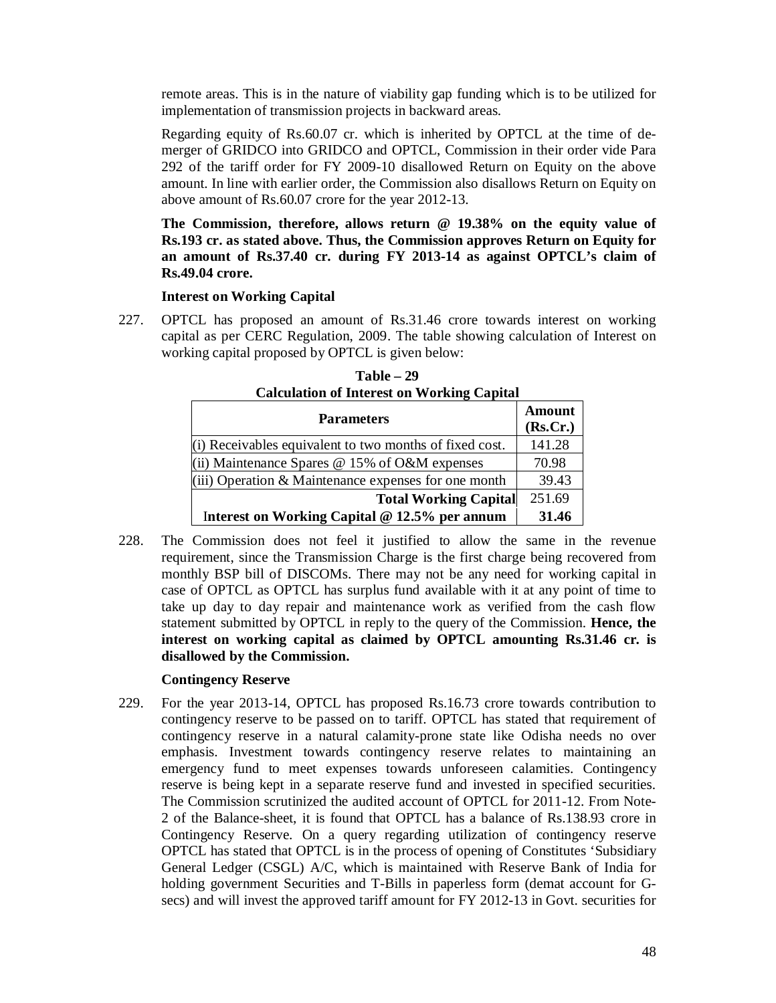remote areas. This is in the nature of viability gap funding which is to be utilized for implementation of transmission projects in backward areas.

Regarding equity of Rs.60.07 cr. which is inherited by OPTCL at the time of demerger of GRIDCO into GRIDCO and OPTCL, Commission in their order vide Para 292 of the tariff order for FY 2009-10 disallowed Return on Equity on the above amount. In line with earlier order, the Commission also disallows Return on Equity on above amount of Rs.60.07 crore for the year 2012-13.

**The Commission, therefore, allows return @ 19.38% on the equity value of Rs.193 cr. as stated above. Thus, the Commission approves Return on Equity for an amount of Rs.37.40 cr. during FY 2013-14 as against OPTCL's claim of Rs.49.04 crore.**

#### **Interest on Working Capital**

227. OPTCL has proposed an amount of Rs.31.46 crore towards interest on working capital as per CERC Regulation, 2009. The table showing calculation of Interest on working capital proposed by OPTCL is given below:

| Calculation of filterest on Working Capital<br><b>Parameters</b> | Amount<br>(Rs.Cr.) |
|------------------------------------------------------------------|--------------------|
| (i) Receivables equivalent to two months of fixed cost.          | 141.28             |
| (ii) Maintenance Spares $@$ 15% of O&M expenses                  | 70.98              |
| $(iii)$ Operation & Maintenance expenses for one month           | 39.43              |
| <b>Total Working Capital</b>                                     | 251.69             |
| Interest on Working Capital $@ 12.5\%$ per annum                 | 31.46              |

**Table – 29 Calculation of Interest on Working Capital**

228. The Commission does not feel it justified to allow the same in the revenue requirement, since the Transmission Charge is the first charge being recovered from monthly BSP bill of DISCOMs. There may not be any need for working capital in case of OPTCL as OPTCL has surplus fund available with it at any point of time to take up day to day repair and maintenance work as verified from the cash flow statement submitted by OPTCL in reply to the query of the Commission. **Hence, the interest on working capital as claimed by OPTCL amounting Rs.31.46 cr. is disallowed by the Commission.**

#### **Contingency Reserve**

229. For the year 2013-14, OPTCL has proposed Rs.16.73 crore towards contribution to contingency reserve to be passed on to tariff. OPTCL has stated that requirement of contingency reserve in a natural calamity-prone state like Odisha needs no over emphasis. Investment towards contingency reserve relates to maintaining an emergency fund to meet expenses towards unforeseen calamities. Contingency reserve is being kept in a separate reserve fund and invested in specified securities. The Commission scrutinized the audited account of OPTCL for 2011-12. From Note-2 of the Balance-sheet, it is found that OPTCL has a balance of Rs.138.93 crore in Contingency Reserve. On a query regarding utilization of contingency reserve OPTCL has stated that OPTCL is in the process of opening of Constitutes 'Subsidiary General Ledger (CSGL) A/C, which is maintained with Reserve Bank of India for holding government Securities and T-Bills in paperless form (demat account for Gsecs) and will invest the approved tariff amount for FY 2012-13 in Govt. securities for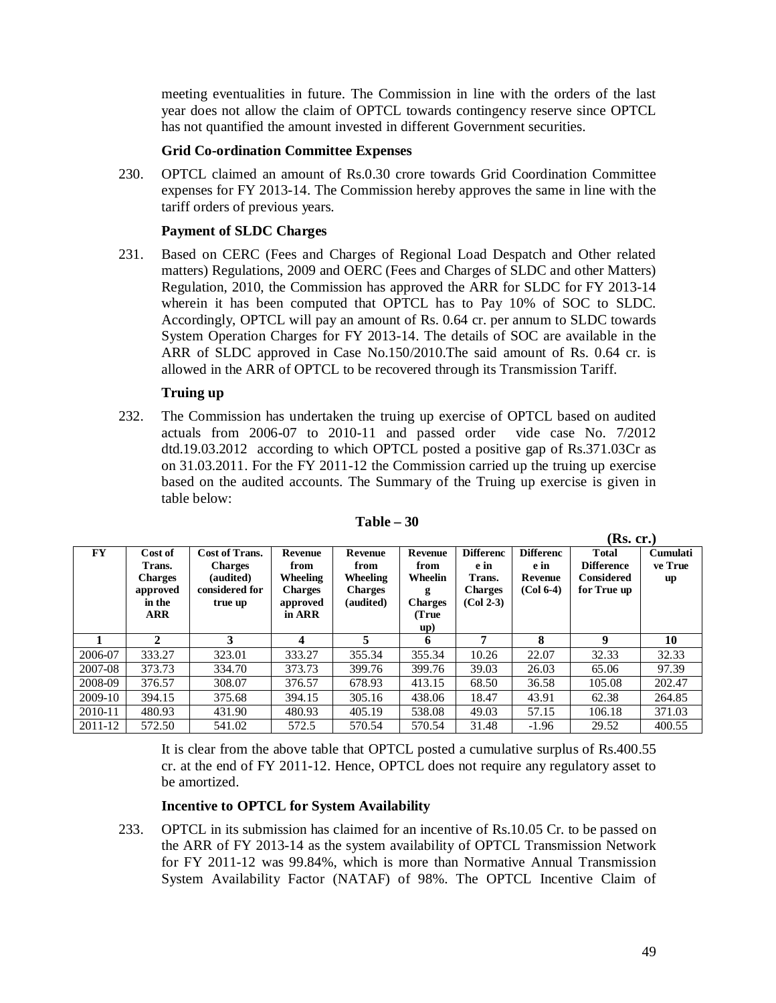meeting eventualities in future. The Commission in line with the orders of the last year does not allow the claim of OPTCL towards contingency reserve since OPTCL has not quantified the amount invested in different Government securities.

#### **Grid Co-ordination Committee Expenses**

230. OPTCL claimed an amount of Rs.0.30 crore towards Grid Coordination Committee expenses for FY 2013-14. The Commission hereby approves the same in line with the tariff orders of previous years.

# **Payment of SLDC Charges**

231. Based on CERC (Fees and Charges of Regional Load Despatch and Other related matters) Regulations, 2009 and OERC (Fees and Charges of SLDC and other Matters) Regulation, 2010, the Commission has approved the ARR for SLDC for FY 2013-14 wherein it has been computed that OPTCL has to Pay 10% of SOC to SLDC. Accordingly, OPTCL will pay an amount of Rs. 0.64 cr. per annum to SLDC towards System Operation Charges for FY 2013-14. The details of SOC are available in the ARR of SLDC approved in Case No.150/2010.The said amount of Rs. 0.64 cr. is allowed in the ARR of OPTCL to be recovered through its Transmission Tariff.

# **Truing up**

232. The Commission has undertaken the truing up exercise of OPTCL based on audited actuals from 2006-07 to 2010-11 and passed order vide case No. 7/2012 dtd.19.03.2012 according to which OPTCL posted a positive gap of Rs.371.03Cr as on 31.03.2011. For the FY 2011-12 the Commission carried up the truing up exercise based on the audited accounts. The Summary of the Truing up exercise is given in table below:

| <b>FY</b> | Cost of        | Cost of Trans. | Revenue        | <b>Revenue</b> | Revenue        | <b>Differenc</b> | <b>Differenc</b> | <b>Total</b>      | <b>Cumulati</b> |
|-----------|----------------|----------------|----------------|----------------|----------------|------------------|------------------|-------------------|-----------------|
|           | Trans.         | <b>Charges</b> | from           | from           | from           | e in             | e in             | <b>Difference</b> | ve True         |
|           | <b>Charges</b> | (audited)      | Wheeling       | Wheeling       | Wheelin        | Trans.           | Revenue          | Considered        | up              |
|           | approved       | considered for | <b>Charges</b> | <b>Charges</b> | g              | <b>Charges</b>   | $(Col 6-4)$      | for True up       |                 |
|           | in the         | true up        | approved       | (audited)      | <b>Charges</b> | $(Col 2-3)$      |                  |                   |                 |
|           | <b>ARR</b>     |                | in ARR         |                | (True          |                  |                  |                   |                 |
|           |                |                |                |                | up)            |                  |                  |                   |                 |
|           | 2              | 3              | 4              | 5              | 6              | 7                | 8                | 9                 | 10              |
| 2006-07   | 333.27         | 323.01         | 333.27         | 355.34         | 355.34         | 10.26            | 22.07            | 32.33             | 32.33           |
| 2007-08   | 373.73         | 334.70         | 373.73         | 399.76         | 399.76         | 39.03            | 26.03            | 65.06             | 97.39           |
| 2008-09   | 376.57         | 308.07         | 376.57         | 678.93         | 413.15         | 68.50            | 36.58            | 105.08            | 202.47          |
| 2009-10   | 394.15         | 375.68         | 394.15         | 305.16         | 438.06         | 18.47            | 43.91            | 62.38             | 264.85          |
| 2010-11   | 480.93         | 431.90         | 480.93         | 405.19         | 538.08         | 49.03            | 57.15            | 106.18            | 371.03          |
| 2011-12   | 572.50         | 541.02         | 572.5          | 570.54         | 570.54         | 31.48            | $-1.96$          | 29.52             | 400.55          |

**Table – 30**

It is clear from the above table that OPTCL posted a cumulative surplus of Rs.400.55 cr. at the end of FY 2011-12. Hence, OPTCL does not require any regulatory asset to be amortized.

#### **Incentive to OPTCL for System Availability**

233. OPTCL in its submission has claimed for an incentive of Rs.10.05 Cr. to be passed on the ARR of FY 2013-14 as the system availability of OPTCL Transmission Network for FY 2011-12 was 99.84%, which is more than Normative Annual Transmission System Availability Factor (NATAF) of 98%. The OPTCL Incentive Claim of

**(Rs. cr.)**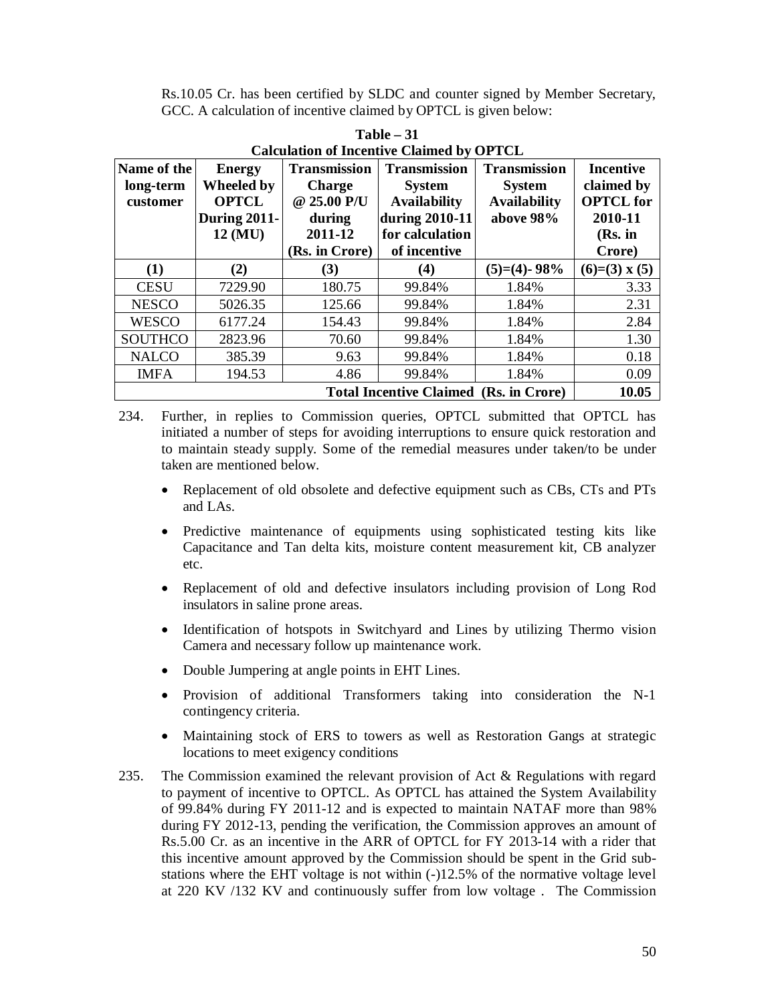Rs.10.05 Cr. has been certified by SLDC and counter signed by Member Secretary, GCC. A calculation of incentive claimed by OPTCL is given below:

| <b>Calculation of Incentive Claimed by OPTCL</b>       |                   |                     |                     |                     |                  |  |  |
|--------------------------------------------------------|-------------------|---------------------|---------------------|---------------------|------------------|--|--|
| Name of the                                            | <b>Energy</b>     | <b>Transmission</b> | <b>Transmission</b> | <b>Transmission</b> | <b>Incentive</b> |  |  |
| long-term                                              | <b>Wheeled by</b> | <b>Charge</b>       | <b>System</b>       | <b>System</b>       | claimed by       |  |  |
| customer                                               | <b>OPTCL</b>      | @ 25.00 P/U         | <b>Availability</b> | <b>Availability</b> | <b>OPTCL</b> for |  |  |
|                                                        | During 2011-      | during              | during 2010-11      | above 98%           | 2010-11          |  |  |
|                                                        | 12 (MU)           | 2011-12             | for calculation     |                     | (Rs. in          |  |  |
|                                                        |                   | (Rs. in Crore)      | of incentive        |                     | Crore)           |  |  |
| (1)                                                    | (2)               | (3)                 | (4)                 | $(5)=(4)$ - 98%     | $(6)=(3)$ x (5)  |  |  |
| <b>CESU</b>                                            | 7229.90           | 180.75              | 99.84%              | 1.84%               | 3.33             |  |  |
| <b>NESCO</b>                                           | 5026.35           | 125.66              | 99.84%              | 1.84%               | 2.31             |  |  |
| <b>WESCO</b>                                           | 6177.24           | 154.43              | 99.84%              | 1.84%               | 2.84             |  |  |
| <b>SOUTHCO</b>                                         | 2823.96           | 70.60               | 99.84%              | 1.84%               | 1.30             |  |  |
| <b>NALCO</b>                                           | 385.39            | 9.63                | 99.84%              | 1.84%               | 0.18             |  |  |
| <b>IMFA</b>                                            | 194.53            | 4.86                | 99.84%              | 1.84%               | 0.09             |  |  |
| 10.05<br><b>Total Incentive Claimed (Rs. in Crore)</b> |                   |                     |                     |                     |                  |  |  |

**Table – 31**

234. Further, in replies to Commission queries, OPTCL submitted that OPTCL has initiated a number of steps for avoiding interruptions to ensure quick restoration and to maintain steady supply. Some of the remedial measures under taken/to be under taken are mentioned below.

- Replacement of old obsolete and defective equipment such as CBs, CTs and PTs and LAs.
- Predictive maintenance of equipments using sophisticated testing kits like Capacitance and Tan delta kits, moisture content measurement kit, CB analyzer etc.
- Replacement of old and defective insulators including provision of Long Rod insulators in saline prone areas.
- Identification of hotspots in Switchyard and Lines by utilizing Thermo vision Camera and necessary follow up maintenance work.
- Double Jumpering at angle points in EHT Lines.
- Provision of additional Transformers taking into consideration the N-1 contingency criteria.
- Maintaining stock of ERS to towers as well as Restoration Gangs at strategic locations to meet exigency conditions
- 235. The Commission examined the relevant provision of Act & Regulations with regard to payment of incentive to OPTCL. As OPTCL has attained the System Availability of 99.84% during FY 2011-12 and is expected to maintain NATAF more than 98% during FY 2012-13, pending the verification, the Commission approves an amount of Rs.5.00 Cr. as an incentive in the ARR of OPTCL for FY 2013-14 with a rider that this incentive amount approved by the Commission should be spent in the Grid substations where the EHT voltage is not within (-)12.5% of the normative voltage level at 220 KV /132 KV and continuously suffer from low voltage . The Commission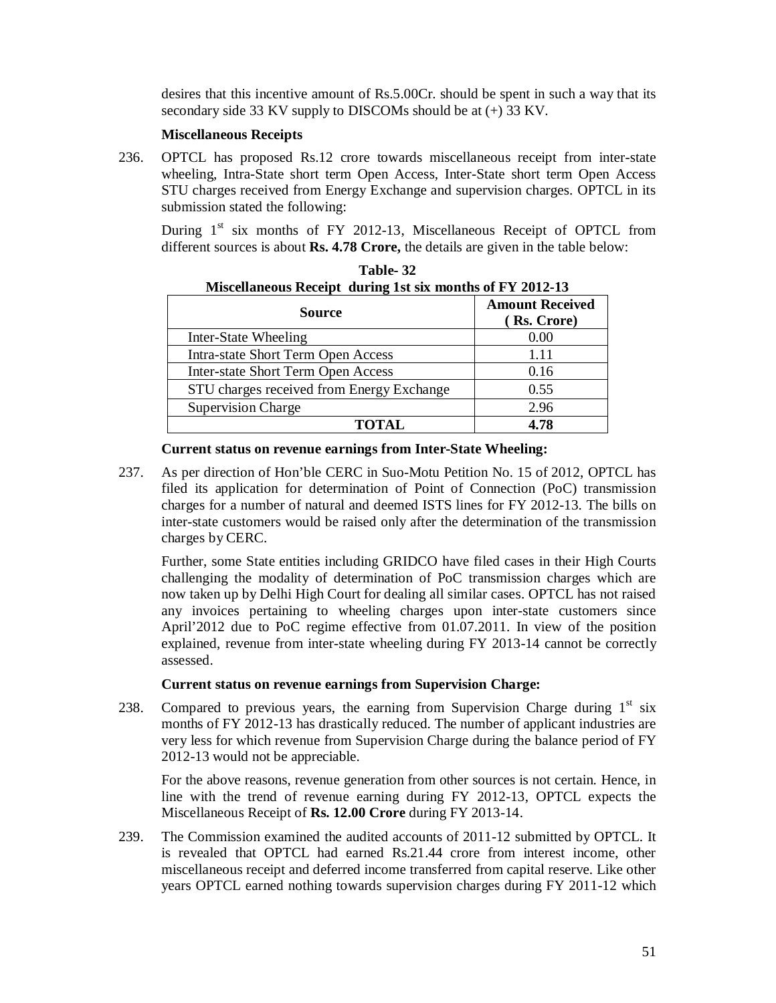desires that this incentive amount of Rs.5.00Cr. should be spent in such a way that its secondary side 33 KV supply to DISCOMs should be at (+) 33 KV.

#### **Miscellaneous Receipts**

236. OPTCL has proposed Rs.12 crore towards miscellaneous receipt from inter-state wheeling, Intra-State short term Open Access, Inter-State short term Open Access STU charges received from Energy Exchange and supervision charges. OPTCL in its submission stated the following:

During  $1<sup>st</sup>$  six months of FY 2012-13, Miscellaneous Receipt of OPTCL from different sources is about **Rs. 4.78 Crore,** the details are given in the table below:

| Miscellaneous Receipt during 1st six months of FY 2012-13 |                                       |  |  |  |
|-----------------------------------------------------------|---------------------------------------|--|--|--|
| <b>Source</b>                                             | <b>Amount Received</b><br>(Rs. Crore) |  |  |  |
| Inter-State Wheeling                                      | 0.00                                  |  |  |  |
| <b>Intra-state Short Term Open Access</b>                 | 1.11                                  |  |  |  |
| <b>Inter-state Short Term Open Access</b>                 | 0.16                                  |  |  |  |
| STU charges received from Energy Exchange                 | 0.55                                  |  |  |  |
| <b>Supervision Charge</b>                                 | 2.96                                  |  |  |  |
| <b>TOTAL</b>                                              | 4.78                                  |  |  |  |

**Table- 32**

#### **Current status on revenue earnings from Inter-State Wheeling:**

237. As per direction of Hon'ble CERC in Suo-Motu Petition No. 15 of 2012, OPTCL has filed its application for determination of Point of Connection (PoC) transmission charges for a number of natural and deemed ISTS lines for FY 2012-13. The bills on inter-state customers would be raised only after the determination of the transmission charges by CERC.

Further, some State entities including GRIDCO have filed cases in their High Courts challenging the modality of determination of PoC transmission charges which are now taken up by Delhi High Court for dealing all similar cases. OPTCL has not raised any invoices pertaining to wheeling charges upon inter-state customers since April'2012 due to PoC regime effective from 01.07.2011. In view of the position explained, revenue from inter-state wheeling during FY 2013-14 cannot be correctly assessed.

#### **Current status on revenue earnings from Supervision Charge:**

238. Compared to previous years, the earning from Supervision Charge during  $1<sup>st</sup>$  six months of FY 2012-13 has drastically reduced. The number of applicant industries are very less for which revenue from Supervision Charge during the balance period of FY 2012-13 would not be appreciable.

For the above reasons, revenue generation from other sources is not certain. Hence, in line with the trend of revenue earning during FY 2012-13, OPTCL expects the Miscellaneous Receipt of **Rs. 12.00 Crore** during FY 2013-14.

239. The Commission examined the audited accounts of 2011-12 submitted by OPTCL. It is revealed that OPTCL had earned Rs.21.44 crore from interest income, other miscellaneous receipt and deferred income transferred from capital reserve. Like other years OPTCL earned nothing towards supervision charges during FY 2011-12 which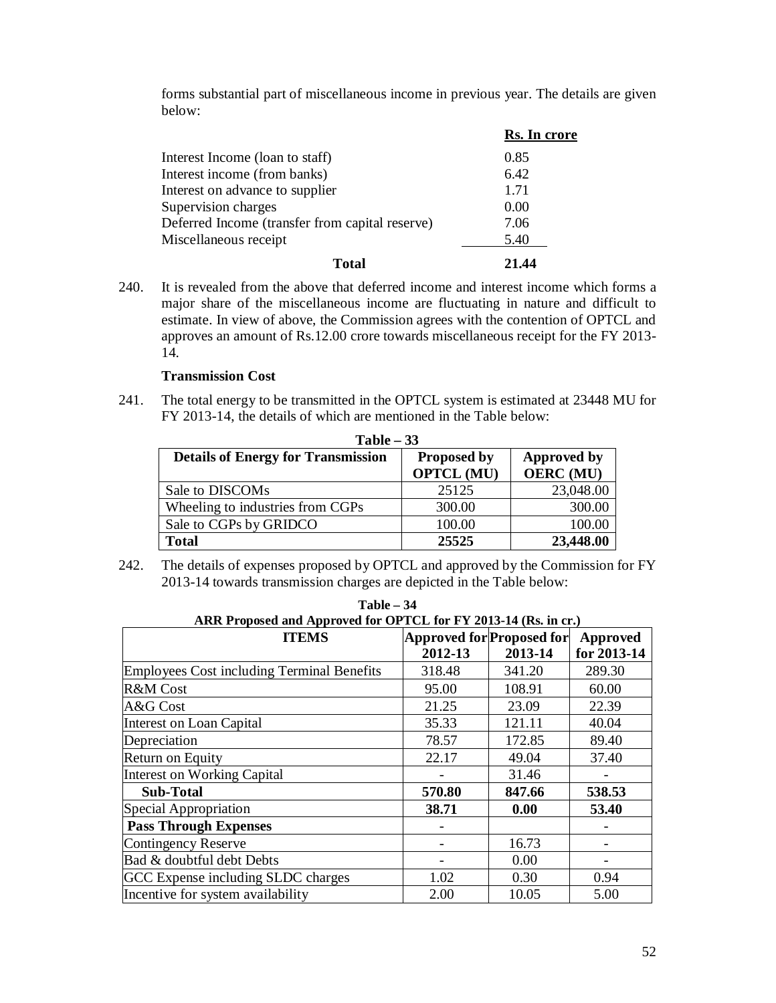forms substantial part of miscellaneous income in previous year. The details are given below:

|                                                 | Rs. In crore |
|-------------------------------------------------|--------------|
| Interest Income (loan to staff)                 | 0.85         |
| Interest income (from banks)                    | 6.42         |
| Interest on advance to supplier                 | 1.71         |
| Supervision charges                             | 0.00         |
| Deferred Income (transfer from capital reserve) | 7.06         |
| Miscellaneous receipt                           | 5.40         |
| Total                                           | 21.44        |

240. It is revealed from the above that deferred income and interest income which forms a major share of the miscellaneous income are fluctuating in nature and difficult to estimate. In view of above, the Commission agrees with the contention of OPTCL and approves an amount of Rs.12.00 crore towards miscellaneous receipt for the FY 2013- 14.

# **Transmission Cost**

241. The total energy to be transmitted in the OPTCL system is estimated at 23448 MU for FY 2013-14, the details of which are mentioned in the Table below:

| $Table - 33$                              |                                         |                                 |  |  |  |  |
|-------------------------------------------|-----------------------------------------|---------------------------------|--|--|--|--|
| <b>Details of Energy for Transmission</b> | <b>Proposed by</b><br><b>OPTCL (MU)</b> | Approved by<br><b>OERC</b> (MU) |  |  |  |  |
| Sale to DISCOM <sub>s</sub>               | 25125                                   | 23,048.00                       |  |  |  |  |
| Wheeling to industries from CGPs          | 300.00                                  | 300.00                          |  |  |  |  |
| Sale to CGPs by GRIDCO                    | 100.00                                  | 100.00                          |  |  |  |  |
| <b>Total</b>                              | 25525                                   | 23,448.00                       |  |  |  |  |

242. The details of expenses proposed by OPTCL and approved by the Commission for FY 2013-14 towards transmission charges are depicted in the Table below:

| ARR Proposed and Approved for OPTCL for FY 2013-14 (Rs. in cr.) |                           |         |             |  |  |
|-----------------------------------------------------------------|---------------------------|---------|-------------|--|--|
| <b>ITEMS</b>                                                    | Approved for Proposed for |         | Approved    |  |  |
|                                                                 | 2012-13                   | 2013-14 | for 2013-14 |  |  |
| <b>Employees Cost including Terminal Benefits</b>               | 318.48                    | 341.20  | 289.30      |  |  |
| R&M Cost                                                        | 95.00                     | 108.91  | 60.00       |  |  |
| A&G Cost                                                        | 21.25                     | 23.09   | 22.39       |  |  |
| Interest on Loan Capital                                        | 35.33                     | 121.11  | 40.04       |  |  |
| Depreciation                                                    | 78.57                     | 172.85  | 89.40       |  |  |
| Return on Equity                                                | 22.17                     | 49.04   | 37.40       |  |  |
| Interest on Working Capital                                     |                           | 31.46   |             |  |  |
| <b>Sub-Total</b>                                                | 570.80                    | 847.66  | 538.53      |  |  |
| Special Appropriation                                           | 38.71                     | 0.00    | 53.40       |  |  |
| <b>Pass Through Expenses</b>                                    |                           |         |             |  |  |
| Contingency Reserve                                             |                           | 16.73   |             |  |  |
| Bad & doubtful debt Debts                                       |                           | 0.00    |             |  |  |
| GCC Expense including SLDC charges                              | 1.02                      | 0.30    | 0.94        |  |  |
| Incentive for system availability                               | 2.00                      | 10.05   | 5.00        |  |  |

| <b>Table – 34</b>                                               |                           |  |  |
|-----------------------------------------------------------------|---------------------------|--|--|
| ARR Proposed and Approved for OPTCL for FY 2013-14 (Rs. in cr.) |                           |  |  |
| <b>ITEMS</b>                                                    | Annroved for Proposed for |  |  |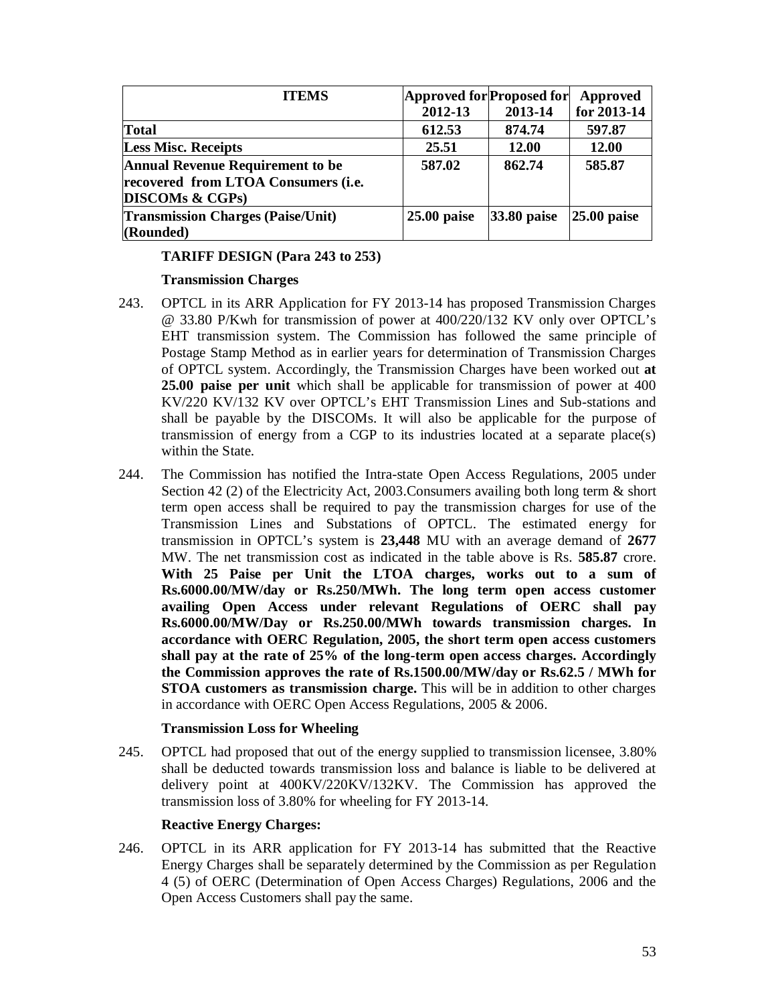| <b>ITEMS</b>                                                                                                 | Approved for Proposed for<br>2012-13 | 2013-14         | Approved<br>for 2013-14 |
|--------------------------------------------------------------------------------------------------------------|--------------------------------------|-----------------|-------------------------|
| <b>Total</b>                                                                                                 | 612.53                               | 874.74          | 597.87                  |
| <b>Less Misc. Receipts</b>                                                                                   | 25.51                                | <b>12.00</b>    | 12.00                   |
| <b>Annual Revenue Requirement to be</b><br>recovered from LTOA Consumers (i.e.<br><b>DISCOMs &amp; CGPs)</b> | 587.02                               | 862.74          | 585.87                  |
| <b>Transmission Charges (Paise/Unit)</b><br>(Rounded)                                                        | $25.00$ paise                        | $ 33.80 $ paise | $ 25.00 $ paise         |

# **TARIFF DESIGN (Para 243 to 253)**

# **Transmission Charges**

- 243. OPTCL in its ARR Application for FY 2013-14 has proposed Transmission Charges @ 33.80 P/Kwh for transmission of power at 400/220/132 KV only over OPTCL's EHT transmission system. The Commission has followed the same principle of Postage Stamp Method as in earlier years for determination of Transmission Charges of OPTCL system. Accordingly, the Transmission Charges have been worked out **at 25.00 paise per unit** which shall be applicable for transmission of power at 400 KV/220 KV/132 KV over OPTCL's EHT Transmission Lines and Sub-stations and shall be payable by the DISCOMs. It will also be applicable for the purpose of transmission of energy from a CGP to its industries located at a separate place(s) within the State.
- 244. The Commission has notified the Intra-state Open Access Regulations, 2005 under Section 42 (2) of the Electricity Act, 2003.Consumers availing both long term & short term open access shall be required to pay the transmission charges for use of the Transmission Lines and Substations of OPTCL. The estimated energy for transmission in OPTCL's system is **23,448** MU with an average demand of **2677** MW. The net transmission cost as indicated in the table above is Rs. **585.87** crore. **With 25 Paise per Unit the LTOA charges, works out to a sum of Rs.6000.00/MW/day or Rs.250/MWh. The long term open access customer availing Open Access under relevant Regulations of OERC shall pay Rs.6000.00/MW/Day or Rs.250.00/MWh towards transmission charges. In accordance with OERC Regulation, 2005, the short term open access customers shall pay at the rate of 25% of the long-term open access charges. Accordingly the Commission approves the rate of Rs.1500.00/MW/day or Rs.62.5 / MWh for STOA customers as transmission charge.** This will be in addition to other charges in accordance with OERC Open Access Regulations, 2005 & 2006.

# **Transmission Loss for Wheeling**

245. OPTCL had proposed that out of the energy supplied to transmission licensee, 3.80% shall be deducted towards transmission loss and balance is liable to be delivered at delivery point at 400KV/220KV/132KV. The Commission has approved the transmission loss of 3.80% for wheeling for FY 2013-14.

# **Reactive Energy Charges:**

246. OPTCL in its ARR application for FY 2013-14 has submitted that the Reactive Energy Charges shall be separately determined by the Commission as per Regulation 4 (5) of OERC (Determination of Open Access Charges) Regulations, 2006 and the Open Access Customers shall pay the same.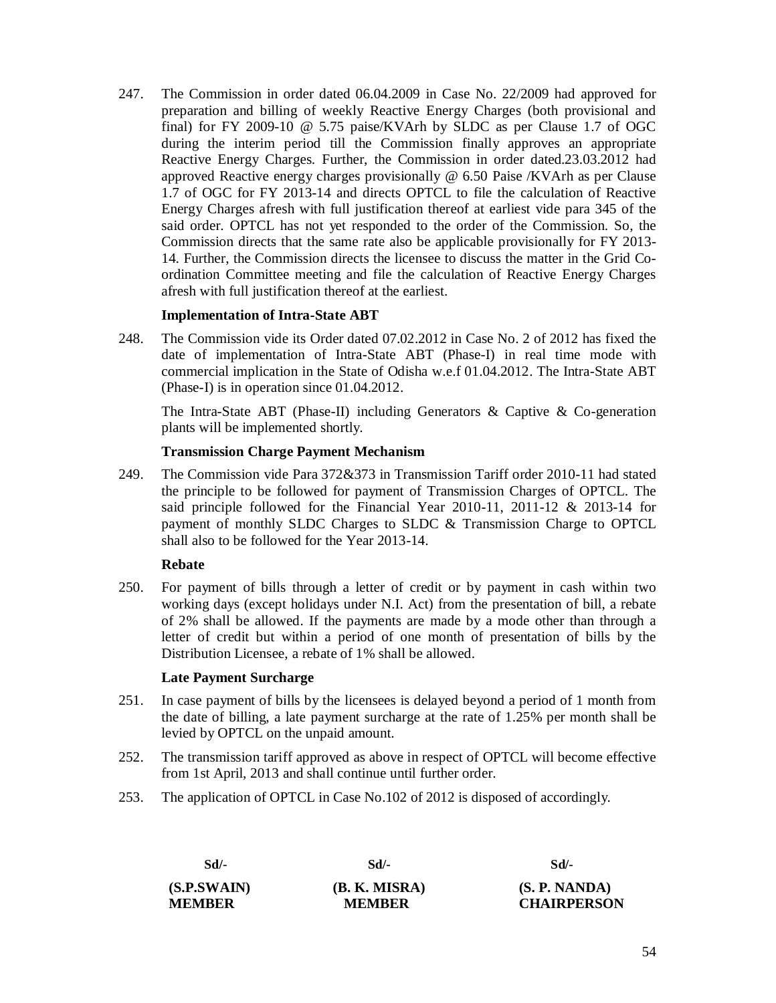247. The Commission in order dated 06.04.2009 in Case No. 22/2009 had approved for preparation and billing of weekly Reactive Energy Charges (both provisional and final) for FY 2009-10 @ 5.75 paise/KVArh by SLDC as per Clause 1.7 of OGC during the interim period till the Commission finally approves an appropriate Reactive Energy Charges. Further, the Commission in order dated.23.03.2012 had approved Reactive energy charges provisionally @ 6.50 Paise /KVArh as per Clause 1.7 of OGC for FY 2013-14 and directs OPTCL to file the calculation of Reactive Energy Charges afresh with full justification thereof at earliest vide para 345 of the said order. OPTCL has not yet responded to the order of the Commission. So, the Commission directs that the same rate also be applicable provisionally for FY 2013- 14. Further, the Commission directs the licensee to discuss the matter in the Grid Coordination Committee meeting and file the calculation of Reactive Energy Charges afresh with full justification thereof at the earliest.

#### **Implementation of Intra-State ABT**

248. The Commission vide its Order dated 07.02.2012 in Case No. 2 of 2012 has fixed the date of implementation of Intra-State ABT (Phase-I) in real time mode with commercial implication in the State of Odisha w.e.f 01.04.2012. The Intra-State ABT (Phase-I) is in operation since 01.04.2012.

The Intra-State ABT (Phase-II) including Generators & Captive & Co-generation plants will be implemented shortly.

#### **Transmission Charge Payment Mechanism**

249. The Commission vide Para 372&373 in Transmission Tariff order 2010-11 had stated the principle to be followed for payment of Transmission Charges of OPTCL. The said principle followed for the Financial Year 2010-11, 2011-12 & 2013-14 for payment of monthly SLDC Charges to SLDC & Transmission Charge to OPTCL shall also to be followed for the Year 2013-14.

#### **Rebate**

250. For payment of bills through a letter of credit or by payment in cash within two working days (except holidays under N.I. Act) from the presentation of bill, a rebate of 2% shall be allowed. If the payments are made by a mode other than through a letter of credit but within a period of one month of presentation of bills by the Distribution Licensee, a rebate of 1% shall be allowed.

#### **Late Payment Surcharge**

- 251. In case payment of bills by the licensees is delayed beyond a period of 1 month from the date of billing, a late payment surcharge at the rate of 1.25% per month shall be levied by OPTCL on the unpaid amount.
- 252. The transmission tariff approved as above in respect of OPTCL will become effective from 1st April, 2013 and shall continue until further order.
- 253. The application of OPTCL in Case No.102 of 2012 is disposed of accordingly.

| Sd/-          | Sd/-          | Sd/-               |
|---------------|---------------|--------------------|
| (S.P.SWAIN)   | (B. K. MISRA) | (S. P. NANDA)      |
| <b>MEMBER</b> | <b>MEMBER</b> | <b>CHAIRPERSON</b> |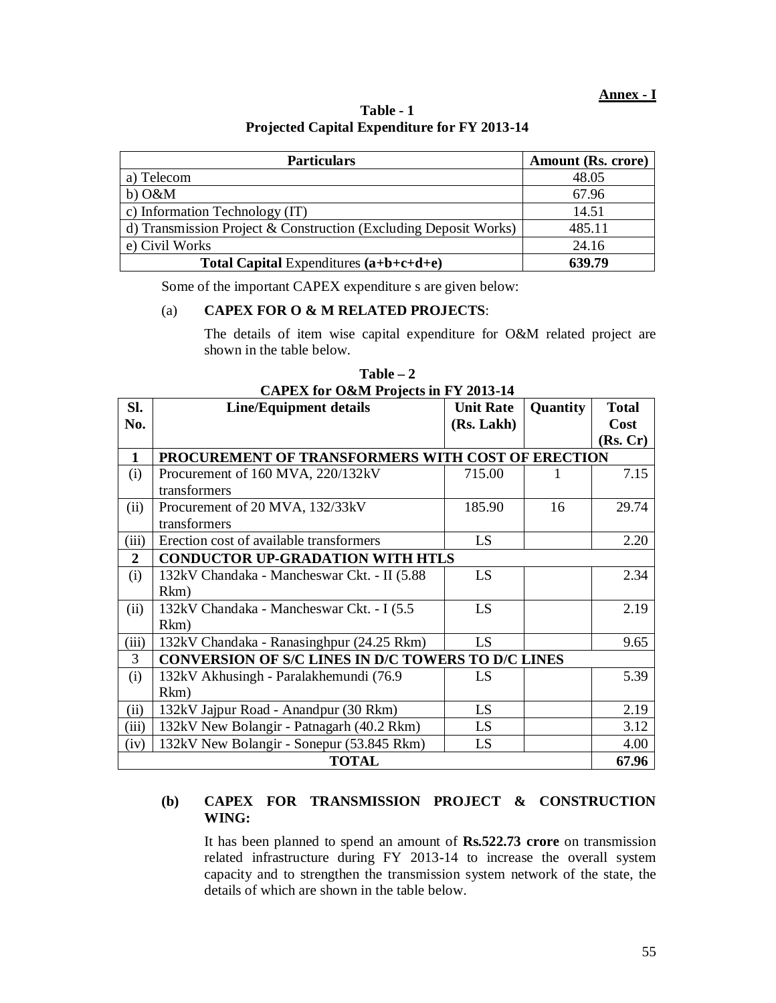#### **Annex - I**

**Table - 1 Projected Capital Expenditure for FY 2013-14** 

| <b>Particulars</b>                                               | Amount (Rs. crore) |
|------------------------------------------------------------------|--------------------|
| a) Telecom                                                       | 48.05              |
| $b)$ O&M                                                         | 67.96              |
| c) Information Technology (IT)                                   | 14.51              |
| d) Transmission Project & Construction (Excluding Deposit Works) | 485.11             |
| e) Civil Works                                                   | 24.16              |
| <b>Total Capital Expenditures <math>(a+b+c+d+e)</math></b>       | 639.79             |

Some of the important CAPEX expenditure s are given below:

#### (a) **CAPEX FOR O & M RELATED PROJECTS**:

The details of item wise capital expenditure for O&M related project are shown in the table below.

| SI.            | CAPEA TOP ORIM Projects in F 1 2015-14<br><b>Line/Equipment details</b> | <b>Unit Rate</b> | Quantity | <b>Total</b> |
|----------------|-------------------------------------------------------------------------|------------------|----------|--------------|
| No.            |                                                                         | (Rs. Lakh)       |          | Cost         |
|                |                                                                         |                  |          | (Rs, Cr)     |
| $\mathbf{1}$   | PROCUREMENT OF TRANSFORMERS WITH COST OF ERECTION                       |                  |          |              |
| (i)            | Procurement of 160 MVA, 220/132kV                                       | 715.00           |          | 7.15         |
|                | transformers                                                            |                  |          |              |
| (ii)           | Procurement of 20 MVA, 132/33kV                                         | 185.90           | 16       | 29.74        |
|                | transformers                                                            |                  |          |              |
| (iii)          | Erection cost of available transformers                                 | LS               |          | 2.20         |
| $\overline{2}$ | <b>CONDUCTOR UP-GRADATION WITH HTLS</b>                                 |                  |          |              |
| (i)            | 132kV Chandaka - Mancheswar Ckt. - II (5.88)                            | LS               |          | 2.34         |
|                | Rkm)                                                                    |                  |          |              |
| (ii)           | 132kV Chandaka - Mancheswar Ckt. - I (5.5)                              | LS               |          | 2.19         |
|                | Rkm)                                                                    |                  |          |              |
| (iii)          | 132kV Chandaka - Ranasinghpur (24.25 Rkm)                               | LS               |          | 9.65         |
| 3              | CONVERSION OF S/C LINES IN D/C TOWERS TO D/C LINES                      |                  |          |              |
| (i)            | 132kV Akhusingh - Paralakhemundi (76.9)                                 | LS               |          | 5.39         |
|                | Rkm)                                                                    |                  |          |              |
| (ii)           | 132kV Jajpur Road - Anandpur (30 Rkm)                                   | LS.              |          | 2.19         |
| (iii)          | 132kV New Bolangir - Patnagarh (40.2 Rkm)                               | LS.              |          | 3.12         |
| (iv)           | 132kV New Bolangir - Sonepur (53.845 Rkm)                               | LS               |          | 4.00         |
|                | <b>TOTAL</b>                                                            |                  |          | 67.96        |

**Table – 2 CAPEX for O&M Projects in FY 2013-14**

# **(b) CAPEX FOR TRANSMISSION PROJECT & CONSTRUCTION WING:**

It has been planned to spend an amount of **Rs.522.73 crore** on transmission related infrastructure during FY 2013-14 to increase the overall system capacity and to strengthen the transmission system network of the state, the details of which are shown in the table below.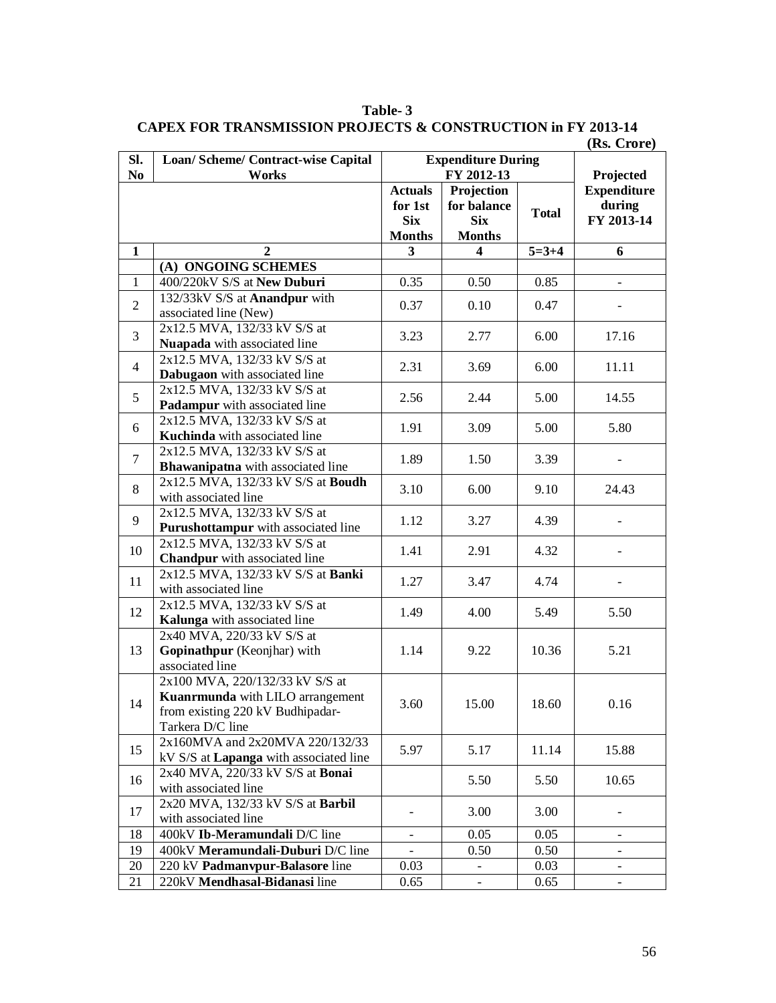| SI.            | Loan/ Scheme/ Contract-wise Capital                  | <b>Expenditure During</b> |                                          |              |                          |
|----------------|------------------------------------------------------|---------------------------|------------------------------------------|--------------|--------------------------|
| N <sub>0</sub> | Works                                                | FY 2012-13                |                                          |              | Projected                |
|                |                                                      | <b>Actuals</b>            | Projection                               |              | <b>Expenditure</b>       |
|                |                                                      | for 1st                   | for balance                              | <b>Total</b> | during                   |
|                |                                                      | <b>Six</b>                | <b>Six</b>                               |              | FY 2013-14               |
| $\mathbf{1}$   | $\overline{2}$                                       | <b>Months</b><br>3        | <b>Months</b><br>$\overline{\mathbf{4}}$ | $5 = 3 + 4$  |                          |
|                | (A) ONGOING SCHEMES                                  |                           |                                          |              | 6                        |
| $\mathbf{1}$   | 400/220kV S/S at New Duburi                          | 0.35                      | 0.50                                     | 0.85         |                          |
|                | 132/33kV S/S at Anandpur with                        |                           |                                          |              |                          |
| $\overline{2}$ | associated line (New)                                | 0.37                      | 0.10                                     | 0.47         |                          |
|                | 2x12.5 MVA, 132/33 kV S/S at                         |                           |                                          |              |                          |
| $\overline{3}$ | Nuapada with associated line                         | 3.23                      | 2.77                                     | 6.00         | 17.16                    |
|                | 2x12.5 MVA, 132/33 kV S/S at                         |                           |                                          |              |                          |
| $\overline{4}$ | Dabugaon with associated line                        | 2.31                      | 3.69                                     | 6.00         | 11.11                    |
|                | 2x12.5 MVA, 132/33 kV S/S at                         |                           |                                          |              |                          |
| 5              | Padampur with associated line                        | 2.56                      | 2.44                                     | 5.00         | 14.55                    |
| 6              | 2x12.5 MVA, 132/33 kV S/S at                         | 1.91                      | 3.09                                     | 5.00         | 5.80                     |
|                | Kuchinda with associated line                        |                           |                                          |              |                          |
| $\overline{7}$ | 2x12.5 MVA, 132/33 kV S/S at                         | 1.89                      | 1.50                                     | 3.39         |                          |
|                | Bhawanipatna with associated line                    |                           |                                          |              |                          |
| 8              | 2x12.5 MVA, 132/33 kV S/S at Boudh                   | 3.10                      | 6.00                                     | 9.10         | 24.43                    |
|                | with associated line                                 |                           |                                          |              |                          |
| 9              | 2x12.5 MVA, 132/33 kV S/S at                         | 1.12                      | 3.27                                     | 4.39         |                          |
|                | Purushottampur with associated line                  |                           |                                          |              |                          |
| 10             | 2x12.5 MVA, 132/33 kV S/S at                         | 1.41                      | 2.91                                     | 4.32         |                          |
|                | <b>Chandpur</b> with associated line                 |                           |                                          |              |                          |
| 11             | 2x12.5 MVA, 132/33 kV S/S at Banki                   | 1.27                      | 3.47                                     | 4.74         |                          |
|                | with associated line<br>2x12.5 MVA, 132/33 kV S/S at |                           |                                          |              |                          |
| 12             | Kalunga with associated line                         | 1.49                      | 4.00                                     | 5.49         | 5.50                     |
|                | 2x40 MVA, 220/33 kV S/S at                           |                           |                                          |              |                          |
| 13             | Gopinathpur (Keonjhar) with                          | 1.14                      | 9.22                                     | 10.36        | 5.21                     |
|                | associated line                                      |                           |                                          |              |                          |
|                | 2x100 MVA, 220/132/33 kV S/S at                      |                           |                                          |              |                          |
|                | <b>Kuanrmunda</b> with LILO arrangement              |                           |                                          |              |                          |
| 14             | from existing 220 kV Budhipadar-                     | 3.60                      | 15.00                                    | 18.60        | 0.16                     |
|                | Tarkera D/C line                                     |                           |                                          |              |                          |
| 15             | 2x160MVA and 2x20MVA 220/132/33                      | 5.97                      | 5.17                                     | 11.14        | 15.88                    |
|                | kV S/S at Lapanga with associated line               |                           |                                          |              |                          |
| 16             | 2x40 MVA, 220/33 kV S/S at Bonai                     |                           | 5.50                                     | 5.50         | 10.65                    |
|                | with associated line                                 |                           |                                          |              |                          |
| 17             | 2x20 MVA, 132/33 kV S/S at Barbil                    |                           | 3.00                                     | 3.00         |                          |
|                | with associated line                                 |                           |                                          |              |                          |
| 18             | 400kV Ib-Meramundali D/C line                        | $\overline{\phantom{a}}$  | 0.05                                     | 0.05         | $\overline{\phantom{a}}$ |
| 19             | 400kV Meramundali-Duburi D/C line                    | $\overline{\phantom{a}}$  | 0.50                                     | 0.50         | $\overline{\phantom{a}}$ |
| 20             | 220 kV Padmanvpur-Balasore line                      | 0.03                      | $\overline{\phantom{a}}$                 | 0.03         | $\overline{\phantom{a}}$ |
| 21             | 220kV Mendhasal-Bidanasi line                        | 0.65                      | $\blacksquare$                           | 0.65         | $\overline{\phantom{0}}$ |

**Table- 3 CAPEX FOR TRANSMISSION PROJECTS & CONSTRUCTION in FY 2013-14 (Rs. Crore)**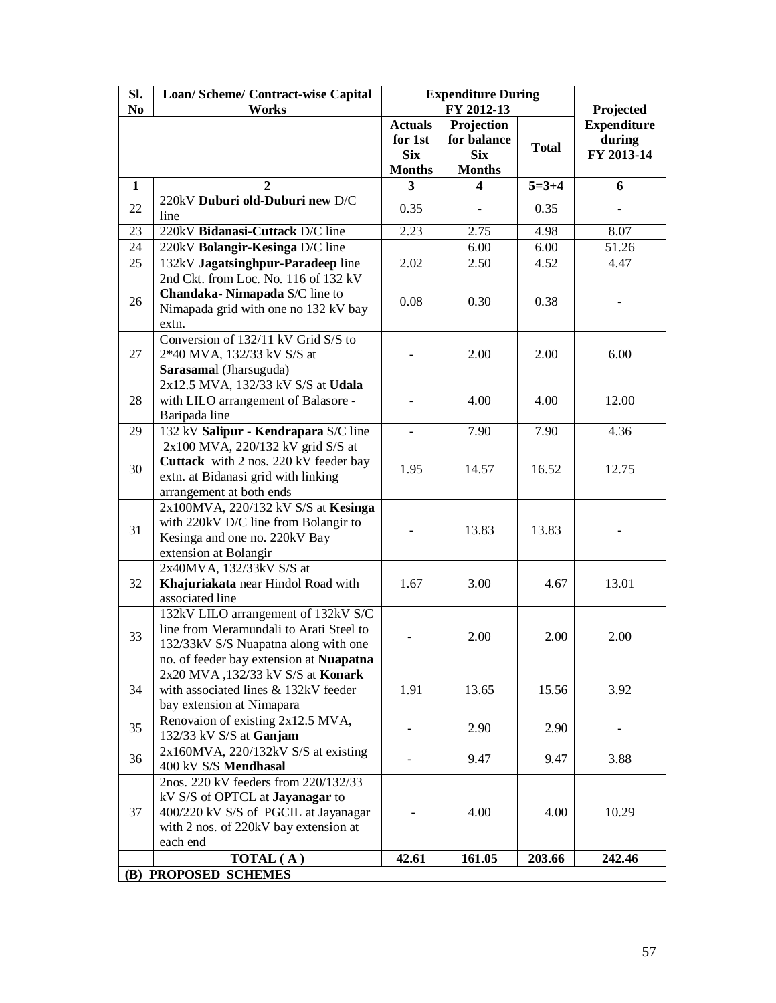| Sl.            | Loan/Scheme/Contract-wise Capital        | <b>Expenditure During</b> |               |              |                    |  |
|----------------|------------------------------------------|---------------------------|---------------|--------------|--------------------|--|
| N <sub>0</sub> | Works                                    |                           | FY 2012-13    |              | Projected          |  |
|                |                                          | <b>Actuals</b>            | Projection    |              | <b>Expenditure</b> |  |
|                |                                          | for 1st                   | for balance   | <b>Total</b> | during             |  |
|                |                                          | <b>Six</b>                | <b>Six</b>    |              | FY 2013-14         |  |
|                |                                          | <b>Months</b>             | <b>Months</b> |              |                    |  |
| 1              | 2                                        | 3                         | 4             | $5 = 3 + 4$  | 6                  |  |
|                | 220kV Duburi old-Duburi new D/C          |                           |               |              |                    |  |
| 22             | line                                     | 0.35                      |               | 0.35         |                    |  |
| 23             | 220kV Bidanasi-Cuttack D/C line          | 2.23                      | 2.75          | 4.98         | 8.07               |  |
| 24             | 220kV Bolangir-Kesinga D/C line          |                           | 6.00          | 6.00         | 51.26              |  |
| 25             | 132kV Jagatsinghpur-Paradeep line        | 2.02                      | 2.50          | 4.52         | 4.47               |  |
|                | 2nd Ckt. from Loc. No. 116 of 132 kV     |                           |               |              |                    |  |
|                | Chandaka-Nimapada S/C line to            |                           |               |              |                    |  |
| 26             | Nimapada grid with one no 132 kV bay     | 0.08                      | 0.30          | 0.38         |                    |  |
|                | extn.                                    |                           |               |              |                    |  |
|                | Conversion of 132/11 kV Grid S/S to      |                           |               |              |                    |  |
| 27             | 2*40 MVA, 132/33 kV S/S at               |                           | 2.00          | 2.00         | 6.00               |  |
|                | Sarasamal (Jharsuguda)                   |                           |               |              |                    |  |
|                | 2x12.5 MVA, 132/33 kV S/S at Udala       |                           |               |              |                    |  |
| 28             | with LILO arrangement of Balasore -      |                           | 4.00          | 4.00         | 12.00              |  |
|                | Baripada line                            |                           |               |              |                    |  |
| 29             | 132 kV Salipur - Kendrapara S/C line     |                           | 7.90          | 7.90         | 4.36               |  |
|                | 2x100 MVA, 220/132 kV grid S/S at        |                           |               |              |                    |  |
| 30             | Cuttack with 2 nos. 220 kV feeder bay    |                           |               |              |                    |  |
|                | extn. at Bidanasi grid with linking      | 1.95                      | 14.57         | 16.52        | 12.75              |  |
|                | arrangement at both ends                 |                           |               |              |                    |  |
|                | 2x100MVA, 220/132 kV S/S at Kesinga      |                           |               |              |                    |  |
|                | with 220kV D/C line from Bolangir to     |                           |               |              |                    |  |
| 31             | Kesinga and one no. 220kV Bay            |                           | 13.83         | 13.83        |                    |  |
|                | extension at Bolangir                    |                           |               |              |                    |  |
|                | 2x40MVA, 132/33kV S/S at                 |                           |               |              |                    |  |
| 32             | Khajuriakata near Hindol Road with       | 1.67                      | 3.00          | 4.67         | 13.01              |  |
|                | associated line                          |                           |               |              |                    |  |
|                | 132kV LILO arrangement of 132kV S/C      |                           |               |              |                    |  |
|                | line from Meramundali to Arati Steel to  |                           |               | 2.00         |                    |  |
| 33             | 132/33kV S/S Nuapatna along with one     |                           | 2.00          |              | 2.00               |  |
|                | no. of feeder bay extension at Nuapatna  |                           |               |              |                    |  |
|                | 2x20 MVA, 132/33 kV S/S at Konark        |                           |               |              |                    |  |
| 34             | with associated lines & 132kV feeder     | 1.91                      | 13.65         | 15.56        | 3.92               |  |
|                | bay extension at Nimapara                |                           |               |              |                    |  |
|                | Renovaion of existing 2x12.5 MVA,        |                           |               |              |                    |  |
| 35             | 132/33 kV S/S at Ganjam                  |                           | 2.90          | 2.90         |                    |  |
|                | $2x160MVA$ , $220/132kV S/S$ at existing |                           |               |              |                    |  |
| 36             | 400 kV S/S Mendhasal                     |                           | 9.47          | 9.47         | 3.88               |  |
|                | 2nos. 220 kV feeders from 220/132/33     |                           |               |              |                    |  |
|                | kV S/S of OPTCL at Jayanagar to          |                           |               |              |                    |  |
| 37             | 400/220 kV S/S of PGCIL at Jayanagar     |                           | 4.00          | 4.00         | 10.29              |  |
|                | with 2 nos. of 220kV bay extension at    |                           |               |              |                    |  |
|                | each end                                 |                           |               |              |                    |  |
|                | TOTAL (A)                                | 42.61                     | 161.05        | 203.66       | 242.46             |  |
|                | (B) PROPOSED SCHEMES                     |                           |               |              |                    |  |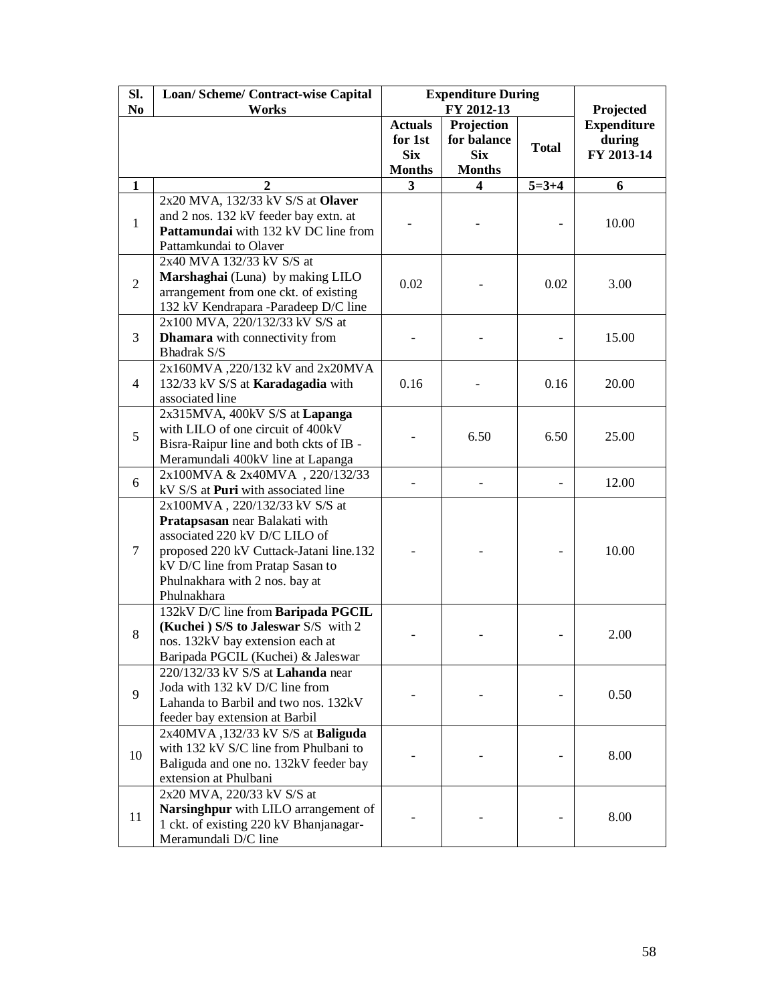| SI.            | Loan/Scheme/Contract-wise Capital                                                                                 | <b>Expenditure During</b>               |                                         |              |                                            |
|----------------|-------------------------------------------------------------------------------------------------------------------|-----------------------------------------|-----------------------------------------|--------------|--------------------------------------------|
| N <sub>0</sub> | Works                                                                                                             |                                         | FY 2012-13                              |              | Projected                                  |
|                |                                                                                                                   | <b>Actuals</b><br>for 1st<br><b>Six</b> | Projection<br>for balance<br><b>Six</b> | <b>Total</b> | <b>Expenditure</b><br>during<br>FY 2013-14 |
|                |                                                                                                                   | <b>Months</b>                           | <b>Months</b>                           |              |                                            |
| 1              | 2                                                                                                                 | 3                                       | 4                                       | $5 = 3 + 4$  | 6                                          |
|                | 2x20 MVA, 132/33 kV S/S at Olaver                                                                                 |                                         |                                         |              |                                            |
| $\mathbf{1}$   | and 2 nos. 132 kV feeder bay extn. at<br>Pattamundai with 132 kV DC line from<br>Pattamkundai to Olaver           |                                         |                                         |              | 10.00                                      |
|                | 2x40 MVA 132/33 kV S/S at                                                                                         |                                         |                                         |              |                                            |
| $\overline{2}$ | Marshaghai (Luna) by making LILO<br>arrangement from one ckt. of existing<br>132 kV Kendrapara -Paradeep D/C line | 0.02                                    |                                         | 0.02         | 3.00                                       |
|                | 2x100 MVA, 220/132/33 kV S/S at                                                                                   |                                         |                                         |              |                                            |
| 3              | <b>Dhamara</b> with connectivity from<br><b>Bhadrak S/S</b>                                                       |                                         |                                         |              | 15.00                                      |
| $\overline{4}$ | 2x160MVA, 220/132 kV and 2x20MVA                                                                                  |                                         |                                         |              |                                            |
|                | 132/33 kV S/S at Karadagadia with                                                                                 | 0.16                                    |                                         | 0.16         | 20.00                                      |
|                | associated line                                                                                                   |                                         |                                         |              |                                            |
| 5              | 2x315MVA, 400kV S/S at Lapanga                                                                                    |                                         |                                         |              |                                            |
|                | with LILO of one circuit of 400kV                                                                                 |                                         | 6.50                                    | 6.50         | 25.00                                      |
|                | Bisra-Raipur line and both ckts of IB -                                                                           |                                         |                                         |              |                                            |
|                | Meramundali 400kV line at Lapanga                                                                                 |                                         |                                         |              |                                            |
| 6              | 2x100MVA & 2x40MVA, 220/132/33                                                                                    |                                         |                                         |              | 12.00                                      |
|                | kV S/S at Puri with associated line                                                                               |                                         |                                         |              |                                            |
|                | 2x100MVA, 220/132/33 kV S/S at                                                                                    |                                         |                                         |              |                                            |
|                | Pratapsasan near Balakati with                                                                                    |                                         |                                         |              |                                            |
| $\tau$         | associated 220 kV D/C LILO of                                                                                     |                                         |                                         |              |                                            |
|                | proposed 220 kV Cuttack-Jatani line.132                                                                           |                                         |                                         |              | 10.00                                      |
|                | kV D/C line from Pratap Sasan to                                                                                  |                                         |                                         |              |                                            |
|                | Phulnakhara with 2 nos. bay at<br>Phulnakhara                                                                     |                                         |                                         |              |                                            |
|                | 132kV D/C line from Baripada PGCIL                                                                                |                                         |                                         |              |                                            |
|                | (Kuchei) S/S to Jaleswar S/S with 2                                                                               |                                         |                                         |              |                                            |
| 8              | nos. 132kV bay extension each at                                                                                  |                                         |                                         |              | 2.00                                       |
|                | Baripada PGCIL (Kuchei) & Jaleswar                                                                                |                                         |                                         |              |                                            |
|                | 220/132/33 kV S/S at Lahanda near                                                                                 |                                         |                                         |              |                                            |
|                | Joda with 132 kV D/C line from                                                                                    |                                         |                                         |              |                                            |
| 9              | Lahanda to Barbil and two nos. 132kV                                                                              |                                         |                                         |              | 0.50                                       |
|                | feeder bay extension at Barbil                                                                                    |                                         |                                         |              |                                            |
|                | 2x40MVA, 132/33 kV S/S at Baliguda                                                                                |                                         |                                         |              |                                            |
|                | with 132 kV S/C line from Phulbani to                                                                             |                                         |                                         |              |                                            |
| 10             | Baliguda and one no. 132kV feeder bay                                                                             |                                         |                                         |              | 8.00                                       |
|                | extension at Phulbani                                                                                             |                                         |                                         |              |                                            |
|                | 2x20 MVA, 220/33 kV S/S at                                                                                        |                                         |                                         |              |                                            |
|                | Narsinghpur with LILO arrangement of                                                                              |                                         |                                         |              |                                            |
| 11             | 1 ckt. of existing 220 kV Bhanjanagar-                                                                            |                                         |                                         |              | 8.00                                       |
|                | Meramundali D/C line                                                                                              |                                         |                                         |              |                                            |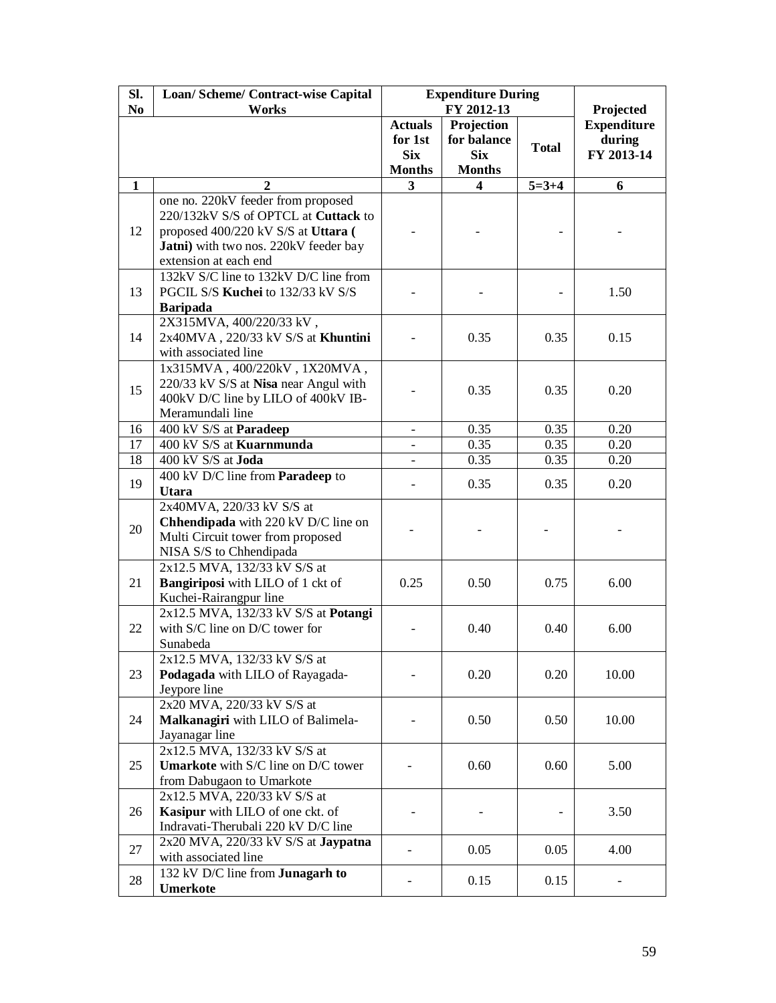| Sl.            | Loan/ Scheme/ Contract-wise Capital                               | <b>Expenditure During</b><br>FY 2012-13 |                             |              |                                 |
|----------------|-------------------------------------------------------------------|-----------------------------------------|-----------------------------|--------------|---------------------------------|
| N <sub>0</sub> | <b>Works</b>                                                      | <b>Actuals</b>                          | Projection                  |              | Projected<br><b>Expenditure</b> |
|                |                                                                   | for 1st                                 | for balance                 | <b>Total</b> | during<br>FY 2013-14            |
|                |                                                                   | <b>Six</b><br><b>Months</b>             | <b>Six</b><br><b>Months</b> |              |                                 |
| $\mathbf{1}$   | 2                                                                 | 3                                       | 4                           | $5 = 3 + 4$  | 6                               |
|                | one no. 220kV feeder from proposed                                |                                         |                             |              |                                 |
|                | 220/132kV S/S of OPTCL at Cuttack to                              |                                         |                             |              |                                 |
| 12             | proposed 400/220 kV S/S at Uttara (                               |                                         |                             |              |                                 |
|                | Jatni) with two nos. 220kV feeder bay                             |                                         |                             |              |                                 |
|                | extension at each end                                             |                                         |                             |              |                                 |
|                | 132kV S/C line to 132kV D/C line from                             |                                         |                             |              |                                 |
| 13             | PGCIL S/S Kuchei to 132/33 kV S/S                                 |                                         |                             |              | 1.50                            |
|                | <b>Baripada</b>                                                   |                                         |                             |              |                                 |
|                | 2X315MVA, 400/220/33 kV,                                          |                                         |                             |              |                                 |
| 14             | 2x40MVA, 220/33 kV S/S at Khuntini                                |                                         | 0.35                        | 0.35         | 0.15                            |
|                | with associated line                                              |                                         |                             |              |                                 |
|                | $1x315\mathrm{MVA}$ , $400/220\mathrm{kV}$ , $1X20\mathrm{MVA}$ , |                                         |                             |              |                                 |
| 15             | 220/33 kV S/S at Nisa near Angul with                             |                                         | 0.35                        | 0.35         | 0.20                            |
|                | 400kV D/C line by LILO of 400kV IB-                               |                                         |                             |              |                                 |
|                | Meramundali line                                                  |                                         |                             |              |                                 |
| 16             | 400 kV S/S at Paradeep                                            | $\overline{\phantom{a}}$                | 0.35                        | 0.35         | 0.20                            |
| 17<br>18       | 400 kV S/S at Kuarnmunda<br>400 kV S/S at Joda                    | $\overline{\phantom{a}}$                | 0.35                        | 0.35         | 0.20<br>0.20                    |
|                | 400 kV D/C line from Paradeep to                                  |                                         | 0.35                        | 0.35         |                                 |
| 19             | <b>Utara</b>                                                      |                                         | 0.35                        | 0.35         | 0.20                            |
|                | 2x40MVA, 220/33 kV S/S at                                         |                                         |                             |              |                                 |
| 20             | Chhendipada with 220 kV D/C line on                               |                                         |                             |              |                                 |
|                | Multi Circuit tower from proposed                                 |                                         |                             |              |                                 |
|                | NISA S/S to Chhendipada                                           |                                         |                             |              |                                 |
|                | 2x12.5 MVA, 132/33 kV S/S at                                      |                                         |                             | 0.75         |                                 |
| 21             | <b>Bangiriposi</b> with LILO of 1 ckt of                          | 0.25                                    | 0.50                        |              | 6.00                            |
|                | Kuchei-Rairangpur line                                            |                                         |                             |              |                                 |
|                | 2x12.5 MVA, 132/33 kV S/S at Potangi                              |                                         |                             |              |                                 |
| 22             | with S/C line on D/C tower for                                    |                                         | 0.40                        | 0.40         | 6.00                            |
|                | Sunabeda<br>2x12.5 MVA, 132/33 kV S/S at                          |                                         |                             |              |                                 |
| 23             | Podagada with LILO of Rayagada-                                   |                                         | 0.20                        | 0.20         | 10.00                           |
|                | Jeypore line                                                      |                                         |                             |              |                                 |
|                | 2x20 MVA, 220/33 kV S/S at                                        |                                         |                             |              |                                 |
| 24             | Malkanagiri with LILO of Balimela-                                |                                         | 0.50                        | 0.50         | 10.00                           |
|                | Jayanagar line                                                    |                                         |                             |              |                                 |
|                | 2x12.5 MVA, 132/33 kV S/S at                                      |                                         |                             |              |                                 |
| 25             | <b>Umarkote</b> with S/C line on D/C tower                        |                                         | 0.60                        | 0.60         | 5.00                            |
|                | from Dabugaon to Umarkote                                         |                                         |                             |              |                                 |
|                | 2x12.5 MVA, 220/33 kV S/S at                                      |                                         |                             |              |                                 |
| 26             | Kasipur with LILO of one ckt. of                                  |                                         |                             |              | 3.50                            |
|                | Indravati-Therubali 220 kV D/C line                               |                                         |                             |              |                                 |
| 27             | $2x20$ MVA, $220/33$ kV S/S at <b>Jaypatna</b>                    |                                         | 0.05                        | 0.05         | 4.00                            |
|                | with associated line                                              |                                         |                             |              |                                 |
| 28             | 132 kV D/C line from <b>Junagarh to</b>                           |                                         | 0.15                        | 0.15         |                                 |
|                | Umerkote                                                          |                                         |                             |              |                                 |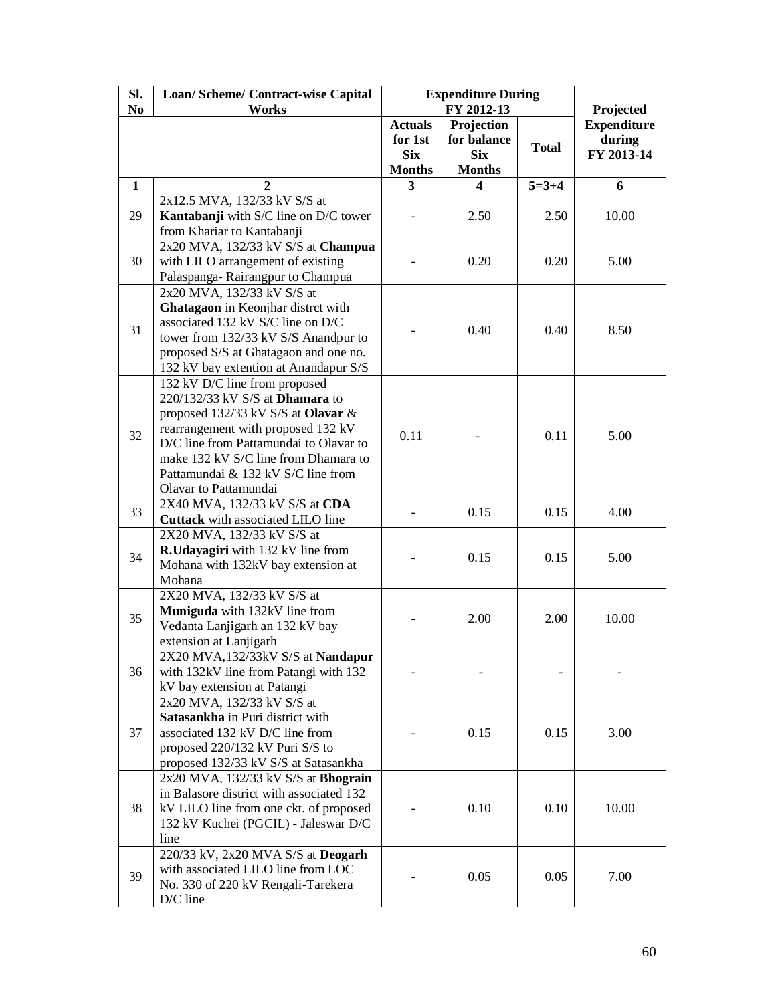| Sl.            | Loan/ Scheme/ Contract-wise Capital                                            | <b>Expenditure During</b> |                           |              |                              |
|----------------|--------------------------------------------------------------------------------|---------------------------|---------------------------|--------------|------------------------------|
| N <sub>0</sub> | Works                                                                          |                           | FY 2012-13                |              | Projected                    |
|                |                                                                                | <b>Actuals</b><br>for 1st | Projection<br>for balance |              | <b>Expenditure</b><br>during |
|                |                                                                                | <b>Six</b>                | <b>Six</b>                | <b>Total</b> | FY 2013-14                   |
|                |                                                                                | <b>Months</b>             | <b>Months</b>             |              |                              |
| $\mathbf{1}$   | 2                                                                              | 3                         | 4                         | $5=3+4$      | 6                            |
|                | 2x12.5 MVA, 132/33 kV S/S at                                                   |                           |                           |              |                              |
| 29             | Kantabanji with S/C line on D/C tower                                          |                           | 2.50                      | 2.50         | 10.00                        |
|                | from Khariar to Kantabanji                                                     |                           |                           |              |                              |
|                | 2x20 MVA, 132/33 kV S/S at Champua                                             |                           |                           |              |                              |
| 30             | with LILO arrangement of existing                                              |                           | 0.20                      | 0.20         | 5.00                         |
|                | Palaspanga-Rairangpur to Champua                                               |                           |                           |              |                              |
|                | 2x20 MVA, 132/33 kV S/S at                                                     |                           |                           |              |                              |
|                | Ghatagaon in Keonjhar distrct with                                             |                           |                           |              |                              |
| 31             | associated 132 kV S/C line on D/C                                              |                           | 0.40                      | 0.40         | 8.50                         |
|                | tower from 132/33 kV S/S Anandpur to                                           |                           |                           |              |                              |
|                | proposed S/S at Ghatagaon and one no.<br>132 kV bay extention at Anandapur S/S |                           |                           |              |                              |
|                | 132 kV D/C line from proposed                                                  |                           |                           |              |                              |
|                | 220/132/33 kV S/S at <b>Dhamara</b> to                                         |                           |                           |              |                              |
|                | proposed 132/33 kV S/S at Olavar &                                             |                           |                           | 0.11         |                              |
|                | rearrangement with proposed 132 kV                                             |                           |                           |              |                              |
| 32             | D/C line from Pattamundai to Olavar to                                         | 0.11                      |                           |              | 5.00                         |
|                | make 132 kV S/C line from Dhamara to                                           |                           |                           |              |                              |
|                | Pattamundai & 132 kV S/C line from                                             |                           |                           |              |                              |
|                | Olavar to Pattamundai                                                          |                           |                           |              |                              |
| 33             | 2X40 MVA, 132/33 kV S/S at CDA                                                 |                           | 0.15                      | 0.15         | 4.00                         |
|                | Cuttack with associated LILO line                                              |                           |                           |              |                              |
|                | 2X20 MVA, 132/33 kV S/S at                                                     |                           |                           |              |                              |
| 34             | <b>R.Udayagiri</b> with 132 kV line from                                       |                           | 0.15                      | 0.15         | 5.00                         |
|                | Mohana with 132kV bay extension at                                             |                           |                           |              |                              |
|                | Mohana                                                                         |                           |                           |              |                              |
|                | 2X20 MVA, 132/33 kV S/S at<br>Muniguda with 132kV line from                    |                           |                           |              |                              |
| 35             | Vedanta Lanjigarh an 132 kV bay                                                |                           | 2.00                      | 2.00         | 10.00                        |
|                | extension at Lanjigarh                                                         |                           |                           |              |                              |
|                | 2X20 MVA, 132/33kV S/S at Nandapur                                             |                           |                           |              |                              |
| 36             | with 132kV line from Patangi with 132                                          |                           |                           |              |                              |
|                | kV bay extension at Patangi                                                    |                           |                           |              |                              |
|                | 2x20 MVA, 132/33 kV S/S at                                                     |                           |                           |              |                              |
|                | Satasankha in Puri district with                                               |                           |                           |              |                              |
| 37             | associated 132 kV D/C line from                                                |                           | 0.15                      | 0.15         | 3.00                         |
|                | proposed 220/132 kV Puri S/S to                                                |                           |                           |              |                              |
|                | proposed 132/33 kV S/S at Satasankha                                           |                           |                           |              |                              |
|                | 2x20 MVA, 132/33 kV S/S at <b>Bhograin</b>                                     |                           |                           |              |                              |
|                | in Balasore district with associated 132                                       |                           |                           |              |                              |
| 38             | kV LILO line from one ckt. of proposed                                         |                           | 0.10                      | 0.10         | 10.00                        |
|                | 132 kV Kuchei (PGCIL) - Jaleswar D/C<br>line                                   |                           |                           |              |                              |
|                | 220/33 kV, 2x20 MVA S/S at Deogarh                                             |                           |                           |              |                              |
|                | with associated LILO line from LOC                                             |                           |                           |              |                              |
| 39             | No. 330 of 220 kV Rengali-Tarekera                                             |                           | 0.05                      | 0.05         | 7.00                         |
|                | D/C line                                                                       |                           |                           |              |                              |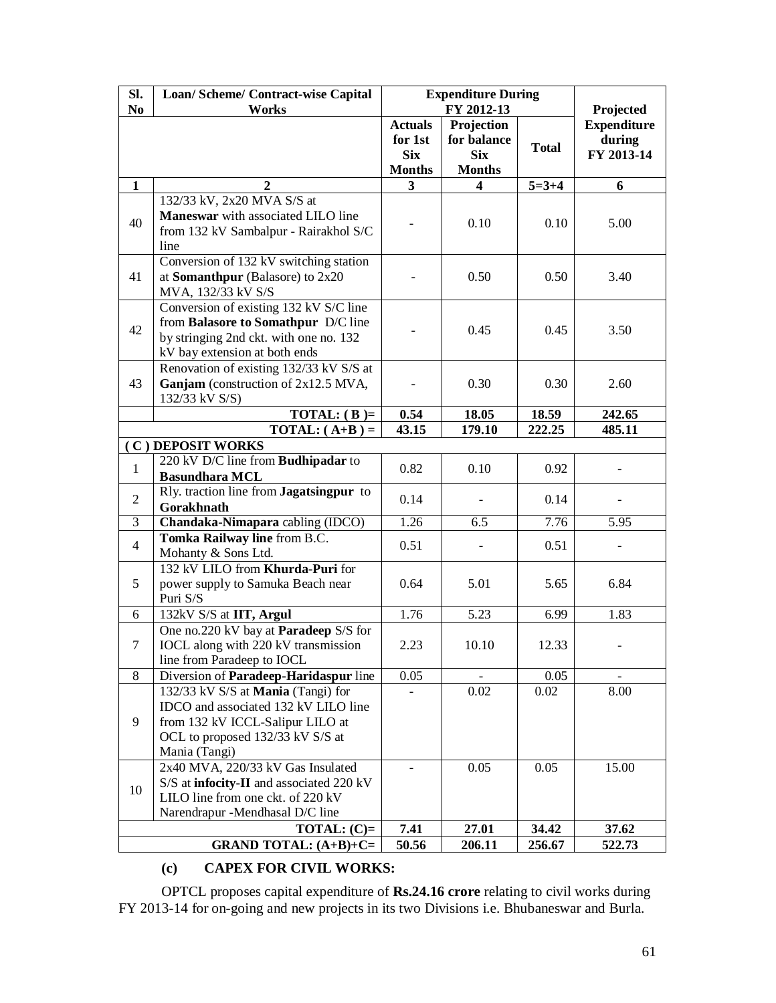| SI.                     | Loan/Scheme/Contract-wise Capital                                                                                                                                   | <b>Expenditure During</b>                                |                                                          |              |                                            |
|-------------------------|---------------------------------------------------------------------------------------------------------------------------------------------------------------------|----------------------------------------------------------|----------------------------------------------------------|--------------|--------------------------------------------|
| N <sub>0</sub>          | <b>Works</b>                                                                                                                                                        |                                                          | FY 2012-13                                               |              | Projected                                  |
|                         |                                                                                                                                                                     | <b>Actuals</b><br>for 1st<br><b>Six</b><br><b>Months</b> | Projection<br>for balance<br><b>Six</b><br><b>Months</b> | <b>Total</b> | <b>Expenditure</b><br>during<br>FY 2013-14 |
| $\mathbf{1}$            | 2                                                                                                                                                                   | 3                                                        | 4                                                        | $5 = 3 + 4$  | 6                                          |
| 40                      | 132/33 kV, 2x20 MVA S/S at<br>Maneswar with associated LILO line<br>from 132 kV Sambalpur - Rairakhol S/C<br>line                                                   |                                                          | 0.10                                                     | 0.10         | 5.00                                       |
| 41                      | Conversion of 132 kV switching station<br>at Somanthpur (Balasore) to $2x20$<br>MVA, 132/33 kV S/S                                                                  |                                                          | 0.50                                                     | 0.50         | 3.40                                       |
| 42                      | Conversion of existing $132$ kV S/C line<br>from Balasore to Somathpur D/C line<br>by stringing 2nd ckt. with one no. 132<br>kV bay extension at both ends          |                                                          | 0.45                                                     | 0.45         | 3.50                                       |
| 43                      | Renovation of existing 132/33 kV S/S at<br>Ganjam (construction of 2x12.5 MVA,<br>132/33 kV S/S)                                                                    |                                                          | 0.30                                                     | 0.30         | 2.60                                       |
| TOTAL: $(B)$ =          |                                                                                                                                                                     | 0.54                                                     | 18.05                                                    | 18.59        | 242.65                                     |
| <b>TOTAL:</b> $(A+B) =$ |                                                                                                                                                                     | 43.15                                                    | 179.10                                                   | 222.25       | 485.11                                     |
|                         | (C) DEPOSIT WORKS                                                                                                                                                   |                                                          |                                                          |              |                                            |
| $\mathbf{1}$            | 220 kV D/C line from Budhipadar to<br><b>Basundhara MCL</b>                                                                                                         | 0.82                                                     | 0.10                                                     | 0.92         |                                            |
| $\overline{2}$          | Rly. traction line from Jagatsingpur to<br>Gorakhnath                                                                                                               | 0.14                                                     |                                                          | 0.14         |                                            |
| 3                       | Chandaka-Nimapara cabling (IDCO)                                                                                                                                    | 1.26                                                     | $\overline{6.5}$                                         | 7.76         | 5.95                                       |
| $\overline{4}$          | Tomka Railway line from B.C.<br>Mohanty & Sons Ltd.                                                                                                                 | 0.51                                                     |                                                          | 0.51         |                                            |
| 5                       | 132 kV LILO from Khurda-Puri for<br>power supply to Samuka Beach near<br>Puri S/S                                                                                   | 0.64                                                     | 5.01                                                     | 5.65         | 6.84                                       |
| 6                       | 132kV S/S at IIT, Argul                                                                                                                                             | 1.76                                                     | 5.23                                                     | 6.99         | 1.83                                       |
| $\tau$                  | One no.220 kV bay at Paradeep S/S for<br>IOCL along with 220 kV transmission<br>line from Paradeep to IOCL                                                          | 2.23                                                     | 10.10                                                    | 12.33        |                                            |
| 8                       | Diversion of Paradeep-Haridaspur line                                                                                                                               | 0.05                                                     |                                                          | 0.05         |                                            |
| 9                       | 132/33 kV S/S at Mania (Tangi) for<br>IDCO and associated 132 kV LILO line<br>from 132 kV ICCL-Salipur LILO at<br>OCL to proposed 132/33 kV S/S at<br>Mania (Tangi) |                                                          | 0.02                                                     | 0.02         | 8.00                                       |
| 10                      | 2x40 MVA, 220/33 kV Gas Insulated<br>S/S at infocity-II and associated 220 kV<br>LILO line from one ckt. of 220 kV<br>Narendrapur -Mendhasal D/C line               |                                                          | 0.05                                                     | 0.05         | 15.00                                      |
|                         | TOTAL: $(C)=$                                                                                                                                                       | 7.41                                                     | 27.01                                                    | 34.42        | 37.62                                      |
|                         | <b>GRAND TOTAL:</b> $(A+B)+C=$                                                                                                                                      | 50.56                                                    | 206.11                                                   | 256.67       | 522.73                                     |

# **(c) CAPEX FOR CIVIL WORKS:**

OPTCL proposes capital expenditure of **Rs.24.16 crore** relating to civil works during FY 2013-14 for on-going and new projects in its two Divisions i.e. Bhubaneswar and Burla.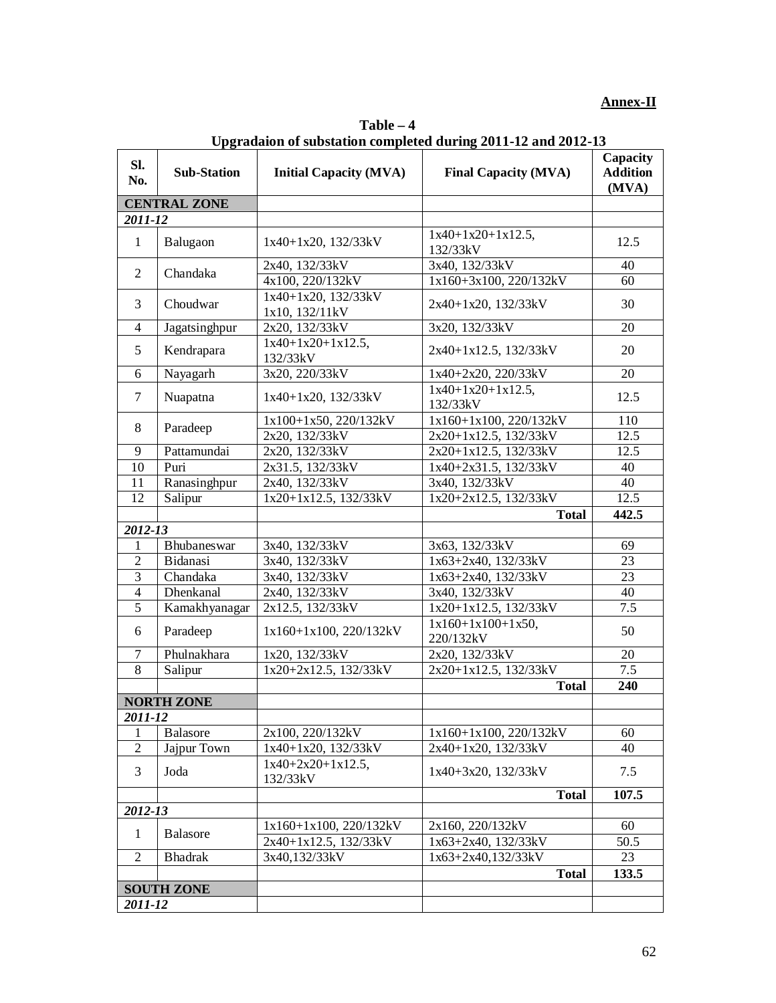# **Annex-II**

| Sl.<br>No.     | <b>Sub-Station</b>  | <b>Initial Capacity (MVA)</b>         | <b>Final Capacity (MVA)</b>      | Capacity<br><b>Addition</b><br>(MVA) |
|----------------|---------------------|---------------------------------------|----------------------------------|--------------------------------------|
|                | <b>CENTRAL ZONE</b> |                                       |                                  |                                      |
| 2011-12        |                     |                                       |                                  |                                      |
| $\mathbf{1}$   | Balugaon            | 1x40+1x20, 132/33kV                   | $1x40+1x20+1x12.5$ ,<br>132/33kV | 12.5                                 |
|                |                     | 2x40, 132/33kV                        | 3x40, 132/33kV                   | 40                                   |
| $\overline{2}$ | Chandaka            | 4x100, 220/132kV                      | 1x160+3x100, 220/132kV           | 60                                   |
| 3              | Choudwar            | 1x40+1x20, 132/33kV<br>1x10, 132/11kV | 2x40+1x20, 132/33kV              | 30                                   |
| $\overline{4}$ | Jagatsinghpur       | 2x20, 132/33kV                        | 3x20, 132/33kV                   | 20                                   |
| 5              | Kendrapara          | $1x40+1x20+1x12.5$ ,<br>132/33kV      | 2x40+1x12.5, 132/33kV            | 20                                   |
| 6              | Nayagarh            | 3x20, 220/33kV                        | 1x40+2x20, 220/33kV              | 20                                   |
| $\tau$         | Nuapatna            | 1x40+1x20, 132/33kV                   | $1x40+1x20+1x12.5$ ,<br>132/33kV | 12.5                                 |
|                |                     | 1x100+1x50, 220/132kV                 | 1x160+1x100, 220/132kV           | 110                                  |
| 8              | Paradeep            | 2x20, 132/33kV                        | 2x20+1x12.5, 132/33kV            | 12.5                                 |
| 9              | Pattamundai         | 2x20, 132/33kV                        | 2x20+1x12.5, 132/33kV            | 12.5                                 |
| 10             | Puri                | 2x31.5, 132/33kV                      | 1x40+2x31.5, 132/33kV            | 40                                   |
| 11             | Ranasinghpur        | 2x40, 132/33kV                        | 3x40, 132/33kV                   | 40                                   |
| 12             | Salipur             | 1x20+1x12.5, 132/33kV                 | 1x20+2x12.5, 132/33kV            | 12.5                                 |
|                |                     |                                       | <b>Total</b>                     | 442.5                                |
| 2012-13        |                     |                                       |                                  |                                      |
| 1              | Bhubaneswar         | 3x40, 132/33kV                        | 3x63, 132/33kV                   | 69                                   |
| $\overline{2}$ | Bidanasi            | 3x40, 132/33kV                        | 1x63+2x40, 132/33kV              | 23                                   |
| 3              | Chandaka            | 3x40, 132/33kV                        | 1x63+2x40, 132/33kV              | 23                                   |
| $\overline{4}$ | Dhenkanal           | 2x40, 132/33kV                        | 3x40, 132/33kV                   | 40                                   |
| $\overline{5}$ | Kamakhyanagar       | 2x12.5, 132/33kV                      | 1x20+1x12.5, 132/33kV            | 7.5                                  |
| 6              | Paradeep            | 1x160+1x100, 220/132kV                | $1x160+1x100+1x50,$<br>220/132kV | 50                                   |
| $\tau$         | Phulnakhara         | 1x20, 132/33kV                        | 2x20, 132/33kV                   | 20                                   |
| $\overline{8}$ | Salipur             | 1x20+2x12.5, 132/33kV                 | 2x20+1x12.5, 132/33kV            | 7.5                                  |
|                |                     |                                       | <b>Total</b>                     | 240                                  |
|                | <b>NORTH ZONE</b>   |                                       |                                  |                                      |
| 2011-12        |                     |                                       |                                  |                                      |
| 1              | <b>Balasore</b>     | 2x100, 220/132kV                      | $1x160+1x100$ , $220/132kV$      | 60                                   |
| $\overline{c}$ | Jajpur Town         | $1x40+1x20$ , $132/33kV$              | $2x40+1x20$ , $132/33kV$         | 40                                   |
| 3              | Joda                | $1x40+2x20+1x12.5$ ,<br>132/33kV      | $1x40+3x20$ , $132/33kV$         | 7.5                                  |
|                |                     |                                       | <b>Total</b>                     | 107.5                                |
| 2012-13        |                     |                                       |                                  |                                      |
|                |                     | 1x160+1x100, 220/132kV                | 2x160, 220/132kV                 | 60                                   |
| $\mathbf{1}$   | <b>Balasore</b>     | 2x40+1x12.5, 132/33kV                 | 1x63+2x40, 132/33kV              | 50.5                                 |
| $\overline{2}$ | <b>Bhadrak</b>      | 3x40,132/33kV                         | 1x63+2x40,132/33kV               | 23                                   |
|                |                     |                                       | <b>Total</b>                     | 133.5                                |
|                | <b>SOUTH ZONE</b>   |                                       |                                  |                                      |
| 2011-12        |                     |                                       |                                  |                                      |

**Table – 4 Upgradaion of substation completed during 2011-12 and 2012-13**